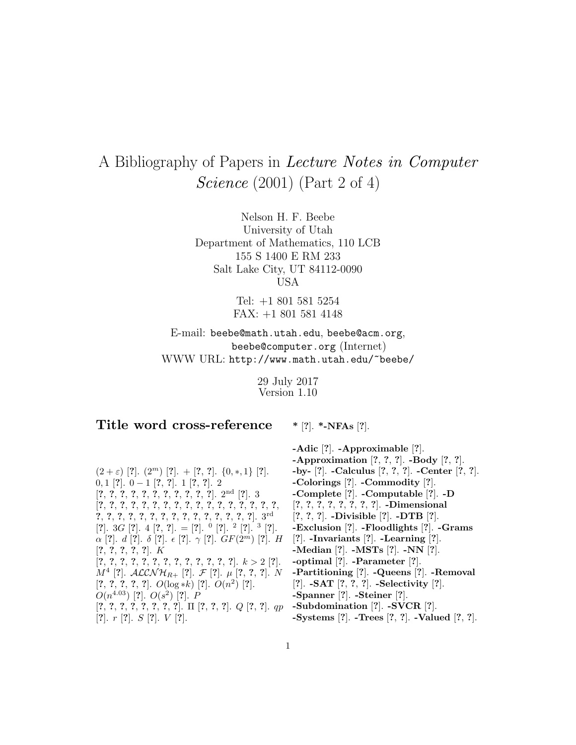## A Bibliography of Papers in Lecture Notes in Computer Science (2001) (Part 2 of 4)

Nelson H. F. Beebe University of Utah Department of Mathematics, 110 LCB 155 S 1400 E RM 233 Salt Lake City, UT 84112-0090 USA

> Tel: +1 801 581 5254 FAX: +1 801 581 4148

E-mail: beebe@math.utah.edu, beebe@acm.org, beebe@computer.org (Internet) WWW URL: http://www.math.utah.edu/~beebe/

> 29 July 2017 Version 1.10

## **Title word cross-reference**

**\*** [**?**]. **\*-NFAs** [**?**].

 $(2 + \varepsilon)$  [?].  $(2^m)$  [?]. + [?, ?].  $\{0, *, 1\}$  [?]. 0, 1 [**?**]. 0 − 1 [**?**, **?**]. 1 [**?**, **?**]. 2 [**?**, **?**, **?**, **?**, **?**, **?**, **?**, **?**, **?**, **?**, **?**]. 2nd [**?**]. 3 [**?**, **?**, **?**, **?**, **?**, **?**, **?**, **?**, **?**, **?**, **?**, **?**, **?**, **?**, **?**, **?**, **?**, **?**, **?**, **?**, **?**, **?**, **?**, **?**, **?**, **?**, **?**, **?**, **?**, **?**, **?**, **?**]. 3rd [**?**]. 3G [**?**]. 4 [**?**, **?**]. = [**?**]. <sup>0</sup> [**?**]. <sup>2</sup> [**?**]. <sup>3</sup> [**?**].  $\alpha$  [?].  $d$  [?].  $\delta$  [?].  $\epsilon$  [?].  $\gamma$  [?].  $GF(2^m)$  [?]. H [**?**, **?**, **?**, **?**, **?**]. K [**?**, **?**, **?**, **?**, **?**, **?**, **?**, **?**, **?**, **?**, **?**, **?**, **?**]. k > 2 [**?**].  $M^4$  [?].  $\mathcal{ALCNH}_{R+}$  [?].  $\mathcal{F}$  [?].  $\mu$  [?, ?, ?]. N [**?**, **?**, **?**, **?**, **?**]. O(log ∗k) [**?**]. O(n<sup>2</sup>) [**?**].  $O(n^{4.03})$  [?].  $O(s^2)$  [?]. P [**?**, **?**, **?**, **?**, **?**, **?**, **?**, **?**]. Π [**?**, **?**, **?**]. Q [**?**, **?**]. qp [**?**]. r [**?**]. S [**?**]. V [**?**].

**-Adic** [**?**]. **-Approximable** [**?**]. **-Approximation** [**?**, **?**, **?**]. **-Body** [**?**, **?**]. **-by-** [**?**]. **-Calculus** [**?**, **?**, **?**]. **-Center** [**?**, **?**]. **-Colorings** [**?**]. **-Commodity** [**?**]. **-Complete** [**?**]. **-Computable** [**?**]. **-D** [**?**, **?**, **?**, **?**, **?**, **?**, **?**, **?**]. **-Dimensional** [**?**, **?**, **?**]. **-Divisible** [**?**]. **-DTB** [**?**]. **-Exclusion** [**?**]. **-Floodlights** [**?**]. **-Grams** [**?**]. **-Invariants** [**?**]. **-Learning** [**?**]. **-Median** [**?**]. **-MSTs** [**?**]. **-NN** [**?**]. **-optimal** [**?**]. **-Parameter** [**?**]. **-Partitioning** [**?**]. **-Queens** [**?**]. **-Removal** [**?**]. **-SAT** [**?**, **?**, **?**]. **-Selectivity** [**?**]. **-Spanner** [**?**]. **-Steiner** [**?**]. **-Subdomination** [**?**]. **-SVCR** [**?**].

**-Systems** [**?**]. **-Trees** [**?**, **?**]. **-Valued** [**?**, **?**].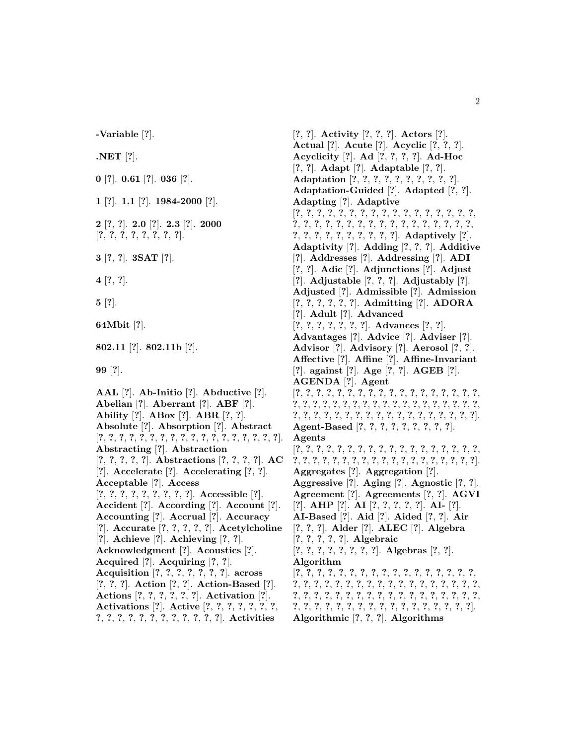**-Variable** [**?**].

**.NET** [**?**].

**0** [**?**]. **0.61** [**?**]. **036** [**?**].

**1** [**?**]. **1.1** [**?**]. **1984-2000** [**?**].

**2** [**?**, **?**]. **2.0** [**?**]. **2.3** [**?**]. **2000** [**?**, **?**, **?**, **?**, **?**, **?**, **?**, **?**].

**3** [**?**, **?**]. **3SAT** [**?**].

**4** [**?**, **?**].

**5** [**?**].

**64Mbit** [**?**].

**802.11** [**?**]. **802.11b** [**?**].

**99** [**?**].

**AAL** [**?**]. **Ab-Initio** [**?**]. **Abductive** [**?**]. **Abelian** [**?**]. **Aberrant** [**?**]. **ABF** [**?**]. **Ability** [**?**]. **ABox** [**?**]. **ABR** [**?**, **?**]. **Absolute** [**?**]. **Absorption** [**?**]. **Abstract** [**?**, **?**, **?**, **?**, **?**, **?**, **?**, **?**, **?**, **?**, **?**, **?**, **?**, **?**, **?**, **?**, **?**, **?**]. **Abstracting** [**?**]. **Abstraction** [**?**, **?**, **?**, **?**, **?**]. **Abstractions** [**?**, **?**, **?**, **?**]. **AC** [**?**]. **Accelerate** [**?**]. **Accelerating** [**?**, **?**]. **Acceptable** [**?**]. **Access** [**?**, **?**, **?**, **?**, **?**, **?**, **?**, **?**, **?**]. **Accessible** [**?**]. **Accident** [**?**]. **According** [**?**]. **Account** [**?**]. **Accounting** [**?**]. **Accrual** [**?**]. **Accuracy** [**?**]. **Accurate** [**?**, **?**, **?**, **?**, **?**]. **Acetylcholine** [**?**]. **Achieve** [**?**]. **Achieving** [**?**, **?**]. **Acknowledgment** [**?**]. **Acoustics** [**?**]. **Acquired** [**?**]. **Acquiring** [**?**, **?**]. **Acquisition** [**?**, **?**, **?**, **?**, **?**, **?**, **?**]. **across** [**?**, **?**, **?**]. **Action** [**?**, **?**]. **Action-Based** [**?**]. **Actions** [**?**, **?**, **?**, **?**, **?**, **?**]. **Activation** [**?**]. **Activations** [**?**]. **Active** [**?**, **?**, **?**, **?**, **?**, **?**, **?**, **?**, **?**, **?**, **?**, **?**, **?**, **?**, **?**, **?**, **?**, **?**, **?**]. **Activities**

[**?**, **?**]. **Activity** [**?**, **?**, **?**]. **Actors** [**?**]. **Actual** [**?**]. **Acute** [**?**]. **Acyclic** [**?**, **?**, **?**]. **Acyclicity** [**?**]. **Ad** [**?**, **?**, **?**, **?**]. **Ad-Hoc** [**?**, **?**]. **Adapt** [**?**]. **Adaptable** [**?**, **?**]. **Adaptation** [**?**, **?**, **?**, **?**, **?**, **?**, **?**, **?**, **?**, **?**]. **Adaptation-Guided** [**?**]. **Adapted** [**?**, **?**]. **Adapting** [**?**]. **Adaptive** [**?**, **?**, **?**, **?**, **?**, **?**, **?**, **?**, **?**, **?**, **?**, **?**, **?**, **?**, **?**, **?**, **?**, **?**, **?**, **?**, **?**, **?**, **?**, **?**, **?**, **?**, **?**, **?**, **?**, **?**, **?**, **?**, **?**, **?**, **?**, **?**, **?**, **?**, **?**, **?**, **?**, **?**, **?**, **?**]. **Adaptively** [**?**]. **Adaptivity** [**?**]. **Adding** [**?**, **?**, **?**]. **Additive** [**?**]. **Addresses** [**?**]. **Addressing** [**?**]. **ADI** [**?**, **?**]. **Adic** [**?**]. **Adjunctions** [**?**]. **Adjust** [**?**]. **Adjustable** [**?**, **?**, **?**]. **Adjustably** [**?**]. **Adjusted** [**?**]. **Admissible** [**?**]. **Admission** [**?**, **?**, **?**, **?**, **?**, **?**]. **Admitting** [**?**]. **ADORA** [**?**]. **Adult** [**?**]. **Advanced** [**?**, **?**, **?**, **?**, **?**, **?**, **?**]. **Advances** [**?**, **?**]. **Advantages** [**?**]. **Advice** [**?**]. **Adviser** [**?**]. **Advisor** [**?**]. **Advisory** [**?**]. **Aerosol** [**?**, **?**]. **Affective** [**?**]. **Affine** [**?**]. **Affine-Invariant** [**?**]. **against** [**?**]. **Age** [**?**, **?**]. **AGEB** [**?**]. **AGENDA** [**?**]. **Agent** [**?**, **?**, **?**, **?**, **?**, **?**, **?**, **?**, **?**, **?**, **?**, **?**, **?**, **?**, **?**, **?**, **?**, **?**, **?**, **?**, **?**, **?**, **?**, **?**, **?**, **?**, **?**, **?**, **?**, **?**, **?**, **?**, **?**, **?**, **?**, **?**, **?**, **?**, **?**, **?**, **?**, **?**, **?**, **?**, **?**, **?**, **?**, **?**, **?**, **?**, **?**, **?**, **?**, **?**, **?**]. **Agent-Based** [**?**, **?**, **?**, **?**, **?**, **?**, **?**, **?**, **?**]. **Agents** [**?**, **?**, **?**, **?**, **?**, **?**, **?**, **?**, **?**, **?**, **?**, **?**, **?**, **?**, **?**, **?**, **?**, **?**, **?**, **?**, **?**, **?**, **?**, **?**, **?**, **?**, **?**, **?**, **?**, **?**, **?**, **?**, **?**, **?**, **?**, **?**, **?**]. **Aggregates** [**?**]. **Aggregation** [**?**]. **Aggressive** [**?**]. **Aging** [**?**]. **Agnostic** [**?**, **?**]. **Agreement** [**?**]. **Agreements** [**?**, **?**]. **AGVI** [**?**]. **AHP** [**?**]. **AI** [**?**, **?**, **?**, **?**, **?**]. **AI-** [**?**]. **AI-Based** [**?**]. **Aid** [**?**]. **Aided** [**?**, **?**]. **Air** [**?**, **?**, **?**]. **Alder** [**?**]. **ALEC** [**?**]. **Algebra** [**?**, **?**, **?**, **?**, **?**]. **Algebraic** [**?**, **?**, **?**, **?**, **?**, **?**, **?**, **?**]. **Algebras** [**?**, **?**]. **Algorithm** [**?**, **?**, **?**, **?**, **?**, **?**, **?**, **?**, **?**, **?**, **?**, **?**, **?**, **?**, **?**, **?**, **?**, **?**, **?**, **?**, **?**, **?**, **?**, **?**, **?**, **?**, **?**, **?**, **?**, **?**, **?**, **?**, **?**, **?**, **?**, **?**, **?**, **?**, **?**, **?**, **?**, **?**, **?**, **?**, **?**, **?**, **?**, **?**, **?**, **?**, **?**, **?**, **?**, **?**, **?**, **?**, **?**, **?**, **?**, **?**, **?**, **?**, **?**, **?**, **?**, **?**, **?**, **?**, **?**, **?**].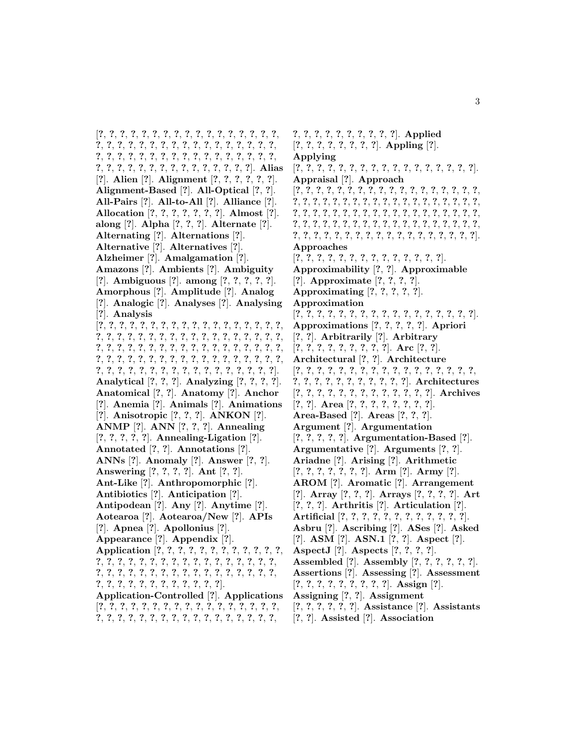[**?**, **?**, **?**, **?**, **?**, **?**, **?**, **?**, **?**, **?**, **?**, **?**, **?**, **?**, **?**, **?**, **?**, **?**, **?**, **?**, **?**, **?**, **?**, **?**, **?**, **?**, **?**, **?**, **?**, **?**, **?**, **?**, **?**, **?**, **?**, **?**, **?**, **?**, **?**, **?**, **?**, **?**, **?**, **?**, **?**, **?**, **?**, **?**, **?**, **?**, **?**, **?**, **?**, **?**, **?**, **?**, **?**, **?**, **?**, **?**, **?**, **?**, **?**, **?**, **?**, **?**]. **Alias** [**?**]. **Alien** [**?**]. **Alignment** [**?**, **?**, **?**, **?**, **?**, **?**]. **Alignment-Based** [**?**]. **All-Optical** [**?**, **?**]. **All-Pairs** [**?**]. **All-to-All** [**?**]. **Alliance** [**?**]. **Allocation** [**?**, **?**, **?**, **?**, **?**, **?**, **?**]. **Almost** [**?**]. **along** [**?**]. **Alpha** [**?**, **?**, **?**]. **Alternate** [**?**]. **Alternating** [**?**]. **Alternations** [**?**]. **Alternative** [**?**]. **Alternatives** [**?**]. **Alzheimer** [**?**]. **Amalgamation** [**?**]. **Amazons** [**?**]. **Ambients** [**?**]. **Ambiguity** [**?**]. **Ambiguous** [**?**]. **among** [**?**, **?**, **?**, **?**, **?**]. **Amorphous** [**?**]. **Amplitude** [**?**]. **Analog** [**?**]. **Analogic** [**?**]. **Analyses** [**?**]. **Analysing** [**?**]. **Analysis** [**?**, **?**, **?**, **?**, **?**, **?**, **?**, **?**, **?**, **?**, **?**, **?**, **?**, **?**, **?**, **?**, **?**, **?**, **?**, **?**, **?**, **?**, **?**, **?**, **?**, **?**, **?**, **?**, **?**, **?**, **?**, **?**, **?**, **?**, **?**, **?**, **?**, **?**, **?**, **?**, **?**, **?**, **?**, **?**, **?**, **?**, **?**, **?**, **?**, **?**, **?**, **?**, **?**, **?**, **?**, **?**, **?**, **?**, **?**, **?**, **?**, **?**, **?**, **?**, **?**, **?**, **?**, **?**, **?**, **?**, **?**, **?**, **?**, **?**, **?**, **?**, **?**, **?**, **?**, **?**, **?**, **?**, **?**, **?**, **?**, **?**, **?**, **?**, **?**]. **Analytical** [**?**, **?**, **?**]. **Analyzing** [**?**, **?**, **?**, **?**]. **Anatomical** [**?**, **?**]. **Anatomy** [**?**]. **Anchor** [**?**]. **Anemia** [**?**]. **Animals** [**?**]. **Animations** [**?**]. **Anisotropic** [**?**, **?**, **?**]. **ANKON** [**?**]. **ANMP** [**?**]. **ANN** [**?**, **?**, **?**]. **Annealing** [**?**, **?**, **?**, **?**, **?**]. **Annealing-Ligation** [**?**]. **Annotated** [**?**, **?**]. **Annotations** [**?**]. **ANNs** [**?**]. **Anomaly** [**?**]. **Answer** [**?**, **?**]. **Answering** [**?**, **?**, **?**, **?**]. **Ant** [**?**, **?**]. **Ant-Like** [**?**]. **Anthropomorphic** [**?**]. **Antibiotics** [**?**]. **Anticipation** [**?**]. **Antipodean** [**?**]. **Any** [**?**]. **Anytime** [**?**]. **Aotearoa** [**?**]. **Aotearoa/New** [**?**]. **APIs** [**?**]. **Apnea** [**?**]. **Apollonius** [**?**]. **Appearance** [**?**]. **Appendix** [**?**]. **Application** [**?**, **?**, **?**, **?**, **?**, **?**, **?**, **?**, **?**, **?**, **?**, **?**, **?**, **?**, **?**, **?**, **?**, **?**, **?**, **?**, **?**, **?**, **?**, **?**, **?**, **?**, **?**, **?**, **?**, **?**, **?**, **?**, **?**, **?**, **?**, **?**, **?**, **?**, **?**, **?**, **?**, **?**, **?**, **?**, **?**, **?**, **?**, **?**, **?**, **?**, **?**, **?**, **?**, **?**, **?**, **?**, **?**, **?**]. **Application-Controlled** [**?**]. **Applications** [**?**, **?**, **?**, **?**, **?**, **?**, **?**, **?**, **?**, **?**, **?**, **?**, **?**, **?**, **?**, **?**, **?**, **?**, **?**, **?**, **?**, **?**, **?**, **?**, **?**, **?**, **?**, **?**, **?**, **?**, **?**, **?**, **?**, **?**,

**?**, **?**, **?**, **?**, **?**, **?**, **?**, **?**, **?**, **?**]. **Applied** [**?**, **?**, **?**, **?**, **?**, **?**, **?**, **?**]. **Appling** [**?**]. **Applying** [**?**, **?**, **?**, **?**, **?**, **?**, **?**, **?**, **?**, **?**, **?**, **?**, **?**, **?**, **?**, **?**, **?**]. **Appraisal** [**?**]. **Approach** [**?**, **?**, **?**, **?**, **?**, **?**, **?**, **?**, **?**, **?**, **?**, **?**, **?**, **?**, **?**, **?**, **?**, **?**, **?**, **?**, **?**, **?**, **?**, **?**, **?**, **?**, **?**, **?**, **?**, **?**, **?**, **?**, **?**, **?**, **?**, **?**, **?**, **?**, **?**, **?**, **?**, **?**, **?**, **?**, **?**, **?**, **?**, **?**, **?**, **?**, **?**, **?**, **?**, **?**, **?**, **?**, **?**, **?**, **?**, **?**, **?**, **?**, **?**, **?**, **?**, **?**, **?**, **?**, **?**, **?**, **?**, **?**, **?**, **?**, **?**, **?**, **?**, **?**, **?**, **?**, **?**, **?**, **?**, **?**, **?**, **?**, **?**, **?**, **?**, **?**, **?**, **?**, **?**]. **Approaches** [**?**, **?**, **?**, **?**, **?**, **?**, **?**, **?**, **?**, **?**, **?**, **?**, **?**, **?**]. **Approximability** [**?**, **?**]. **Approximable** [**?**]. **Approximate** [**?**, **?**, **?**, **?**]. **Approximating** [**?**, **?**, **?**, **?**, **?**]. **Approximation** [**?**, **?**, **?**, **?**, **?**, **?**, **?**, **?**, **?**, **?**, **?**, **?**, **?**, **?**, **?**, **?**, **?**]. **Approximations** [**?**, **?**, **?**, **?**, **?**]. **Apriori** [**?**, **?**]. **Arbitrarily** [**?**]. **Arbitrary** [**?**, **?**, **?**, **?**, **?**, **?**, **?**, **?**, **?**]. **Arc** [**?**, **?**]. **Architectural** [**?**, **?**]. **Architecture** [**?**, **?**, **?**, **?**, **?**, **?**, **?**, **?**, **?**, **?**, **?**, **?**, **?**, **?**, **?**, **?**, **?**, **?**, **?**, **?**, **?**, **?**, **?**, **?**, **?**, **?**, **?**, **?**]. **Architectures** [**?**, **?**, **?**, **?**, **?**, **?**, **?**, **?**, **?**, **?**, **?**, **?**, **?**]. **Archives** [**?**, **?**]. **Area** [**?**, **?**, **?**, **?**, **?**, **?**, **?**, **?**]. **Area-Based** [**?**]. **Areas** [**?**, **?**, **?**]. **Argument** [**?**]. **Argumentation** [**?**, **?**, **?**, **?**, **?**]. **Argumentation-Based** [**?**]. **Argumentative** [**?**]. **Arguments** [**?**, **?**]. **Ariadne** [**?**]. **Arising** [**?**]. **Arithmetic** [**?**, **?**, **?**, **?**, **?**, **?**, **?**]. **Arm** [**?**]. **Army** [**?**]. **AROM** [**?**]. **Aromatic** [**?**]. **Arrangement** [**?**]. **Array** [**?**, **?**, **?**]. **Arrays** [**?**, **?**, **?**, **?**]. **Art** [**?**, **?**, **?**]. **Arthritis** [**?**]. **Articulation** [**?**]. **Artificial** [**?**, **?**, **?**, **?**, **?**, **?**, **?**, **?**, **?**, **?**, **?**, **?**]. **Asbru** [**?**]. **Ascribing** [**?**]. **ASes** [**?**]. **Asked** [**?**]. **ASM** [**?**]. **ASN.1** [**?**, **?**]. **Aspect** [**?**]. **AspectJ** [**?**]. **Aspects** [**?**, **?**, **?**, **?**]. **Assembled** [**?**]. **Assembly** [**?**, **?**, **?**, **?**, **?**, **?**]. **Assertions** [**?**]. **Assessing** [**?**]. **Assessment** [**?**, **?**, **?**, **?**, **?**, **?**, **?**, **?**, **?**]. **Assign** [**?**]. **Assigning** [**?**, **?**]. **Assignment** [**?**, **?**, **?**, **?**, **?**, **?**]. **Assistance** [**?**]. **Assistants** [**?**, **?**]. **Assisted** [**?**]. **Association**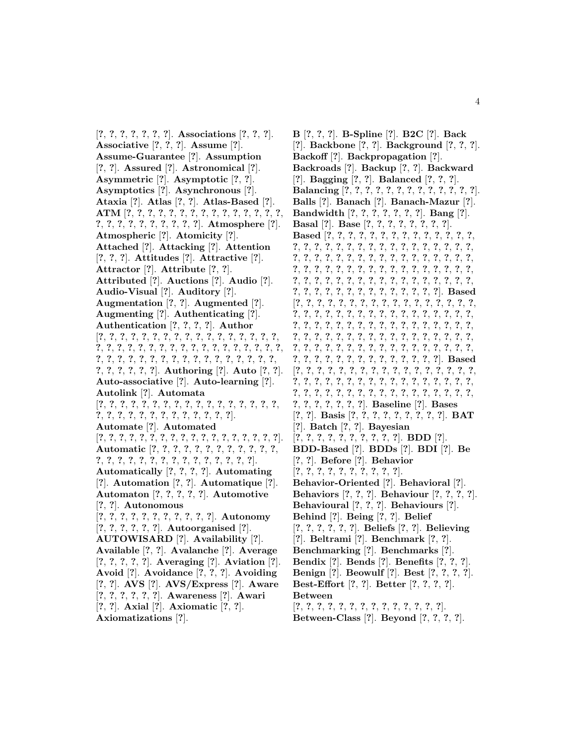[**?**, **?**, **?**, **?**, **?**, **?**, **?**]. **Associations** [**?**, **?**, **?**]. **Associative** [**?**, **?**, **?**]. **Assume** [**?**]. **Assume-Guarantee** [**?**]. **Assumption** [**?**, **?**]. **Assured** [**?**]. **Astronomical** [**?**]. **Asymmetric** [**?**]. **Asymptotic** [**?**, **?**]. **Asymptotics** [**?**]. **Asynchronous** [**?**]. **Ataxia** [**?**]. **Atlas** [**?**, **?**]. **Atlas-Based** [**?**]. **ATM** [**?**, **?**, **?**, **?**, **?**, **?**, **?**, **?**, **?**, **?**, **?**, **?**, **?**, **?**, **?**, **?**, **?**, **?**, **?**, **?**, **?**, **?**, **?**, **?**, **?**]. **Atmosphere** [**?**]. **Atmospheric** [**?**]. **Atomicity** [**?**]. **Attached** [**?**]. **Attacking** [**?**]. **Attention** [**?**, **?**, **?**]. **Attitudes** [**?**]. **Attractive** [**?**]. **Attractor** [**?**]. **Attribute** [**?**, **?**]. **Attributed** [**?**]. **Auctions** [**?**]. **Audio** [**?**]. **Audio-Visual** [**?**]. **Auditory** [**?**]. **Augmentation** [**?**, **?**]. **Augmented** [**?**]. **Augmenting** [**?**]. **Authenticating** [**?**]. **Authentication** [**?**, **?**, **?**, **?**]. **Author** [**?**, **?**, **?**, **?**, **?**, **?**, **?**, **?**, **?**, **?**, **?**, **?**, **?**, **?**, **?**, **?**, **?**, **?**, **?**, **?**, **?**, **?**, **?**, **?**, **?**, **?**, **?**, **?**, **?**, **?**, **?**, **?**, **?**, **?**, **?**, **?**, **?**, **?**, **?**, **?**, **?**, **?**, **?**, **?**, **?**, **?**, **?**, **?**, **?**, **?**, **?**, **?**, **?**, **?**, **?**, **?**, **?**, **?**]. **Authoring** [**?**]. **Auto** [**?**, **?**]. **Auto-associative** [**?**]. **Auto-learning** [**?**]. **Autolink** [**?**]. **Automata** [**?**, **?**, **?**, **?**, **?**, **?**, **?**, **?**, **?**, **?**, **?**, **?**, **?**, **?**, **?**, **?**, **?**, **?**, **?**, **?**, **?**, **?**, **?**, **?**, **?**, **?**, **?**, **?**, **?**, **?**]. **Automate** [**?**]. **Automated** [**?**, **?**, **?**, **?**, **?**, **?**, **?**, **?**, **?**, **?**, **?**, **?**, **?**, **?**, **?**, **?**, **?**, **?**]. **Automatic** [**?**, **?**, **?**, **?**, **?**, **?**, **?**, **?**, **?**, **?**, **?**, **?**, **?**, **?**, **?**, **?**, **?**, **?**, **?**, **?**, **?**, **?**, **?**, **?**, **?**, **?**, **?**]. **Automatically** [**?**, **?**, **?**, **?**]. **Automating** [**?**]. **Automation** [**?**, **?**]. **Automatique** [**?**]. **Automaton** [**?**, **?**, **?**, **?**, **?**]. **Automotive** [**?**, **?**]. **Autonomous** [**?**, **?**, **?**, **?**, **?**, **?**, **?**, **?**, **?**, **?**, **?**]. **Autonomy** [**?**, **?**, **?**, **?**, **?**, **?**]. **Autoorganised** [**?**]. **AUTOWISARD** [**?**]. **Availability** [**?**]. **Available** [**?**, **?**]. **Avalanche** [**?**]. **Average** [**?**, **?**, **?**, **?**, **?**]. **Averaging** [**?**]. **Aviation** [**?**]. **Avoid** [**?**]. **Avoidance** [**?**, **?**, **?**]. **Avoiding** [**?**, **?**]. **AVS** [**?**]. **AVS/Express** [**?**]. **Aware** [**?**, **?**, **?**, **?**, **?**, **?**]. **Awareness** [**?**]. **Awari** [**?**, **?**]. **Axial** [**?**]. **Axiomatic** [**?**, **?**]. **Axiomatizations** [**?**].

**B** [**?**, **?**, **?**]. **B-Spline** [**?**]. **B2C** [**?**]. **Back** [**?**]. **Backbone** [**?**, **?**]. **Background** [**?**, **?**, **?**]. **Backoff** [**?**]. **Backpropagation** [**?**]. **Backroads** [**?**]. **Backup** [**?**, **?**]. **Backward** [**?**]. **Bagging** [**?**, **?**]. **Balanced** [**?**, **?**, **?**]. **Balancing** [**?**, **?**, **?**, **?**, **?**, **?**, **?**, **?**, **?**, **?**, **?**, **?**, **?**]. **Balls** [**?**]. **Banach** [**?**]. **Banach-Mazur** [**?**]. **Bandwidth** [**?**, **?**, **?**, **?**, **?**, **?**, **?**]. **Bang** [**?**]. **Basal** [**?**]. **Base** [**?**, **?**, **?**, **?**, **?**, **?**, **?**, **?**]. **Based** [**?**, **?**, **?**, **?**, **?**, **?**, **?**, **?**, **?**, **?**, **?**, **?**, **?**, **?**, **?**, **?**, **?**, **?**, **?**, **?**, **?**, **?**, **?**, **?**, **?**, **?**, **?**, **?**, **?**, **?**, **?**, **?**, **?**, **?**, **?**, **?**, **?**, **?**, **?**, **?**, **?**, **?**, **?**, **?**, **?**, **?**, **?**, **?**, **?**, **?**, **?**, **?**, **?**, **?**, **?**, **?**, **?**, **?**, **?**, **?**, **?**, **?**, **?**, **?**, **?**, **?**, **?**, **?**, **?**, **?**, **?**, **?**, **?**, **?**, **?**, **?**, **?**, **?**, **?**, **?**, **?**, **?**, **?**, **?**, **?**, **?**, **?**, **?**, **?**, **?**, **?**, **?**, **?**, **?**, **?**, **?**]. **Based** [**?**, **?**, **?**, **?**, **?**, **?**, **?**, **?**, **?**, **?**, **?**, **?**, **?**, **?**, **?**, **?**, **?**, **?**, **?**, **?**, **?**, **?**, **?**, **?**, **?**, **?**, **?**, **?**, **?**, **?**, **?**, **?**, **?**, **?**, **?**, **?**, **?**, **?**, **?**, **?**, **?**, **?**, **?**, **?**, **?**, **?**, **?**, **?**, **?**, **?**, **?**, **?**, **?**, **?**, **?**, **?**, **?**, **?**, **?**, **?**, **?**, **?**, **?**, **?**, **?**, **?**, **?**, **?**, **?**, **?**, **?**, **?**, **?**, **?**, **?**, **?**, **?**, **?**, **?**, **?**, **?**, **?**, **?**, **?**, **?**, **?**, **?**, **?**, **?**, **?**, **?**, **?**, **?**, **?**, **?**, **?**, **?**, **?**, **?**]. **Based** [**?**, **?**, **?**, **?**, **?**, **?**, **?**, **?**, **?**, **?**, **?**, **?**, **?**, **?**, **?**, **?**, **?**, **?**, **?**, **?**, **?**, **?**, **?**, **?**, **?**, **?**, **?**, **?**, **?**, **?**, **?**, **?**, **?**, **?**, **?**, **?**, **?**, **?**, **?**, **?**, **?**, **?**, **?**, **?**, **?**, **?**, **?**, **?**, **?**, **?**, **?**, **?**, **?**, **?**, **?**, **?**, **?**, **?**]. **Baseline** [**?**]. **Bases** [**?**, **?**]. **Basis** [**?**, **?**, **?**, **?**, **?**, **?**, **?**, **?**, **?**]. **BAT** [**?**]. **Batch** [**?**, **?**]. **Bayesian** [**?**, **?**, **?**, **?**, **?**, **?**, **?**, **?**, **?**, **?**]. **BDD** [**?**]. **BDD-Based** [**?**]. **BDDs** [**?**]. **BDI** [**?**]. **Be** [**?**, **?**]. **Before** [**?**]. **Behavior** [**?**, **?**, **?**, **?**, **?**, **?**, **?**, **?**, **?**, **?**]. **Behavior-Oriented** [**?**]. **Behavioral** [**?**]. **Behaviors** [**?**, **?**, **?**]. **Behaviour** [**?**, **?**, **?**, **?**]. **Behavioural** [**?**, **?**, **?**]. **Behaviours** [**?**]. **Behind** [**?**]. **Being** [**?**, **?**]. **Belief** [**?**, **?**, **?**, **?**, **?**, **?**]. **Beliefs** [**?**, **?**]. **Believing** [**?**]. **Beltrami** [**?**]. **Benchmark** [**?**, **?**]. **Benchmarking** [**?**]. **Benchmarks** [**?**]. **Bendix** [**?**]. **Bends** [**?**]. **Benefits** [**?**, **?**, **?**]. **Benign** [**?**]. **Beowulf** [**?**]. **Best** [**?**, **?**, **?**, **?**]. **Best-Effort** [**?**, **?**]. **Better** [**?**, **?**, **?**, **?**]. **Between** [**?**, **?**, **?**, **?**, **?**, **?**, **?**, **?**, **?**, **?**, **?**, **?**, **?**, **?**]. **Between-Class** [**?**]. **Beyond** [**?**, **?**, **?**, **?**].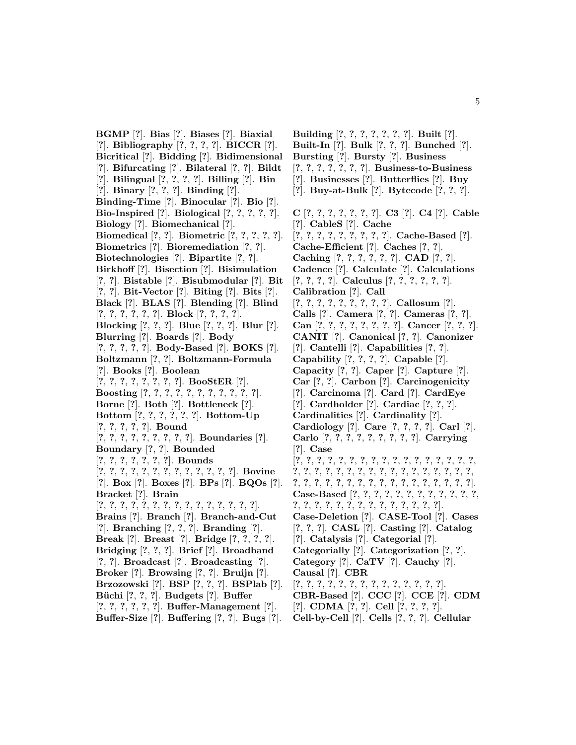**BGMP** [**?**]. **Bias** [**?**]. **Biases** [**?**]. **Biaxial** [**?**]. **Bibliography** [**?**, **?**, **?**, **?**]. **BICCR** [**?**]. **Bicritical** [**?**]. **Bidding** [**?**]. **Bidimensional** [**?**]. **Bifurcating** [**?**]. **Bilateral** [**?**, **?**]. **Bildt** [**?**]. **Bilingual** [**?**, **?**, **?**, **?**]. **Billing** [**?**]. **Bin** [**?**]. **Binary** [**?**, **?**, **?**]. **Binding** [**?**]. **Binding-Time** [**?**]. **Binocular** [**?**]. **Bio** [**?**]. **Bio-Inspired** [**?**]. **Biological** [**?**, **?**, **?**, **?**, **?**]. **Biology** [**?**]. **Biomechanical** [**?**]. **Biomedical** [**?**, **?**]. **Biometric** [**?**, **?**, **?**, **?**, **?**]. **Biometrics** [**?**]. **Bioremediation** [**?**, **?**]. **Biotechnologies** [**?**]. **Bipartite** [**?**, **?**]. **Birkhoff** [**?**]. **Bisection** [**?**]. **Bisimulation** [**?**, **?**]. **Bistable** [**?**]. **Bisubmodular** [**?**]. **Bit** [**?**, **?**]. **Bit-Vector** [**?**]. **Biting** [**?**]. **Bits** [**?**]. **Black** [**?**]. **BLAS** [**?**]. **Blending** [**?**]. **Blind** [**?**, **?**, **?**, **?**, **?**, **?**]. **Block** [**?**, **?**, **?**, **?**]. **Blocking** [**?**, **?**, **?**]. **Blue** [**?**, **?**, **?**]. **Blur** [**?**]. **Blurring** [**?**]. **Boards** [**?**]. **Body** [**?**, **?**, **?**, **?**, **?**]. **Body-Based** [**?**]. **BOKS** [**?**]. **Boltzmann** [**?**, **?**]. **Boltzmann-Formula** [**?**]. **Books** [**?**]. **Boolean** [**?**, **?**, **?**, **?**, **?**, **?**, **?**, **?**]. **BooStER** [**?**]. **Boosting** [**?**, **?**, **?**, **?**, **?**, **?**, **?**, **?**, **?**, **?**, **?**]. **Borne** [**?**]. **Both** [**?**]. **Bottleneck** [**?**]. **Bottom** [**?**, **?**, **?**, **?**, **?**, **?**]. **Bottom-Up** [**?**, **?**, **?**, **?**, **?**]. **Bound** [**?**, **?**, **?**, **?**, **?**, **?**, **?**, **?**, **?**]. **Boundaries** [**?**]. **Boundary** [**?**, **?**]. **Bounded** [**?**, **?**, **?**, **?**, **?**, **?**, **?**]. **Bounds** [**?**, **?**, **?**, **?**, **?**, **?**, **?**, **?**, **?**, **?**, **?**, **?**, **?**]. **Bovine** [**?**]. **Box** [**?**]. **Boxes** [**?**]. **BPs** [**?**]. **BQOs** [**?**]. **Bracket** [**?**]. **Brain** [**?**, **?**, **?**, **?**, **?**, **?**, **?**, **?**, **?**, **?**, **?**, **?**, **?**, **?**, **?**]. **Brains** [**?**]. **Branch** [**?**]. **Branch-and-Cut** [**?**]. **Branching** [**?**, **?**, **?**]. **Branding** [**?**]. **Break** [**?**]. **Breast** [**?**]. **Bridge** [**?**, **?**, **?**, **?**]. **Bridging** [**?**, **?**, **?**]. **Brief** [**?**]. **Broadband** [**?**, **?**]. **Broadcast** [**?**]. **Broadcasting** [**?**]. **Broker** [**?**]. **Browsing** [**?**, **?**]. **Bruijn** [**?**]. **Brzozowski** [**?**]. **BSP** [**?**, **?**, **?**]. **BSPlab** [**?**]. **B¨uchi** [**?**, **?**, **?**]. **Budgets** [**?**]. **Buffer**

- [**?**, **?**, **?**, **?**, **?**, **?**]. **Buffer-Management** [**?**].
- **Buffer-Size** [**?**]. **Buffering** [**?**, **?**]. **Bugs** [**?**].

**Building** [**?**, **?**, **?**, **?**, **?**, **?**, **?**]. **Built** [**?**]. **Built-In** [**?**]. **Bulk** [**?**, **?**, **?**]. **Bunched** [**?**]. **Bursting** [**?**]. **Bursty** [**?**]. **Business** [**?**, **?**, **?**, **?**, **?**, **?**, **?**]. **Business-to-Business** [**?**]. **Businesses** [**?**]. **Butterflies** [**?**]. **Buy** [**?**]. **Buy-at-Bulk** [**?**]. **Bytecode** [**?**, **?**, **?**]. **C** [**?**, **?**, **?**, **?**, **?**, **?**, **?**]. **C3** [**?**]. **C4** [**?**]. **Cable** [**?**]. **CableS** [**?**]. **Cache** [**?**, **?**, **?**, **?**, **?**, **?**, **?**, **?**, **?**]. **Cache-Based** [**?**]. **Cache-Efficient** [**?**]. **Caches** [**?**, **?**]. **Caching** [**?**, **?**, **?**, **?**, **?**, **?**]. **CAD** [**?**, **?**]. **Cadence** [**?**]. **Calculate** [**?**]. **Calculations** [**?**, **?**, **?**, **?**]. **Calculus** [**?**, **?**, **?**, **?**, **?**, **?**]. **Calibration** [**?**]. **Call** [**?**, **?**, **?**, **?**, **?**, **?**, **?**, **?**, **?**]. **Callosum** [**?**]. **Calls** [**?**]. **Camera** [**?**, **?**]. **Cameras** [**?**, **?**]. **Can** [**?**, **?**, **?**, **?**, **?**, **?**, **?**, **?**]. **Cancer** [**?**, **?**, **?**]. **CANIT** [**?**]. **Canonical** [**?**, **?**]. **Canonizer** [**?**]. **Cantelli** [**?**]. **Capabilities** [**?**, **?**]. **Capability** [**?**, **?**, **?**, **?**]. **Capable** [**?**]. **Capacity** [**?**, **?**]. **Caper** [**?**]. **Capture** [**?**]. **Car** [**?**, **?**]. **Carbon** [**?**]. **Carcinogenicity** [**?**]. **Carcinoma** [**?**]. **Card** [**?**]. **CardEye** [**?**]. **Cardholder** [**?**]. **Cardiac** [**?**, **?**, **?**]. **Cardinalities** [**?**]. **Cardinality** [**?**]. **Cardiology** [**?**]. **Care** [**?**, **?**, **?**, **?**]. **Carl** [**?**]. **Carlo** [**?**, **?**, **?**, **?**, **?**, **?**, **?**, **?**, **?**]. **Carrying** [**?**]. **Case** [**?**, **?**, **?**, **?**, **?**, **?**, **?**, **?**, **?**, **?**, **?**, **?**, **?**, **?**, **?**, **?**, **?**, **?**, **?**, **?**, **?**, **?**, **?**, **?**, **?**, **?**, **?**, **?**, **?**, **?**, **?**, **?**, **?**, **?**, **?**, **?**, **?**, **?**, **?**, **?**, **?**, **?**, **?**, **?**, **?**, **?**, **?**, **?**, **?**, **?**, **?**]. **Case-Based** [**?**, **?**, **?**, **?**, **?**, **?**, **?**, **?**, **?**, **?**, **?**, **?**, **?**, **?**, **?**, **?**, **?**, **?**, **?**, **?**, **?**, **?**, **?**, **?**, **?**, **?**]. **Case-Deletion** [**?**]. **CASE-Tool** [**?**]. **Cases** [**?**, **?**, **?**]. **CASL** [**?**]. **Casting** [**?**]. **Catalog** [**?**]. **Catalysis** [**?**]. **Categorial** [**?**]. **Categorially** [**?**]. **Categorization** [**?**, **?**]. **Category** [**?**]. **CaTV** [**?**]. **Cauchy** [**?**]. **Causal** [**?**]. **CBR** [**?**, **?**, **?**, **?**, **?**, **?**, **?**, **?**, **?**, **?**, **?**, **?**, **?**, **?**]. **CBR-Based** [**?**]. **CCC** [**?**]. **CCE** [**?**]. **CDM** [**?**]. **CDMA** [**?**, **?**]. **Cell** [**?**, **?**, **?**, **?**].

**Cell-by-Cell** [**?**]. **Cells** [**?**, **?**, **?**]. **Cellular**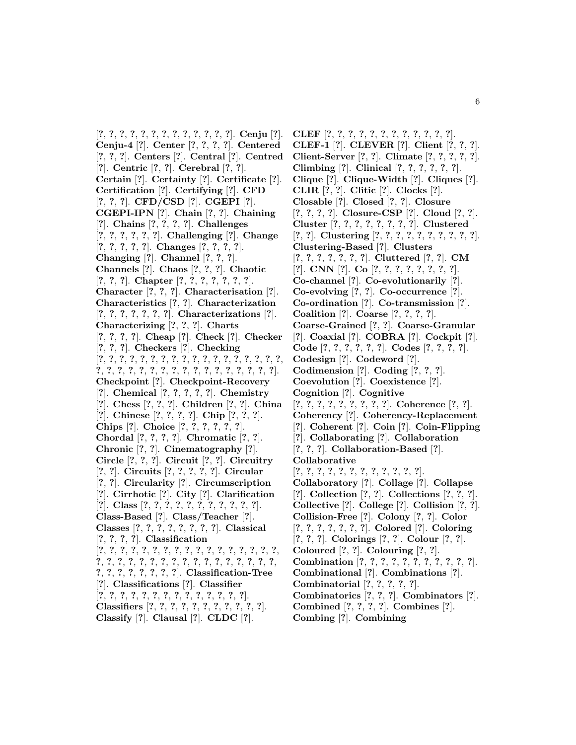[**?**, **?**, **?**, **?**, **?**, **?**, **?**, **?**, **?**, **?**, **?**, **?**, **?**]. **Cenju** [**?**]. **Cenju-4** [**?**]. **Center** [**?**, **?**, **?**, **?**]. **Centered** [**?**, **?**, **?**]. **Centers** [**?**]. **Central** [**?**]. **Centred** [**?**]. **Centric** [**?**, **?**]. **Cerebral** [**?**, **?**]. **Certain** [**?**]. **Certainty** [**?**]. **Certificate** [**?**]. **Certification** [**?**]. **Certifying** [**?**]. **CFD** [**?**, **?**, **?**]. **CFD/CSD** [**?**]. **CGEPI** [**?**]. **CGEPI-IPN** [**?**]. **Chain** [**?**, **?**]. **Chaining** [**?**]. **Chains** [**?**, **?**, **?**, **?**]. **Challenges** [**?**, **?**, **?**, **?**, **?**, **?**]. **Challenging** [**?**]. **Change** [**?**, **?**, **?**, **?**, **?**]. **Changes** [**?**, **?**, **?**, **?**]. **Changing** [**?**]. **Channel** [**?**, **?**, **?**]. **Channels** [**?**]. **Chaos** [**?**, **?**, **?**]. **Chaotic** [**?**, **?**, **?**]. **Chapter** [**?**, **?**, **?**, **?**, **?**, **?**, **?**]. **Character** [**?**, **?**, **?**]. **Characterisation** [**?**]. **Characteristics** [**?**, **?**]. **Characterization** [**?**, **?**, **?**, **?**, **?**, **?**, **?**]. **Characterizations** [**?**]. **Characterizing** [**?**, **?**, **?**]. **Charts** [**?**, **?**, **?**, **?**]. **Cheap** [**?**]. **Check** [**?**]. **Checker** [**?**, **?**, **?**]. **Checkers** [**?**]. **Checking** [**?**, **?**, **?**, **?**, **?**, **?**, **?**, **?**, **?**, **?**, **?**, **?**, **?**, **?**, **?**, **?**, **?**, **?**, **?**, **?**, **?**, **?**, **?**, **?**, **?**, **?**, **?**, **?**, **?**, **?**, **?**, **?**, **?**, **?**, **?**]. **Checkpoint** [**?**]. **Checkpoint-Recovery** [**?**]. **Chemical** [**?**, **?**, **?**, **?**, **?**]. **Chemistry** [**?**]. **Chess** [**?**, **?**, **?**]. **Children** [**?**, **?**]. **China** [**?**]. **Chinese** [**?**, **?**, **?**, **?**]. **Chip** [**?**, **?**, **?**]. **Chips** [**?**]. **Choice** [**?**, **?**, **?**, **?**, **?**, **?**]. **Chordal** [**?**, **?**, **?**, **?**]. **Chromatic** [**?**, **?**]. **Chronic** [**?**, **?**]. **Cinematography** [**?**]. **Circle** [**?**, **?**, **?**]. **Circuit** [**?**, **?**]. **Circuitry** [**?**, **?**]. **Circuits** [**?**, **?**, **?**, **?**, **?**]. **Circular** [**?**, **?**]. **Circularity** [**?**]. **Circumscription** [**?**]. **Cirrhotic** [**?**]. **City** [**?**]. **Clarification** [**?**]. **Class** [**?**, **?**, **?**, **?**, **?**, **?**, **?**, **?**, **?**, **?**, **?**]. **Class-Based** [**?**]. **Class/Teacher** [**?**]. **Classes** [**?**, **?**, **?**, **?**, **?**, **?**, **?**, **?**]. **Classical** [**?**, **?**, **?**, **?**]. **Classification** [**?**, **?**, **?**, **?**, **?**, **?**, **?**, **?**, **?**, **?**, **?**, **?**, **?**, **?**, **?**, **?**, **?**, **?**, **?**, **?**, **?**, **?**, **?**, **?**, **?**, **?**, **?**, **?**, **?**, **?**, **?**, **?**, **?**, **?**, **?**, **?**, **?**, **?**, **?**, **?**, **?**, **?**]. **Classification-Tree** [**?**]. **Classifications** [**?**]. **Classifier** [**?**, **?**, **?**, **?**, **?**, **?**, **?**, **?**, **?**, **?**, **?**, **?**, **?**, **?**]. **Classifiers** [**?**, **?**, **?**, **?**, **?**, **?**, **?**, **?**, **?**, **?**, **?**]. **Classify** [**?**]. **Clausal** [**?**]. **CLDC** [**?**].

**CLEF** [**?**, **?**, **?**, **?**, **?**, **?**, **?**, **?**, **?**, **?**, **?**, **?**]. **CLEF-1** [**?**]. **CLEVER** [**?**]. **Client** [**?**, **?**, **?**]. **Client-Server** [**?**, **?**]. **Climate** [**?**, **?**, **?**, **?**, **?**]. **Climbing** [**?**]. **Clinical** [**?**, **?**, **?**, **?**, **?**, **?**]. **Clique** [**?**]. **Clique-Width** [**?**]. **Cliques** [**?**]. **CLIR** [**?**, **?**]. **Clitic** [**?**]. **Clocks** [**?**]. **Closable** [**?**]. **Closed** [**?**, **?**]. **Closure** [**?**, **?**, **?**, **?**]. **Closure-CSP** [**?**]. **Cloud** [**?**, **?**]. **Cluster** [**?**, **?**, **?**, **?**, **?**, **?**, **?**, **?**]. **Clustered** [**?**, **?**]. **Clustering** [**?**, **?**, **?**, **?**, **?**, **?**, **?**, **?**, **?**, **?**]. **Clustering-Based** [**?**]. **Clusters** [**?**, **?**, **?**, **?**, **?**, **?**, **?**]. **Cluttered** [**?**, **?**]. **CM** [**?**]. **CNN** [**?**]. **Co** [**?**, **?**, **?**, **?**, **?**, **?**, **?**, **?**]. **Co-channel** [**?**]. **Co-evolutionarily** [**?**]. **Co-evolving** [**?**, **?**]. **Co-occurrence** [**?**]. **Co-ordination** [**?**]. **Co-transmission** [**?**]. **Coalition** [**?**]. **Coarse** [**?**, **?**, **?**, **?**]. **Coarse-Grained** [**?**, **?**]. **Coarse-Granular** [**?**]. **Coaxial** [**?**]. **COBRA** [**?**]. **Cockpit** [**?**]. **Code** [**?**, **?**, **?**, **?**, **?**, **?**]. **Codes** [**?**, **?**, **?**, **?**]. **Codesign** [**?**]. **Codeword** [**?**]. **Codimension** [**?**]. **Coding** [**?**, **?**, **?**]. **Coevolution** [**?**]. **Coexistence** [**?**]. **Cognition** [**?**]. **Cognitive** [**?**, **?**, **?**, **?**, **?**, **?**, **?**, **?**, **?**]. **Coherence** [**?**, **?**]. **Coherency** [**?**]. **Coherency-Replacement** [**?**]. **Coherent** [**?**]. **Coin** [**?**]. **Coin-Flipping** [**?**]. **Collaborating** [**?**]. **Collaboration** [**?**, **?**, **?**]. **Collaboration-Based** [**?**]. **Collaborative** [**?**, **?**, **?**, **?**, **?**, **?**, **?**, **?**, **?**, **?**, **?**, **?**]. **Collaboratory** [**?**]. **Collage** [**?**]. **Collapse** [**?**]. **Collection** [**?**, **?**]. **Collections** [**?**, **?**, **?**]. **Collective** [**?**]. **College** [**?**]. **Collision** [**?**, **?**]. **Collision-Free** [**?**]. **Colony** [**?**, **?**]. **Color** [**?**, **?**, **?**, **?**, **?**, **?**, **?**]. **Colored** [**?**]. **Coloring** [**?**, **?**, **?**]. **Colorings** [**?**, **?**]. **Colour** [**?**, **?**]. **Coloured** [**?**, **?**]. **Colouring** [**?**, **?**]. **Combination** [**?**, **?**, **?**, **?**, **?**, **?**, **?**, **?**, **?**, **?**, **?**]. **Combinational** [**?**]. **Combinations** [**?**]. **Combinatorial** [**?**, **?**, **?**, **?**, **?**]. **Combinatorics** [**?**, **?**, **?**]. **Combinators** [**?**]. **Combined** [**?**, **?**, **?**, **?**]. **Combines** [**?**]. **Combing** [**?**]. **Combining**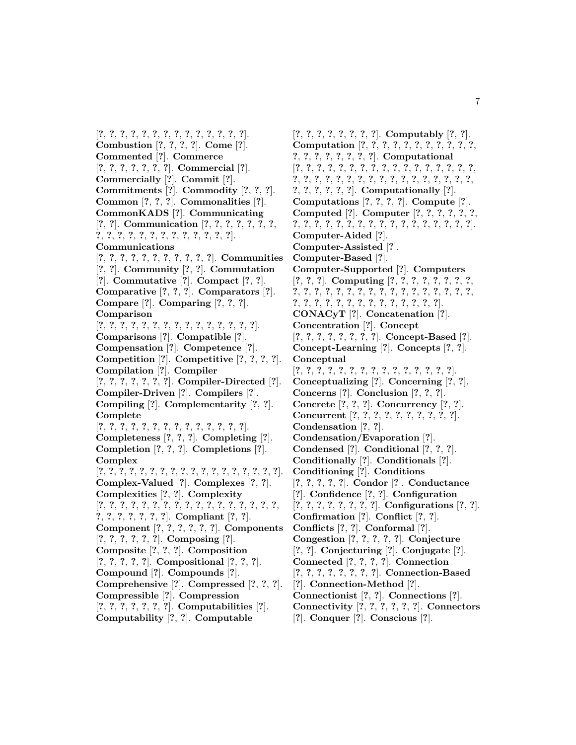[**?**, **?**, **?**, **?**, **?**, **?**, **?**, **?**, **?**, **?**, **?**, **?**, **?**, **?**]. **Combustion** [**?**, **?**, **?**, **?**]. **Come** [**?**]. **Commented** [**?**]. **Commerce** [**?**, **?**, **?**, **?**, **?**, **?**, **?**]. **Commercial** [**?**]. **Commercially** [**?**]. **Commit** [**?**]. **Commitments** [**?**]. **Commodity** [**?**, **?**, **?**]. **Common** [**?**, **?**, **?**]. **Commonalities** [**?**]. **CommonKADS** [**?**]. **Communicating** [**?**, **?**]. **Communication** [**?**, **?**, **?**, **?**, **?**, **?**, **?**, **?**, **?**, **?**, **?**, **?**, **?**, **?**, **?**, **?**, **?**, **?**, **?**, **?**]. **Communications** [**?**, **?**, **?**, **?**, **?**, **?**, **?**, **?**, **?**, **?**, **?**]. **Communities** [**?**, **?**]. **Community** [**?**, **?**]. **Commutation** [**?**]. **Commutative** [**?**]. **Compact** [**?**, **?**]. **Comparative** [**?**, **?**, **?**]. **Comparators** [**?**]. **Compare** [**?**]. **Comparing** [**?**, **?**, **?**]. **Comparison** [**?**, **?**, **?**, **?**, **?**, **?**, **?**, **?**, **?**, **?**, **?**, **?**, **?**, **?**, **?**]. **Comparisons** [**?**]. **Compatible** [**?**]. **Compensation** [**?**]. **Competence** [**?**]. **Competition** [**?**]. **Competitive** [**?**, **?**, **?**, **?**]. **Compilation** [**?**]. **Compiler** [**?**, **?**, **?**, **?**, **?**, **?**, **?**]. **Compiler-Directed** [**?**]. **Compiler-Driven** [**?**]. **Compilers** [**?**]. **Compiling** [**?**]. **Complementarity** [**?**, **?**]. **Complete** [**?**, **?**, **?**, **?**, **?**, **?**, **?**, **?**, **?**, **?**, **?**, **?**, **?**, **?**]. **Completeness** [**?**, **?**, **?**]. **Completing** [**?**]. **Completion** [**?**, **?**, **?**]. **Completions** [**?**]. **Complex** [**?**, **?**, **?**, **?**, **?**, **?**, **?**, **?**, **?**, **?**, **?**, **?**, **?**, **?**, **?**, **?**, **?**, **?**]. **Complex-Valued** [**?**]. **Complexes** [**?**, **?**]. **Complexities** [**?**, **?**]. **Complexity** [**?**, **?**, **?**, **?**, **?**, **?**, **?**, **?**, **?**, **?**, **?**, **?**, **?**, **?**, **?**, **?**, **?**, **?**, **?**, **?**, **?**, **?**, **?**, **?**]. **Compliant** [**?**, **?**]. **Component** [**?**, **?**, **?**, **?**, **?**, **?**]. **Components** [**?**, **?**, **?**, **?**, **?**, **?**]. **Composing** [**?**]. **Composite** [**?**, **?**, **?**]. **Composition** [**?**, **?**, **?**, **?**, **?**]. **Compositional** [**?**, **?**, **?**]. **Compound** [**?**]. **Compounds** [**?**]. **Comprehensive** [**?**]. **Compressed** [**?**, **?**, **?**]. **Compressible** [**?**]. **Compression** [**?**, **?**, **?**, **?**, **?**, **?**, **?**]. **Computabilities** [**?**]. **Computability** [**?**, **?**]. **Computable**

[**?**, **?**, **?**, **?**, **?**, **?**, **?**, **?**]. **Computably** [**?**, **?**]. **Computation** [**?**, **?**, **?**, **?**, **?**, **?**, **?**, **?**, **?**, **?**, **?**, **?**, **?**, **?**, **?**, **?**, **?**, **?**, **?**]. **Computational** [**?**, **?**, **?**, **?**, **?**, **?**, **?**, **?**, **?**, **?**, **?**, **?**, **?**, **?**, **?**, **?**, **?**, **?**, **?**, **?**, **?**, **?**, **?**, **?**, **?**, **?**, **?**, **?**, **?**, **?**, **?**, **?**, **?**, **?**, **?**, **?**, **?**, **?**, **?**, **?**]. **Computationally** [**?**]. **Computations** [**?**, **?**, **?**, **?**]. **Compute** [**?**]. **Computed** [**?**]. **Computer** [**?**, **?**, **?**, **?**, **?**, **?**, **?**, **?**, **?**, **?**, **?**, **?**, **?**, **?**, **?**, **?**, **?**, **?**, **?**, **?**, **?**, **?**, **?**]. **Computer-Aided** [**?**]. **Computer-Assisted** [**?**]. **Computer-Based** [**?**]. **Computer-Supported** [**?**]. **Computers** [**?**, **?**, **?**]. **Computing** [**?**, **?**, **?**, **?**, **?**, **?**, **?**, **?**, **?**, **?**, **?**, **?**, **?**, **?**, **?**, **?**, **?**, **?**, **?**, **?**, **?**, **?**, **?**, **?**, **?**, **?**, **?**, **?**, **?**, **?**, **?**, **?**, **?**, **?**, **?**, **?**, **?**, **?**, **?**]. **CONACyT** [**?**]. **Concatenation** [**?**]. **Concentration** [**?**]. **Concept** [**?**, **?**, **?**, **?**, **?**, **?**, **?**, **?**]. **Concept-Based** [**?**]. **Concept-Learning** [**?**]. **Concepts** [**?**, **?**]. **Conceptual** [**?**, **?**, **?**, **?**, **?**, **?**, **?**, **?**, **?**, **?**, **?**, **?**, **?**, **?**, **?**]. **Conceptualizing** [**?**]. **Concerning** [**?**, **?**]. **Concerns** [**?**]. **Conclusion** [**?**, **?**, **?**]. **Concrete** [**?**, **?**, **?**]. **Concurrency** [**?**, **?**]. **Concurrent** [**?**, **?**, **?**, **?**, **?**, **?**, **?**, **?**, **?**, **?**]. **Condensation** [**?**, **?**]. **Condensation/Evaporation** [**?**]. **Condensed** [**?**]. **Conditional** [**?**, **?**, **?**]. **Conditionally** [**?**]. **Conditionals** [**?**]. **Conditioning** [**?**]. **Conditions** [**?**, **?**, **?**, **?**, **?**]. **Condor** [**?**]. **Conductance** [**?**]. **Confidence** [**?**, **?**]. **Configuration** [**?**, **?**, **?**, **?**, **?**, **?**, **?**, **?**]. **Configurations** [**?**, **?**]. **Confirmation** [**?**]. **Conflict** [**?**, **?**]. **Conflicts** [**?**, **?**]. **Conformal** [**?**]. **Congestion** [**?**, **?**, **?**, **?**, **?**]. **Conjecture** [**?**, **?**]. **Conjecturing** [**?**]. **Conjugate** [**?**]. **Connected** [**?**, **?**, **?**, **?**]. **Connection** [**?**, **?**, **?**, **?**, **?**, **?**, **?**, **?**]. **Connection-Based** [**?**]. **Connection-Method** [**?**]. **Connectionist** [**?**, **?**]. **Connections** [**?**]. **Connectivity** [**?**, **?**, **?**, **?**, **?**, **?**]. **Connectors** [**?**]. **Conquer** [**?**]. **Conscious** [**?**].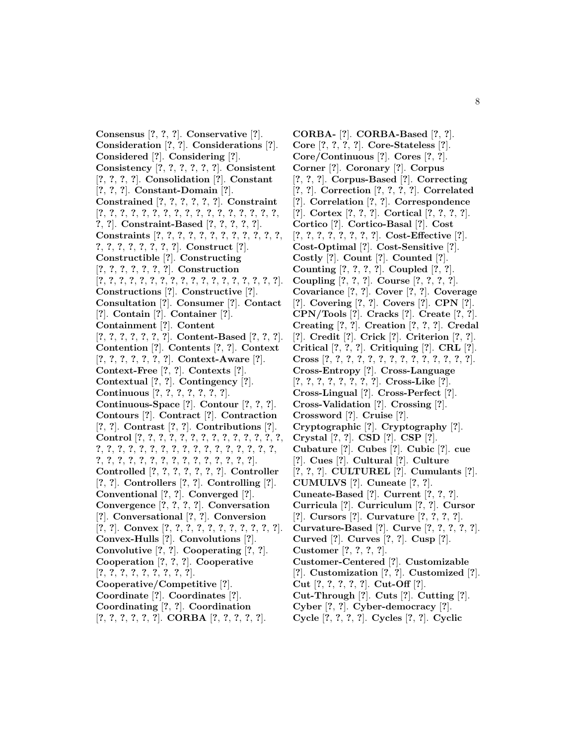**Consensus** [**?**, **?**, **?**]. **Conservative** [**?**]. **Consideration** [**?**, **?**]. **Considerations** [**?**]. **Considered** [**?**]. **Considering** [**?**]. **Consistency** [**?**, **?**, **?**, **?**, **?**, **?**]. **Consistent** [**?**, **?**, **?**, **?**]. **Consolidation** [**?**]. **Constant** [**?**, **?**, **?**]. **Constant-Domain** [**?**]. **Constrained** [**?**, **?**, **?**, **?**, **?**, **?**]. **Constraint** [**?**, **?**, **?**, **?**, **?**, **?**, **?**, **?**, **?**, **?**, **?**, **?**, **?**, **?**, **?**, **?**, **?**, **?**, **?**]. **Constraint-Based** [**?**, **?**, **?**, **?**, **?**]. **Constraints** [**?**, **?**, **?**, **?**, **?**, **?**, **?**, **?**, **?**, **?**, **?**, **?**, **?**, **?**, **?**, **?**, **?**, **?**, **?**, **?**]. **Construct** [**?**]. **Constructible** [**?**]. **Constructing** [**?**, **?**, **?**, **?**, **?**, **?**, **?**]. **Construction** [**?**, **?**, **?**, **?**, **?**, **?**, **?**, **?**, **?**, **?**, **?**, **?**, **?**, **?**, **?**, **?**, **?**, **?**]. **Constructions** [**?**]. **Constructive** [**?**]. **Consultation** [**?**]. **Consumer** [**?**]. **Contact** [**?**]. **Contain** [**?**]. **Container** [**?**]. **Containment** [**?**]. **Content** [**?**, **?**, **?**, **?**, **?**, **?**, **?**]. **Content-Based** [**?**, **?**, **?**]. **Contention** [**?**]. **Contents** [**?**, **?**]. **Context** [**?**, **?**, **?**, **?**, **?**, **?**, **?**]. **Context-Aware** [**?**]. **Context-Free** [**?**, **?**]. **Contexts** [**?**]. **Contextual** [**?**, **?**]. **Contingency** [**?**]. **Continuous** [**?**, **?**, **?**, **?**, **?**, **?**, **?**]. **Continuous-Space** [**?**]. **Contour** [**?**, **?**, **?**]. **Contours** [**?**]. **Contract** [**?**]. **Contraction** [**?**, **?**]. **Contrast** [**?**, **?**]. **Contributions** [**?**]. **Control** [**?**, **?**, **?**, **?**, **?**, **?**, **?**, **?**, **?**, **?**, **?**, **?**, **?**, **?**, **?**, **?**, **?**, **?**, **?**, **?**, **?**, **?**, **?**, **?**, **?**, **?**, **?**, **?**, **?**, **?**, **?**, **?**, **?**, **?**, **?**, **?**, **?**, **?**, **?**, **?**, **?**, **?**, **?**, **?**, **?**, **?**]. **Controlled** [**?**, **?**, **?**, **?**, **?**, **?**, **?**]. **Controller** [**?**, **?**]. **Controllers** [**?**, **?**]. **Controlling** [**?**]. **Conventional** [**?**, **?**]. **Converged** [**?**]. **Convergence** [**?**, **?**, **?**, **?**]. **Conversation** [**?**]. **Conversational** [**?**, **?**]. **Conversion** [**?**, **?**]. **Convex** [**?**, **?**, **?**, **?**, **?**, **?**, **?**, **?**, **?**, **?**, **?**]. **Convex-Hulls** [**?**]. **Convolutions** [**?**]. **Convolutive** [**?**, **?**]. **Cooperating** [**?**, **?**]. **Cooperation** [**?**, **?**, **?**]. **Cooperative** [**?**, **?**, **?**, **?**, **?**, **?**, **?**, **?**, **?**]. **Cooperative/Competitive** [**?**]. **Coordinate** [**?**]. **Coordinates** [**?**]. **Coordinating** [**?**, **?**]. **Coordination** [**?**, **?**, **?**, **?**, **?**, **?**]. **CORBA** [**?**, **?**, **?**, **?**, **?**].

**CORBA-** [**?**]. **CORBA-Based** [**?**, **?**]. **Core** [**?**, **?**, **?**, **?**]. **Core-Stateless** [**?**]. **Core/Continuous** [**?**]. **Cores** [**?**, **?**]. **Corner** [**?**]. **Coronary** [**?**]. **Corpus** [**?**, **?**, **?**]. **Corpus-Based** [**?**]. **Correcting** [**?**, **?**]. **Correction** [**?**, **?**, **?**, **?**]. **Correlated** [**?**]. **Correlation** [**?**, **?**]. **Correspondence** [**?**]. **Cortex** [**?**, **?**, **?**]. **Cortical** [**?**, **?**, **?**, **?**]. **Cortico** [**?**]. **Cortico-Basal** [**?**]. **Cost** [**?**, **?**, **?**, **?**, **?**, **?**, **?**, **?**]. **Cost-Effective** [**?**]. **Cost-Optimal** [**?**]. **Cost-Sensitive** [**?**]. **Costly** [**?**]. **Count** [**?**]. **Counted** [**?**]. **Counting** [**?**, **?**, **?**, **?**]. **Coupled** [**?**, **?**]. **Coupling** [**?**, **?**, **?**]. **Course** [**?**, **?**, **?**, **?**]. **Covariance** [**?**, **?**]. **Cover** [**?**, **?**]. **Coverage** [**?**]. **Covering** [**?**, **?**]. **Covers** [**?**]. **CPN** [**?**]. **CPN/Tools** [**?**]. **Cracks** [**?**]. **Create** [**?**, **?**]. **Creating** [**?**, **?**]. **Creation** [**?**, **?**, **?**]. **Credal** [**?**]. **Credit** [**?**]. **Crick** [**?**]. **Criterion** [**?**, **?**]. **Critical** [**?**, **?**, **?**]. **Critiquing** [**?**]. **CRL** [**?**]. **Cross** [**?**, **?**, **?**, **?**, **?**, **?**, **?**, **?**, **?**, **?**, **?**, **?**, **?**, **?**]. **Cross-Entropy** [**?**]. **Cross-Language** [**?**, **?**, **?**, **?**, **?**, **?**, **?**, **?**]. **Cross-Like** [**?**]. **Cross-Lingual** [**?**]. **Cross-Perfect** [**?**]. **Cross-Validation** [**?**]. **Crossing** [**?**]. **Crossword** [**?**]. **Cruise** [**?**]. **Cryptographic** [**?**]. **Cryptography** [**?**]. **Crystal** [**?**, **?**]. **CSD** [**?**]. **CSP** [**?**]. **Cubature** [**?**]. **Cubes** [**?**]. **Cubic** [**?**]. **cue** [**?**]. **Cues** [**?**]. **Cultural** [**?**]. **Culture** [**?**, **?**, **?**]. **CULTUREL** [**?**]. **Cumulants** [**?**]. **CUMULVS** [**?**]. **Cuneate** [**?**, **?**]. **Cuneate-Based** [**?**]. **Current** [**?**, **?**, **?**]. **Curricula** [**?**]. **Curriculum** [**?**, **?**]. **Cursor** [**?**]. **Cursors** [**?**]. **Curvature** [**?**, **?**, **?**, **?**]. **Curvature-Based** [**?**]. **Curve** [**?**, **?**, **?**, **?**, **?**]. **Curved** [**?**]. **Curves** [**?**, **?**]. **Cusp** [**?**]. **Customer** [**?**, **?**, **?**, **?**]. **Customer-Centered** [**?**]. **Customizable** [**?**]. **Customization** [**?**, **?**]. **Customized** [**?**]. **Cut** [**?**, **?**, **?**, **?**, **?**]. **Cut-Off** [**?**]. **Cut-Through** [**?**]. **Cuts** [**?**]. **Cutting** [**?**]. **Cyber** [**?**, **?**]. **Cyber-democracy** [**?**]. **Cycle** [**?**, **?**, **?**, **?**]. **Cycles** [**?**, **?**]. **Cyclic**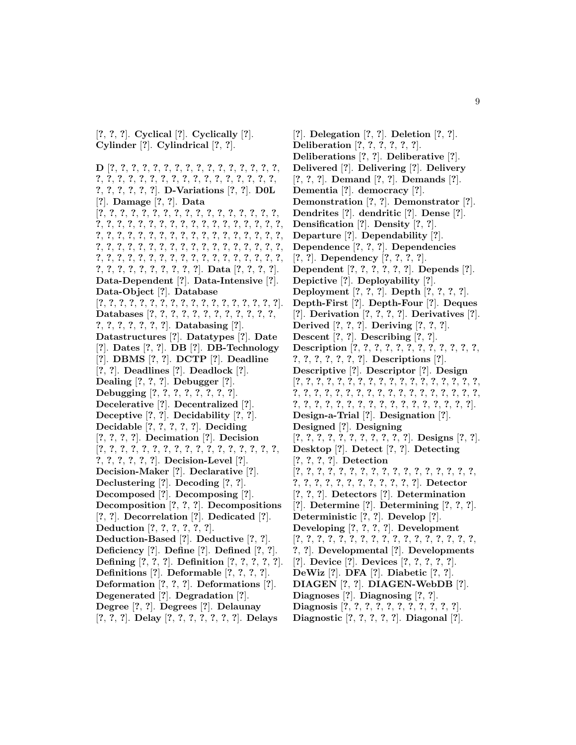[**?**, **?**, **?**]. **Cyclical** [**?**]. **Cyclically** [**?**]. **Cylinder** [**?**]. **Cylindrical** [**?**, **?**].

**D** [**?**, **?**, **?**, **?**, **?**, **?**, **?**, **?**, **?**, **?**, **?**, **?**, **?**, **?**, **?**, **?**, **?**, **?**, **?**, **?**, **?**, **?**, **?**, **?**, **?**, **?**, **?**, **?**, **?**, **?**, **?**, **?**, **?**, **?**, **?**, **?**, **?**, **?**, **?**]. **D-Variations** [**?**, **?**]. **D0L** [**?**]. **Damage** [**?**, **?**]. **Data** [**?**, **?**, **?**, **?**, **?**, **?**, **?**, **?**, **?**, **?**, **?**, **?**, **?**, **?**, **?**, **?**, **?**, **?**, **?**, **?**, **?**, **?**, **?**, **?**, **?**, **?**, **?**, **?**, **?**, **?**, **?**, **?**, **?**, **?**, **?**, **?**, **?**, **?**, **?**, **?**, **?**, **?**, **?**, **?**, **?**, **?**, **?**, **?**, **?**, **?**, **?**, **?**, **?**, **?**, **?**, **?**, **?**, **?**, **?**, **?**, **?**, **?**, **?**, **?**, **?**, **?**, **?**, **?**, **?**, **?**, **?**, **?**, **?**, **?**, **?**, **?**, **?**, **?**, **?**, **?**, **?**, **?**, **?**, **?**, **?**, **?**, **?**, **?**, **?**, **?**, **?**, **?**, **?**, **?**, **?**, **?**, **?**, **?**, **?**]. **Data** [**?**, **?**, **?**, **?**]. **Data-Dependent** [**?**]. **Data-Intensive** [**?**]. **Data-Object** [**?**]. **Database** [**?**, **?**, **?**, **?**, **?**, **?**, **?**, **?**, **?**, **?**, **?**, **?**, **?**, **?**, **?**, **?**, **?**, **?**]. **Databases** [**?**, **?**, **?**, **?**, **?**, **?**, **?**, **?**, **?**, **?**, **?**, **?**, **?**, **?**, **?**, **?**, **?**, **?**, **?**]. **Databasing** [**?**]. **Datastructures** [**?**]. **Datatypes** [**?**]. **Date** [**?**]. **Dates** [**?**, **?**]. **DB** [**?**]. **DB-Technology** [**?**]. **DBMS** [**?**, **?**]. **DCTP** [**?**]. **Deadline** [**?**, **?**]. **Deadlines** [**?**]. **Deadlock** [**?**]. **Dealing** [**?**, **?**, **?**]. **Debugger** [**?**]. **Debugging** [**?**, **?**, **?**, **?**, **?**, **?**, **?**, **?**]. **Decelerative** [**?**]. **Decentralized** [**?**]. **Deceptive** [**?**, **?**]. **Decidability** [**?**, **?**]. **Decidable** [**?**, **?**, **?**, **?**, **?**]. **Deciding** [**?**, **?**, **?**, **?**]. **Decimation** [**?**]. **Decision** [**?**, **?**, **?**, **?**, **?**, **?**, **?**, **?**, **?**, **?**, **?**, **?**, **?**, **?**, **?**, **?**, **?**, **?**, **?**, **?**, **?**, **?**, **?**]. **Decision-Level** [**?**]. **Decision-Maker** [**?**]. **Declarative** [**?**]. **Declustering** [**?**]. **Decoding** [**?**, **?**]. **Decomposed** [**?**]. **Decomposing** [**?**]. **Decomposition** [**?**, **?**, **?**]. **Decompositions** [**?**, **?**]. **Decorrelation** [**?**]. **Dedicated** [**?**]. **Deduction** [**?**, **?**, **?**, **?**, **?**, **?**]. **Deduction-Based** [**?**]. **Deductive** [**?**, **?**]. **Deficiency** [**?**]. **Define** [**?**]. **Defined** [**?**, **?**]. **Defining** [**?**, **?**, **?**]. **Definition** [**?**, **?**, **?**, **?**, **?**]. **Definitions** [**?**]. **Deformable** [**?**, **?**, **?**, **?**]. **Deformation** [**?**, **?**, **?**]. **Deformations** [**?**]. **Degenerated** [**?**]. **Degradation** [**?**]. **Degree** [**?**, **?**]. **Degrees** [**?**]. **Delaunay** [**?**, **?**, **?**]. **Delay** [**?**, **?**, **?**, **?**, **?**, **?**, **?**]. **Delays**

[**?**]. **Delegation** [**?**, **?**]. **Deletion** [**?**, **?**]. **Deliberation** [**?**, **?**, **?**, **?**, **?**, **?**]. **Deliberations** [**?**, **?**]. **Deliberative** [**?**]. **Delivered** [**?**]. **Delivering** [**?**]. **Delivery** [**?**, **?**, **?**]. **Demand** [**?**, **?**]. **Demands** [**?**]. **Dementia** [**?**]. **democracy** [**?**]. **Demonstration** [**?**, **?**]. **Demonstrator** [**?**]. **Dendrites** [**?**]. **dendritic** [**?**]. **Dense** [**?**]. **Densification** [**?**]. **Density** [**?**, **?**]. **Departure** [**?**]. **Dependability** [**?**]. **Dependence** [**?**, **?**, **?**]. **Dependencies** [**?**, **?**]. **Dependency** [**?**, **?**, **?**, **?**]. **Dependent** [**?**, **?**, **?**, **?**, **?**, **?**]. **Depends** [**?**]. **Depictive** [**?**]. **Deployability** [**?**]. **Deployment** [**?**, **?**, **?**]. **Depth** [**?**, **?**, **?**, **?**]. **Depth-First** [**?**]. **Depth-Four** [**?**]. **Deques** [**?**]. **Derivation** [**?**, **?**, **?**, **?**]. **Derivatives** [**?**]. **Derived** [**?**, **?**, **?**]. **Deriving** [**?**, **?**, **?**]. **Descent** [**?**, **?**]. **Describing** [**?**, **?**]. **Description** [**?**, **?**, **?**, **?**, **?**, **?**, **?**, **?**, **?**, **?**, **?**, **?**, **?**, **?**, **?**, **?**, **?**, **?**, **?**]. **Descriptions** [**?**]. **Descriptive** [**?**]. **Descriptor** [**?**]. **Design** [**?**, **?**, **?**, **?**, **?**, **?**, **?**, **?**, **?**, **?**, **?**, **?**, **?**, **?**, **?**, **?**, **?**, **?**, **?**, **?**, **?**, **?**, **?**, **?**, **?**, **?**, **?**, **?**, **?**, **?**, **?**, **?**, **?**, **?**, **?**, **?**, **?**, **?**, **?**, **?**, **?**, **?**, **?**, **?**, **?**, **?**, **?**, **?**, **?**, **?**, **?**, **?**, **?**]. **Design-a-Trial** [**?**]. **Designation** [**?**]. **Designed** [**?**]. **Designing** [**?**, **?**, **?**, **?**, **?**, **?**, **?**, **?**, **?**, **?**, **?**]. **Designs** [**?**, **?**]. **Desktop** [**?**]. **Detect** [**?**, **?**]. **Detecting** [**?**, **?**, **?**, **?**]. **Detection** [**?**, **?**, **?**, **?**, **?**, **?**, **?**, **?**, **?**, **?**, **?**, **?**, **?**, **?**, **?**, **?**, **?**, **?**, **?**, **?**, **?**, **?**, **?**, **?**, **?**, **?**, **?**, **?**, **?**]. **Detector** [**?**, **?**, **?**]. **Detectors** [**?**]. **Determination** [**?**]. **Determine** [**?**]. **Determining** [**?**, **?**, **?**]. **Deterministic** [**?**, **?**]. **Develop** [**?**]. **Developing** [**?**, **?**, **?**, **?**]. **Development** [**?**, **?**, **?**, **?**, **?**, **?**, **?**, **?**, **?**, **?**, **?**, **?**, **?**, **?**, **?**, **?**, **?**, **?**, **?**]. **Developmental** [**?**]. **Developments** [**?**]. **Device** [**?**]. **Devices** [**?**, **?**, **?**, **?**, **?**]. **DeWiz** [**?**]. **DFA** [**?**]. **Diabetic** [**?**, **?**]. **DIAGEN** [**?**, **?**]. **DIAGEN-WebDB** [**?**]. **Diagnoses** [**?**]. **Diagnosing** [**?**, **?**]. **Diagnosis** [**?**, **?**, **?**, **?**, **?**, **?**, **?**, **?**, **?**, **?**, **?**].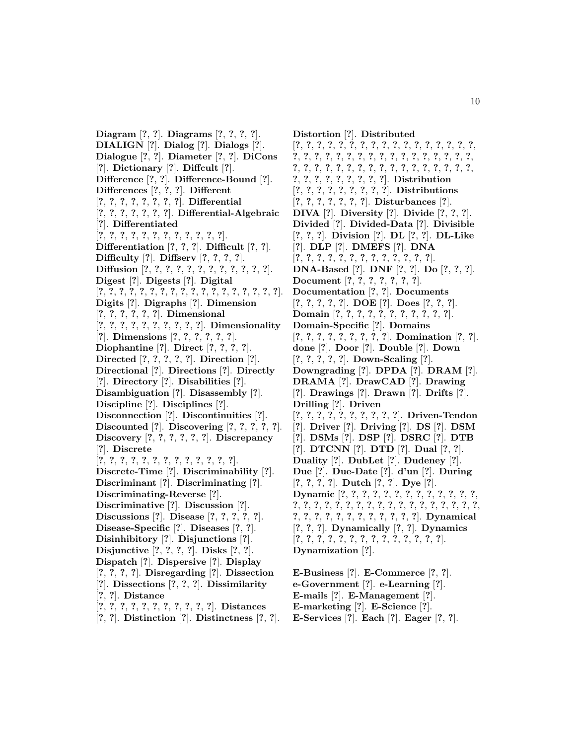**Diagram** [**?**, **?**]. **Diagrams** [**?**, **?**, **?**, **?**]. **DIALIGN** [**?**]. **Dialog** [**?**]. **Dialogs** [**?**]. **Dialogue** [**?**, **?**]. **Diameter** [**?**, **?**]. **DiCons** [**?**]. **Dictionary** [**?**]. **Diffcult** [**?**]. **Difference** [**?**, **?**]. **Difference-Bound** [**?**]. **Differences** [**?**, **?**, **?**]. **Different** [**?**, **?**, **?**, **?**, **?**, **?**, **?**, **?**]. **Differential** [**?**, **?**, **?**, **?**, **?**, **?**, **?**]. **Differential-Algebraic** [**?**]. **Differentiated** [**?**, **?**, **?**, **?**, **?**, **?**, **?**, **?**, **?**, **?**, **?**, **?**]. **Differentiation** [**?**, **?**, **?**]. **Difficult** [**?**, **?**]. **Difficulty** [**?**]. **Diffserv** [**?**, **?**, **?**, **?**]. **Diffusion** [**?**, **?**, **?**, **?**, **?**, **?**, **?**, **?**, **?**, **?**, **?**, **?**]. **Digest** [**?**]. **Digests** [**?**]. **Digital** [**?**, **?**, **?**, **?**, **?**, **?**, **?**, **?**, **?**, **?**, **?**, **?**, **?**, **?**, **?**, **?**, **?**, **?**]. **Digits** [**?**]. **Digraphs** [**?**]. **Dimension** [**?**, **?**, **?**, **?**, **?**, **?**]. **Dimensional** [**?**, **?**, **?**, **?**, **?**, **?**, **?**, **?**, **?**, **?**]. **Dimensionality** [**?**]. **Dimensions** [**?**, **?**, **?**, **?**, **?**, **?**]. **Diophantine** [**?**]. **Direct** [**?**, **?**, **?**, **?**]. **Directed** [**?**, **?**, **?**, **?**, **?**]. **Direction** [**?**]. **Directional** [**?**]. **Directions** [**?**]. **Directly** [**?**]. **Directory** [**?**]. **Disabilities** [**?**]. **Disambiguation** [**?**]. **Disassembly** [**?**]. **Discipline** [**?**]. **Disciplines** [**?**]. **Disconnection** [**?**]. **Discontinuities** [**?**]. **Discounted** [**?**]. **Discovering** [**?**, **?**, **?**, **?**, **?**]. **Discovery** [**?**, **?**, **?**, **?**, **?**, **?**]. **Discrepancy** [**?**]. **Discrete** [**?**, **?**, **?**, **?**, **?**, **?**, **?**, **?**, **?**, **?**, **?**, **?**, **?**]. **Discrete-Time** [**?**]. **Discriminability** [**?**]. **Discriminant** [**?**]. **Discriminating** [**?**]. **Discriminating-Reverse** [**?**]. **Discriminative** [**?**]. **Discussion** [**?**]. **Discussions** [**?**]. **Disease** [**?**, **?**, **?**, **?**, **?**]. **Disease-Specific** [**?**]. **Diseases** [**?**, **?**]. **Disinhibitory** [**?**]. **Disjunctions** [**?**]. **Disjunctive** [**?**, **?**, **?**, **?**]. **Disks** [**?**, **?**]. **Dispatch** [**?**]. **Dispersive** [**?**]. **Display** [**?**, **?**, **?**, **?**]. **Disregarding** [**?**]. **Dissection** [**?**]. **Dissections** [**?**, **?**, **?**]. **Dissimilarity** [**?**, **?**]. **Distance** [**?**, **?**, **?**, **?**, **?**, **?**, **?**, **?**, **?**, **?**, **?**]. **Distances**

[**?**, **?**]. **Distinction** [**?**]. **Distinctness** [**?**, **?**].

**Distortion** [**?**]. **Distributed** [**?**, **?**, **?**, **?**, **?**, **?**, **?**, **?**, **?**, **?**, **?**, **?**, **?**, **?**, **?**, **?**, **?**, **?**, **?**, **?**, **?**, **?**, **?**, **?**, **?**, **?**, **?**, **?**, **?**, **?**, **?**, **?**, **?**, **?**, **?**, **?**, **?**, **?**, **?**, **?**, **?**, **?**, **?**, **?**, **?**, **?**, **?**, **?**, **?**, **?**, **?**, **?**, **?**, **?**, **?**, **?**, **?**, **?**, **?**, **?**]. **Distribution** [**?**, **?**, **?**, **?**, **?**, **?**, **?**, **?**, **?**]. **Distributions** [**?**, **?**, **?**, **?**, **?**, **?**, **?**]. **Disturbances** [**?**]. **DIVA** [**?**]. **Diversity** [**?**]. **Divide** [**?**, **?**, **?**]. **Divided** [**?**]. **Divided-Data** [**?**]. **Divisible** [**?**, **?**, **?**]. **Division** [**?**]. **DL** [**?**, **?**]. **DL-Like** [**?**]. **DLP** [**?**]. **DMEFS** [**?**]. **DNA** [**?**, **?**, **?**, **?**, **?**, **?**, **?**, **?**, **?**, **?**, **?**, **?**, **?**]. **DNA-Based** [**?**]. **DNF** [**?**, **?**]. **Do** [**?**, **?**, **?**]. **Document** [**?**, **?**, **?**, **?**, **?**, **?**, **?**]. **Documentation** [**?**, **?**]. **Documents** [**?**, **?**, **?**, **?**, **?**]. **DOE** [**?**]. **Does** [**?**, **?**, **?**]. **Domain** [**?**, **?**, **?**, **?**, **?**, **?**, **?**, **?**, **?**, **?**, **?**]. **Domain-Specific** [**?**]. **Domains** [**?**, **?**, **?**, **?**, **?**, **?**, **?**, **?**, **?**]. **Domination** [**?**, **?**]. **done** [**?**]. **Door** [**?**]. **Double** [**?**]. **Down** [**?**, **?**, **?**, **?**, **?**]. **Down-Scaling** [**?**]. **Downgrading** [**?**]. **DPDA** [**?**]. **DRAM** [**?**]. **DRAMA** [**?**]. **DrawCAD** [**?**]. **Drawing** [**?**]. **Drawings** [**?**]. **Drawn** [**?**]. **Drifts** [**?**]. **Drilling** [**?**]. **Driven** [**?**, **?**, **?**, **?**, **?**, **?**, **?**, **?**, **?**, **?**]. **Driven-Tendon** [**?**]. **Driver** [**?**]. **Driving** [**?**]. **DS** [**?**]. **DSM** [**?**]. **DSMs** [**?**]. **DSP** [**?**]. **DSRC** [**?**]. **DTB** [**?**]. **DTCNN** [**?**]. **DTD** [**?**]. **Dual** [**?**, **?**]. **Duality** [**?**]. **DubLet** [**?**]. **Dudeney** [**?**]. **Due** [**?**]. **Due-Date** [**?**]. **d'un** [**?**]. **During** [**?**, **?**, **?**, **?**]. **Dutch** [**?**, **?**]. **Dye** [**?**]. **Dynamic** [**?**, **?**, **?**, **?**, **?**, **?**, **?**, **?**, **?**, **?**, **?**, **?**, **?**, **?**, **?**, **?**, **?**, **?**, **?**, **?**, **?**, **?**, **?**, **?**, **?**, **?**, **?**, **?**, **?**, **?**, **?**, **?**, **?**, **?**, **?**, **?**, **?**, **?**, **?**, **?**, **?**, **?**, **?**]. **Dynamical** [**?**, **?**, **?**]. **Dynamically** [**?**, **?**]. **Dynamics** [**?**, **?**, **?**, **?**, **?**, **?**, **?**, **?**, **?**, **?**, **?**, **?**, **?**, **?**]. **Dynamization** [**?**].

**E-Business** [**?**]. **E-Commerce** [**?**, **?**]. **e-Government** [**?**]. **e-Learning** [**?**]. **E-mails** [**?**]. **E-Management** [**?**]. **E-marketing** [**?**]. **E-Science** [**?**]. **E-Services** [**?**]. **Each** [**?**]. **Eager** [**?**, **?**].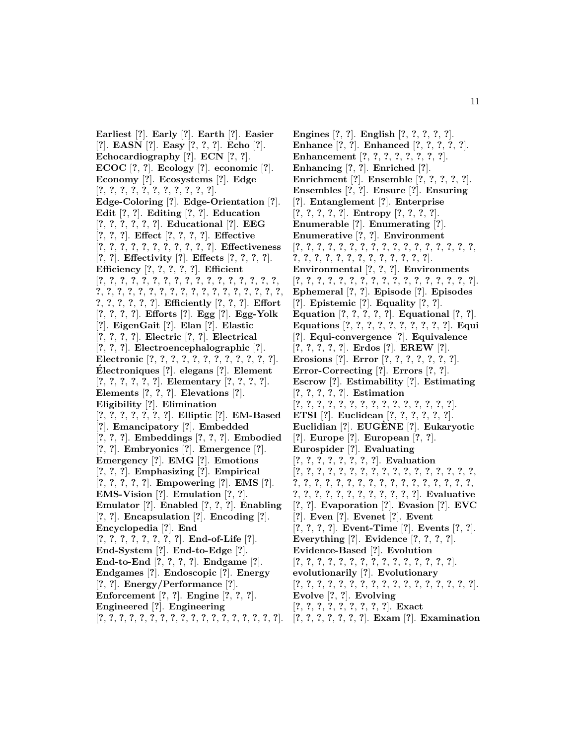**Earliest** [**?**]. **Early** [**?**]. **Earth** [**?**]. **Easier** [**?**]. **EASN** [**?**]. **Easy** [**?**, **?**, **?**]. **Echo** [**?**]. **Echocardiography** [**?**]. **ECN** [**?**, **?**]. **ECOC** [**?**, **?**]. **Ecology** [**?**]. **economic** [**?**]. **Economy** [**?**]. **Ecosystems** [**?**]. **Edge** [**?**, **?**, **?**, **?**, **?**, **?**, **?**, **?**, **?**, **?**, **?**]. **Edge-Coloring** [**?**]. **Edge-Orientation** [**?**]. **Edit** [**?**, **?**]. **Editing** [**?**, **?**]. **Education** [**?**, **?**, **?**, **?**, **?**, **?**]. **Educational** [**?**]. **EEG** [**?**, **?**, **?**]. **Effect** [**?**, **?**, **?**, **?**]. **Effective** [**?**, **?**, **?**, **?**, **?**, **?**, **?**, **?**, **?**, **?**, **?**]. **Effectiveness** [**?**, **?**]. **Effectivity** [**?**]. **Effects** [**?**, **?**, **?**, **?**]. **Efficiency** [**?**, **?**, **?**, **?**, **?**]. **Efficient** [**?**, **?**, **?**, **?**, **?**, **?**, **?**, **?**, **?**, **?**, **?**, **?**, **?**, **?**, **?**, **?**, **?**, **?**, **?**, **?**, **?**, **?**, **?**, **?**, **?**, **?**, **?**, **?**, **?**, **?**, **?**, **?**, **?**, **?**, **?**, **?**, **?**, **?**, **?**, **?**, **?**]. **Efficiently** [**?**, **?**, **?**]. **Effort** [**?**, **?**, **?**, **?**]. **Efforts** [**?**]. **Egg** [**?**]. **Egg-Yolk** [**?**]. **EigenGait** [**?**]. **Elan** [**?**]. **Elastic** [**?**, **?**, **?**, **?**]. **Electric** [**?**, **?**]. **Electrical** [**?**, **?**, **?**]. **Electroencephalographic** [**?**]. **Electronic** [**?**, **?**, **?**, **?**, **?**, **?**, **?**, **?**, **?**, **?**, **?**, **?**]. **Electroniques ´** [**?**]. **elegans** [**?**]. **Element** [**?**, **?**, **?**, **?**, **?**, **?**]. **Elementary** [**?**, **?**, **?**, **?**]. **Elements** [**?**, **?**, **?**]. **Elevations** [**?**]. **Eligibility** [**?**]. **Elimination** [**?**, **?**, **?**, **?**, **?**, **?**, **?**]. **Elliptic** [**?**]. **EM-Based** [**?**]. **Emancipatory** [**?**]. **Embedded** [**?**, **?**, **?**]. **Embeddings** [**?**, **?**, **?**]. **Embodied** [**?**, **?**]. **Embryonics** [**?**]. **Emergence** [**?**]. **Emergency** [**?**]. **EMG** [**?**]. **Emotions** [**?**, **?**, **?**]. **Emphasizing** [**?**]. **Empirical** [**?**, **?**, **?**, **?**, **?**]. **Empowering** [**?**]. **EMS** [**?**]. **EMS-Vision** [**?**]. **Emulation** [**?**, **?**]. **Emulator** [**?**]. **Enabled** [**?**, **?**, **?**]. **Enabling** [**?**, **?**]. **Encapsulation** [**?**]. **Encoding** [**?**]. **Encyclopedia** [**?**]. **End** [**?**, **?**, **?**, **?**, **?**, **?**, **?**, **?**]. **End-of-Life** [**?**]. **End-System** [**?**]. **End-to-Edge** [**?**]. **End-to-End** [**?**, **?**, **?**, **?**]. **Endgame** [**?**]. **Endgames** [**?**]. **Endoscopic** [**?**]. **Energy** [**?**, **?**]. **Energy/Performance** [**?**]. **Enforcement** [**?**, **?**]. **Engine** [**?**, **?**, **?**]. **Engineered** [**?**]. **Engineering** [**?**, **?**, **?**, **?**, **?**, **?**, **?**, **?**, **?**, **?**, **?**, **?**, **?**, **?**, **?**, **?**, **?**, **?**].

**Engines** [**?**, **?**]. **English** [**?**, **?**, **?**, **?**, **?**]. **Enhance** [**?**, **?**]. **Enhanced** [**?**, **?**, **?**, **?**, **?**]. **Enhancement** [**?**, **?**, **?**, **?**, **?**, **?**, **?**, **?**]. **Enhancing** [**?**, **?**]. **Enriched** [**?**]. **Enrichment** [**?**]. **Ensemble** [**?**, **?**, **?**, **?**, **?**]. **Ensembles** [**?**, **?**]. **Ensure** [**?**]. **Ensuring** [**?**]. **Entanglement** [**?**]. **Enterprise** [**?**, **?**, **?**, **?**, **?**]. **Entropy** [**?**, **?**, **?**, **?**]. **Enumerable** [**?**]. **Enumerating** [**?**]. **Enumerative** [**?**, **?**]. **Environment** [**?**, **?**, **?**, **?**, **?**, **?**, **?**, **?**, **?**, **?**, **?**, **?**, **?**, **?**, **?**, **?**, **?**, **?**, **?**, **?**, **?**, **?**, **?**, **?**, **?**, **?**, **?**, **?**, **?**, **?**]. **Environmental** [**?**, **?**, **?**]. **Environments** [**?**, **?**, **?**, **?**, **?**, **?**, **?**, **?**, **?**, **?**, **?**, **?**, **?**, **?**, **?**, **?**, **?**]. **Ephemeral** [**?**, **?**]. **Episode** [**?**]. **Episodes** [**?**]. **Epistemic** [**?**]. **Equality** [**?**, **?**]. **Equation** [**?**, **?**, **?**, **?**, **?**]. **Equational** [**?**, **?**]. **Equations** [**?**, **?**, **?**, **?**, **?**, **?**, **?**, **?**, **?**, **?**]. **Equi** [**?**]. **Equi-convergence** [**?**]. **Equivalence** [**?**, **?**, **?**, **?**, **?**]. **Erdos** [**?**]. **EREW** [**?**]. **Erosions** [**?**]. **Error** [**?**, **?**, **?**, **?**, **?**, **?**, **?**]. **Error-Correcting** [**?**]. **Errors** [**?**, **?**]. **Escrow** [**?**]. **Estimability** [**?**]. **Estimating** [**?**, **?**, **?**, **?**, **?**]. **Estimation** [**?**, **?**, **?**, **?**, **?**, **?**, **?**, **?**, **?**, **?**, **?**, **?**, **?**, **?**, **?**]. **ETSI** [**?**]. **Euclidean** [**?**, **?**, **?**, **?**, **?**, **?**]. **Euclidian** [**?**]. **EUGENE `** [**?**]. **Eukaryotic** [**?**]. **Europe** [**?**]. **European** [**?**, **?**]. **Eurospider** [**?**]. **Evaluating** [**?**, **?**, **?**, **?**, **?**, **?**, **?**, **?**]. **Evaluation** [**?**, **?**, **?**, **?**, **?**, **?**, **?**, **?**, **?**, **?**, **?**, **?**, **?**, **?**, **?**, **?**, **?**, **?**, **?**, **?**, **?**, **?**, **?**, **?**, **?**, **?**, **?**, **?**, **?**, **?**, **?**, **?**, **?**, **?**, **?**, **?**, **?**, **?**, **?**, **?**, **?**, **?**, **?**, **?**, **?**, **?**]. **Evaluative** [**?**, **?**]. **Evaporation** [**?**]. **Evasion** [**?**]. **EVC** [**?**]. **Even** [**?**]. **Evenet** [**?**]. **Event** [**?**, **?**, **?**, **?**]. **Event-Time** [**?**]. **Events** [**?**, **?**]. **Everything** [**?**]. **Evidence** [**?**, **?**, **?**, **?**]. **Evidence-Based** [**?**]. **Evolution** [**?**, **?**, **?**, **?**, **?**, **?**, **?**, **?**, **?**, **?**, **?**, **?**, **?**, **?**, **?**]. **evolutionarily** [**?**]. **Evolutionary** [**?**, **?**, **?**, **?**, **?**, **?**, **?**, **?**, **?**, **?**, **?**, **?**, **?**, **?**, **?**, **?**, **?**]. **Evolve** [**?**, **?**]. **Evolving** [**?**, **?**, **?**, **?**, **?**, **?**, **?**, **?**, **?**]. **Exact** [**?**, **?**, **?**, **?**, **?**, **?**, **?**]. **Exam** [**?**]. **Examination**

11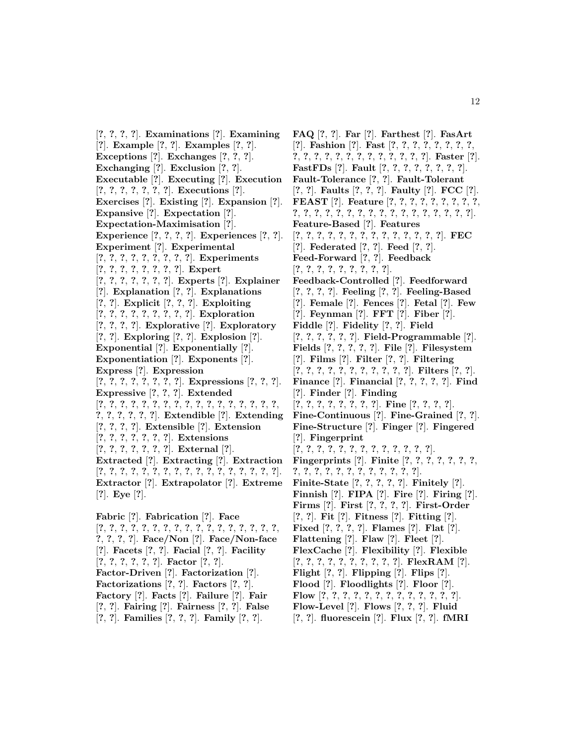[**?**, **?**, **?**, **?**]. **Examinations** [**?**]. **Examining** [**?**]. **Example** [**?**, **?**]. **Examples** [**?**, **?**]. **Exceptions** [**?**]. **Exchanges** [**?**, **?**, **?**]. **Exchanging** [**?**]. **Exclusion** [**?**, **?**]. **Executable** [**?**]. **Executing** [**?**]. **Execution** [**?**, **?**, **?**, **?**, **?**, **?**, **?**]. **Executions** [**?**]. **Exercises** [**?**]. **Existing** [**?**]. **Expansion** [**?**]. **Expansive** [**?**]. **Expectation** [**?**]. **Expectation-Maximisation** [**?**]. **Experience** [**?**, **?**, **?**, **?**]. **Experiences** [**?**, **?**]. **Experiment** [**?**]. **Experimental** [**?**, **?**, **?**, **?**, **?**, **?**, **?**, **?**, **?**]. **Experiments** [**?**, **?**, **?**, **?**, **?**, **?**, **?**, **?**]. **Expert** [**?**, **?**, **?**, **?**, **?**, **?**, **?**]. **Experts** [**?**]. **Explainer** [**?**]. **Explanation** [**?**, **?**]. **Explanations** [**?**, **?**]. **Explicit** [**?**, **?**, **?**]. **Exploiting** [**?**, **?**, **?**, **?**, **?**, **?**, **?**, **?**, **?**]. **Exploration** [**?**, **?**, **?**, **?**]. **Explorative** [**?**]. **Exploratory** [**?**, **?**]. **Exploring** [**?**, **?**]. **Explosion** [**?**]. **Exponential** [**?**]. **Exponentially** [**?**]. **Exponentiation** [**?**]. **Exponents** [**?**]. **Express** [**?**]. **Expression** [**?**, **?**, **?**, **?**, **?**, **?**, **?**, **?**]. **Expressions** [**?**, **?**, **?**]. **Expressive** [**?**, **?**, **?**]. **Extended** [**?**, **?**, **?**, **?**, **?**, **?**, **?**, **?**, **?**, **?**, **?**, **?**, **?**, **?**, **?**, **?**, **?**, **?**, **?**, **?**, **?**, **?**, **?**]. **Extendible** [**?**]. **Extending** [**?**, **?**, **?**, **?**]. **Extensible** [**?**]. **Extension** [**?**, **?**, **?**, **?**, **?**, **?**, **?**]. **Extensions** [**?**, **?**, **?**, **?**, **?**, **?**, **?**]. **External** [**?**]. **Extracted** [**?**]. **Extracting** [**?**]. **Extraction** [**?**, **?**, **?**, **?**, **?**, **?**, **?**, **?**, **?**, **?**, **?**, **?**, **?**, **?**, **?**, **?**, **?**]. **Extractor** [**?**]. **Extrapolator** [**?**]. **Extreme** [**?**]. **Eye** [**?**].

**Fabric** [**?**]. **Fabrication** [**?**]. **Face** [**?**, **?**, **?**, **?**, **?**, **?**, **?**, **?**, **?**, **?**, **?**, **?**, **?**, **?**, **?**, **?**, **?**, **?**, **?**, **?**, **?**]. **Face/Non** [**?**]. **Face/Non-face** [**?**]. **Facets** [**?**, **?**]. **Facial** [**?**, **?**]. **Facility** [**?**, **?**, **?**, **?**, **?**, **?**]. **Factor** [**?**, **?**]. **Factor-Driven** [**?**]. **Factorization** [**?**]. **Factorizations** [**?**, **?**]. **Factors** [**?**, **?**]. **Factory** [**?**]. **Facts** [**?**]. **Failure** [**?**]. **Fair** [**?**, **?**]. **Fairing** [**?**]. **Fairness** [**?**, **?**]. **False** [**?**, **?**]. **Families** [**?**, **?**, **?**]. **Family** [**?**, **?**].

**FAQ** [**?**, **?**]. **Far** [**?**]. **Farthest** [**?**]. **FasArt** [**?**]. **Fashion** [**?**]. **Fast** [**?**, **?**, **?**, **?**, **?**, **?**, **?**, **?**, **?**, **?**, **?**, **?**, **?**, **?**, **?**, **?**, **?**, **?**, **?**, **?**, **?**]. **Faster** [**?**]. **FastFDs** [**?**]. **Fault** [**?**, **?**, **?**, **?**, **?**, **?**, **?**, **?**]. **Fault-Tolerance** [**?**, **?**]. **Fault-Tolerant** [**?**, **?**]. **Faults** [**?**, **?**, **?**]. **Faulty** [**?**]. **FCC** [**?**]. **FEAST** [**?**]. **Feature** [**?**, **?**, **?**, **?**, **?**, **?**, **?**, **?**, **?**, **?**, **?**, **?**, **?**, **?**, **?**, **?**, **?**, **?**, **?**, **?**, **?**, **?**, **?**, **?**, **?**, **?**]. **Feature-Based** [**?**]. **Features** [**?**, **?**, **?**, **?**, **?**, **?**, **?**, **?**, **?**, **?**, **?**, **?**, **?**, **?**]. **FEC** [**?**]. **Federated** [**?**, **?**]. **Feed** [**?**, **?**]. **Feed-Forward** [**?**, **?**]. **Feedback** [**?**, **?**, **?**, **?**, **?**, **?**, **?**, **?**, **?**]. **Feedback-Controlled** [**?**]. **Feedforward** [**?**, **?**, **?**, **?**]. **Feeling** [**?**, **?**]. **Feeling-Based** [**?**]. **Female** [**?**]. **Fences** [**?**]. **Fetal** [**?**]. **Few** [**?**]. **Feynman** [**?**]. **FFT** [**?**]. **Fiber** [**?**]. **Fiddle** [**?**]. **Fidelity** [**?**, **?**]. **Field** [**?**, **?**, **?**, **?**, **?**, **?**]. **Field-Programmable** [**?**]. **Fields** [**?**, **?**, **?**, **?**, **?**]. **File** [**?**]. **Filesystem** [**?**]. **Films** [**?**]. **Filter** [**?**, **?**]. **Filtering** [**?**, **?**, **?**, **?**, **?**, **?**, **?**, **?**, **?**, **?**, **?**]. **Filters** [**?**, **?**]. **Finance** [**?**]. **Financial** [**?**, **?**, **?**, **?**, **?**]. **Find** [**?**]. **Finder** [**?**]. **Finding** [**?**, **?**, **?**, **?**, **?**, **?**, **?**, **?**]. **Fine** [**?**, **?**, **?**, **?**]. **Fine-Continuous** [**?**]. **Fine-Grained** [**?**, **?**]. **Fine-Structure** [**?**]. **Finger** [**?**]. **Fingered** [**?**]. **Fingerprint** [**?**, **?**, **?**, **?**, **?**, **?**, **?**, **?**, **?**, **?**, **?**, **?**, **?**]. **Fingerprints** [**?**]. **Finite** [**?**, **?**, **?**, **?**, **?**, **?**, **?**, **?**, **?**, **?**, **?**, **?**, **?**, **?**, **?**, **?**, **?**, **?**, **?**]. **Finite-State** [**?**, **?**, **?**, **?**, **?**]. **Finitely** [**?**]. **Finnish** [**?**]. **FIPA** [**?**]. **Fire** [**?**]. **Firing** [**?**]. **Firms** [**?**]. **First** [**?**, **?**, **?**, **?**]. **First-Order** [**?**, **?**]. **Fit** [**?**]. **Fitness** [**?**]. **Fitting** [**?**]. **Fixed** [**?**, **?**, **?**, **?**]. **Flames** [**?**]. **Flat** [**?**]. **Flattening** [**?**]. **Flaw** [**?**]. **Fleet** [**?**]. **FlexCache** [**?**]. **Flexibility** [**?**]. **Flexible** [**?**, **?**, **?**, **?**, **?**, **?**, **?**, **?**, **?**, **?**]. **FlexRAM** [**?**]. **Flight** [**?**, **?**]. **Flipping** [**?**]. **Flips** [**?**]. **Flood** [**?**]. **Floodlights** [**?**]. **Floor** [**?**]. **Flow** [**?**, **?**, **?**, **?**, **?**, **?**, **?**, **?**, **?**, **?**, **?**, **?**, **?**]. **Flow-Level** [**?**]. **Flows** [**?**, **?**, **?**]. **Fluid**

[**?**, **?**]. **fluorescein** [**?**]. **Flux** [**?**, **?**]. **fMRI**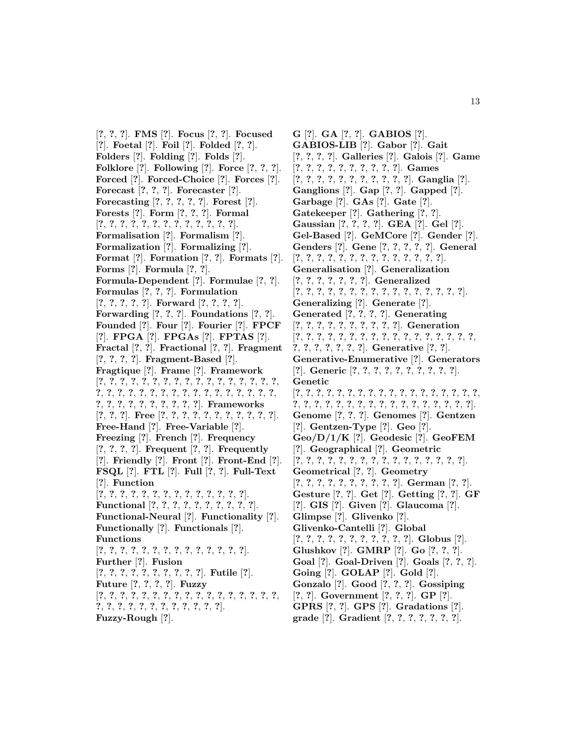[**?**, **?**, **?**]. **FMS** [**?**]. **Focus** [**?**, **?**]. **Focused** [**?**]. **Foetal** [**?**]. **Foil** [**?**]. **Folded** [**?**, **?**]. **Folders** [**?**]. **Folding** [**?**]. **Folds** [**?**]. **Folklore** [**?**]. **Following** [**?**]. **Force** [**?**, **?**, **?**]. **Forced** [**?**]. **Forced-Choice** [**?**]. **Forces** [**?**]. **Forecast** [**?**, **?**, **?**]. **Forecaster** [**?**]. **Forecasting** [**?**, **?**, **?**, **?**, **?**]. **Forest** [**?**]. **Forests** [**?**]. **Form** [**?**, **?**, **?**]. **Formal** [**?**, **?**, **?**, **?**, **?**, **?**, **?**, **?**, **?**, **?**, **?**, **?**, **?**]. **Formalisation** [**?**]. **Formalism** [**?**]. **Formalization** [**?**]. **Formalizing** [**?**]. **Format** [**?**]. **Formation** [**?**, **?**]. **Formats** [**?**]. **Forms** [**?**]. **Formula** [**?**, **?**]. **Formula-Dependent** [**?**]. **Formulae** [**?**, **?**]. **Formulas** [**?**, **?**, **?**]. **Formulation** [**?**, **?**, **?**, **?**, **?**]. **Forward** [**?**, **?**, **?**, **?**]. **Forwarding** [**?**, **?**, **?**]. **Foundations** [**?**, **?**]. **Founded** [**?**]. **Four** [**?**]. **Fourier** [**?**]. **FPCF** [**?**]. **FPGA** [**?**]. **FPGAs** [**?**]. **FPTAS** [**?**]. **Fractal** [**?**, **?**]. **Fractional** [**?**, **?**]. **Fragment** [**?**, **?**, **?**, **?**]. **Fragment-Based** [**?**]. **Fragtique** [**?**]. **Frame** [**?**]. **Framework** [**?**, **?**, **?**, **?**, **?**, **?**, **?**, **?**, **?**, **?**, **?**, **?**, **?**, **?**, **?**, **?**, **?**, **?**, **?**, **?**, **?**, **?**, **?**, **?**, **?**, **?**, **?**, **?**, **?**, **?**, **?**, **?**, **?**, **?**, **?**, **?**, **?**, **?**, **?**, **?**, **?**, **?**, **?**, **?**]. **Frameworks** [**?**, **?**, **?**]. **Free** [**?**, **?**, **?**, **?**, **?**, **?**, **?**, **?**, **?**, **?**, **?**]. **Free-Hand** [**?**]. **Free-Variable** [**?**]. **Freezing** [**?**]. **French** [**?**]. **Frequency** [**?**, **?**, **?**, **?**]. **Frequent** [**?**, **?**]. **Frequently** [**?**]. **Friendly** [**?**]. **Front** [**?**]. **Front-End** [**?**]. **FSQL** [**?**]. **FTL** [**?**]. **Full** [**?**, **?**]. **Full-Text** [**?**]. **Function** [**?**, **?**, **?**, **?**, **?**, **?**, **?**, **?**, **?**, **?**, **?**, **?**, **?**, **?**]. **Functional** [**?**, **?**, **?**, **?**, **?**, **?**, **?**, **?**, **?**, **?**]. **Functional-Neural** [**?**]. **Functionality** [**?**]. **Functionally** [**?**]. **Functionals** [**?**]. **Functions** [**?**, **?**, **?**, **?**, **?**, **?**, **?**, **?**, **?**, **?**, **?**, **?**, **?**, **?**]. **Further** [**?**]. **Fusion** [**?**, **?**, **?**, **?**, **?**, **?**, **?**, **?**, **?**, **?**]. **Futile** [**?**]. **Future** [**?**, **?**, **?**, **?**]. **Fuzzy** [**?**, **?**, **?**, **?**, **?**, **?**, **?**, **?**, **?**, **?**, **?**, **?**, **?**, **?**, **?**, **?**, **?**, **?**, **?**, **?**, **?**, **?**, **?**, **?**, **?**, **?**, **?**, **?**, **?**]. **Fuzzy-Rough** [**?**].

**G** [**?**]. **GA** [**?**, **?**]. **GABIOS** [**?**]. **GABIOS-LIB** [**?**]. **Gabor** [**?**]. **Gait** [**?**, **?**, **?**, **?**]. **Galleries** [**?**]. **Galois** [**?**]. **Game** [**?**, **?**, **?**, **?**, **?**, **?**, **?**, **?**, **?**, **?**]. **Games** [**?**, **?**, **?**, **?**, **?**, **?**, **?**, **?**, **?**, **?**, **?**]. **Ganglia** [**?**]. **Ganglions** [**?**]. **Gap** [**?**, **?**]. **Gapped** [**?**]. **Garbage** [**?**]. **GAs** [**?**]. **Gate** [**?**]. **Gatekeeper** [**?**]. **Gathering** [**?**, **?**]. **Gaussian** [**?**, **?**, **?**, **?**]. **GEA** [**?**]. **Gel** [**?**]. **Gel-Based** [**?**]. **GeMCore** [**?**]. **Gender** [**?**]. **Genders** [**?**]. **Gene** [**?**, **?**, **?**, **?**, **?**]. **General** [**?**, **?**, **?**, **?**, **?**, **?**, **?**, **?**, **?**, **?**, **?**, **?**, **?**, **?**]. **Generalisation** [**?**]. **Generalization** [**?**, **?**, **?**, **?**, **?**, **?**, **?**]. **Generalized** [**?**, **?**, **?**, **?**, **?**, **?**, **?**, **?**, **?**, **?**, **?**, **?**, **?**, **?**, **?**, **?**]. **Generalizing** [**?**]. **Generate** [**?**]. **Generated** [**?**, **?**, **?**, **?**]. **Generating** [**?**, **?**, **?**, **?**, **?**, **?**, **?**, **?**, **?**, **?**]. **Generation** [**?**, **?**, **?**, **?**, **?**, **?**, **?**, **?**, **?**, **?**, **?**, **?**, **?**, **?**, **?**, **?**, **?**, **?**, **?**, **?**, **?**, **?**, **?**, **?**]. **Generative** [**?**, **?**]. **Generative-Enumerative** [**?**]. **Generators** [**?**]. **Generic** [**?**, **?**, **?**, **?**, **?**, **?**, **?**, **?**, **?**, **?**]. **Genetic** [**?**, **?**, **?**, **?**, **?**, **?**, **?**, **?**, **?**, **?**, **?**, **?**, **?**, **?**, **?**, **?**, **?**, **?**, **?**, **?**, **?**, **?**, **?**, **?**, **?**, **?**, **?**, **?**, **?**, **?**, **?**, **?**, **?**, **?**, **?**]. **Genome** [**?**, **?**, **?**]. **Genomes** [**?**]. **Gentzen** [**?**]. **Gentzen-Type** [**?**]. **Geo** [**?**]. **Geo/D/1/K** [**?**]. **Geodesic** [**?**]. **GeoFEM** [**?**]. **Geographical** [**?**]. **Geometric** [**?**, **?**, **?**, **?**, **?**, **?**, **?**, **?**, **?**, **?**, **?**, **?**, **?**, **?**, **?**, **?**]. **Geometrical** [**?**, **?**]. **Geometry** [**?**, **?**, **?**, **?**, **?**, **?**, **?**, **?**, **?**, **?**]. **German** [**?**, **?**]. **Gesture** [**?**, **?**]. **Get** [**?**]. **Getting** [**?**, **?**]. **GF** [**?**]. **GIS** [**?**]. **Given** [**?**]. **Glaucoma** [**?**]. **Glimpse** [**?**]. **Glivenko** [**?**]. **Glivenko-Cantelli** [**?**]. **Global** [**?**, **?**, **?**, **?**, **?**, **?**, **?**, **?**, **?**, **?**, **?**]. **Globus** [**?**]. **Glushkov** [**?**]. **GMRP** [**?**]. **Go** [**?**, **?**, **?**]. **Goal** [**?**]. **Goal-Driven** [**?**]. **Goals** [**?**, **?**, **?**]. **Going** [**?**]. **GOLAP** [**?**]. **Gold** [**?**]. **Gonzalo** [**?**]. **Good** [**?**, **?**, **?**]. **Gossiping** [**?**, **?**]. **Government** [**?**, **?**, **?**]. **GP** [**?**]. **GPRS** [**?**, **?**]. **GPS** [**?**]. **Gradations** [**?**]. **grade** [**?**]. **Gradient** [**?**, **?**, **?**, **?**, **?**, **?**, **?**].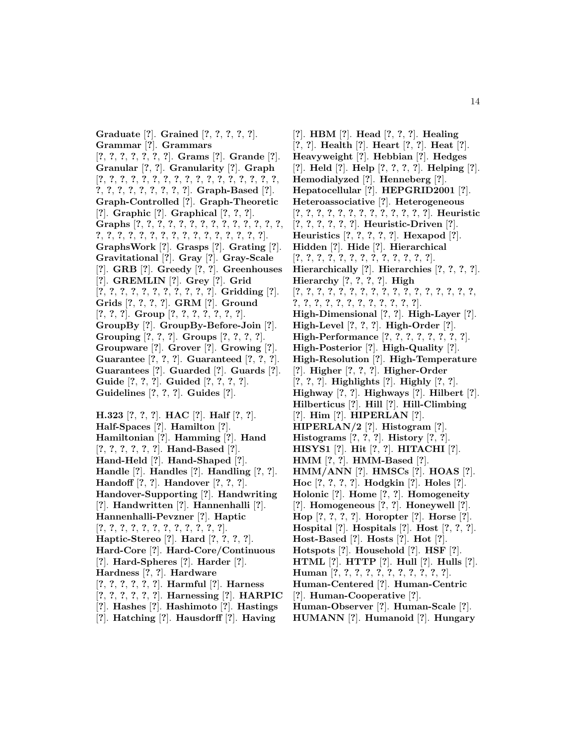**Graduate** [**?**]. **Grained** [**?**, **?**, **?**, **?**, **?**]. **Grammar** [**?**]. **Grammars** [**?**, **?**, **?**, **?**, **?**, **?**, **?**]. **Grams** [**?**]. **Grande** [**?**]. **Granular** [**?**, **?**]. **Granularity** [**?**]. **Graph** [**?**, **?**, **?**, **?**, **?**, **?**, **?**, **?**, **?**, **?**, **?**, **?**, **?**, **?**, **?**, **?**, **?**, **?**, **?**, **?**, **?**, **?**, **?**, **?**, **?**, **?**]. **Graph-Based** [**?**]. **Graph-Controlled** [**?**]. **Graph-Theoretic** [**?**]. **Graphic** [**?**]. **Graphical** [**?**, **?**, **?**]. **Graphs** [**?**, **?**, **?**, **?**, **?**, **?**, **?**, **?**, **?**, **?**, **?**, **?**, **?**, **?**, **?**, **?**, **?**, **?**, **?**, **?**, **?**, **?**, **?**, **?**, **?**, **?**, **?**, **?**, **?**, **?**]. **GraphsWork** [**?**]. **Grasps** [**?**]. **Grating** [**?**]. **Gravitational** [**?**]. **Gray** [**?**]. **Gray-Scale** [**?**]. **GRB** [**?**]. **Greedy** [**?**, **?**]. **Greenhouses** [**?**]. **GREMLIN** [**?**]. **Grey** [**?**]. **Grid** [**?**, **?**, **?**, **?**, **?**, **?**, **?**, **?**, **?**, **?**, **?**]. **Gridding** [**?**]. **Grids** [**?**, **?**, **?**, **?**]. **GRM** [**?**]. **Ground** [**?**, **?**, **?**]. **Group** [**?**, **?**, **?**, **?**, **?**, **?**, **?**]. **GroupBy** [**?**]. **GroupBy-Before-Join** [**?**]. **Grouping** [**?**, **?**, **?**]. **Groups** [**?**, **?**, **?**, **?**]. **Groupware** [**?**]. **Grover** [**?**]. **Growing** [**?**]. **Guarantee** [**?**, **?**, **?**]. **Guaranteed** [**?**, **?**, **?**]. **Guarantees** [**?**]. **Guarded** [**?**]. **Guards** [**?**]. **Guide** [**?**, **?**, **?**]. **Guided** [**?**, **?**, **?**, **?**]. **Guidelines** [**?**, **?**, **?**]. **Guides** [**?**]. **H.323** [**?**, **?**, **?**]. **HAC** [**?**]. **Half** [**?**, **?**]. **Half-Spaces** [**?**]. **Hamilton** [**?**].

**Hamiltonian** [**?**]. **Hamming** [**?**]. **Hand** [**?**, **?**, **?**, **?**, **?**, **?**]. **Hand-Based** [**?**]. **Hand-Held** [**?**]. **Hand-Shaped** [**?**]. **Handle** [**?**]. **Handles** [**?**]. **Handling** [**?**, **?**]. **Handoff** [**?**, **?**]. **Handover** [**?**, **?**, **?**]. **Handover-Supporting** [**?**]. **Handwriting** [**?**]. **Handwritten** [**?**]. **Hannenhalli** [**?**]. **Hannenhalli-Pevzner** [**?**]. **Haptic** [**?**, **?**, **?**, **?**, **?**, **?**, **?**, **?**, **?**, **?**, **?**, **?**]. **Haptic-Stereo** [**?**]. **Hard** [**?**, **?**, **?**, **?**]. **Hard-Core** [**?**]. **Hard-Core/Continuous** [**?**]. **Hard-Spheres** [**?**]. **Harder** [**?**]. **Hardness** [**?**, **?**]. **Hardware** [**?**, **?**, **?**, **?**, **?**, **?**]. **Harmful** [**?**]. **Harness** [**?**, **?**, **?**, **?**, **?**, **?**]. **Harnessing** [**?**]. **HARPIC** [**?**]. **Hashes** [**?**]. **Hashimoto** [**?**]. **Hastings** [**?**]. **Hatching** [**?**]. **Hausdorff** [**?**]. **Having**

[**?**]. **HBM** [**?**]. **Head** [**?**, **?**, **?**]. **Healing** [**?**, **?**]. **Health** [**?**]. **Heart** [**?**, **?**]. **Heat** [**?**]. **Heavyweight** [**?**]. **Hebbian** [**?**]. **Hedges** [**?**]. **Held** [**?**]. **Help** [**?**, **?**, **?**, **?**]. **Helping** [**?**]. **Hemodialyzed** [**?**]. **Henneberg** [**?**]. **Hepatocellular** [**?**]. **HEPGRID2001** [**?**]. **Heteroassociative** [**?**]. **Heterogeneous** [**?**, **?**, **?**, **?**, **?**, **?**, **?**, **?**, **?**, **?**, **?**, **?**, **?**]. **Heuristic** [**?**, **?**, **?**, **?**, **?**, **?**]. **Heuristic-Driven** [**?**]. **Heuristics** [**?**, **?**, **?**, **?**, **?**]. **Hexapod** [**?**]. **Hidden** [**?**]. **Hide** [**?**]. **Hierarchical** [**?**, **?**, **?**, **?**, **?**, **?**, **?**, **?**, **?**, **?**, **?**, **?**, **?**]. **Hierarchically** [**?**]. **Hierarchies** [**?**, **?**, **?**, **?**]. **Hierarchy** [**?**, **?**, **?**, **?**]. **High** [**?**, **?**, **?**, **?**, **?**, **?**, **?**, **?**, **?**, **?**, **?**, **?**, **?**, **?**, **?**, **?**, **?**, **?**, **?**, **?**, **?**, **?**, **?**, **?**, **?**, **?**, **?**, **?**, **?**]. **High-Dimensional** [**?**, **?**]. **High-Layer** [**?**]. **High-Level** [**?**, **?**, **?**]. **High-Order** [**?**]. **High-Performance** [**?**, **?**, **?**, **?**, **?**, **?**, **?**, **?**]. **High-Posterior** [**?**]. **High-Quality** [**?**]. **High-Resolution** [**?**]. **High-Temperature** [**?**]. **Higher** [**?**, **?**, **?**]. **Higher-Order** [**?**, **?**, **?**]. **Highlights** [**?**]. **Highly** [**?**, **?**]. **Highway** [**?**, **?**]. **Highways** [**?**]. **Hilbert** [**?**]. **Hilberticus** [**?**]. **Hill** [**?**]. **Hill-Climbing** [**?**]. **Him** [**?**]. **HIPERLAN** [**?**]. **HIPERLAN/2** [**?**]. **Histogram** [**?**]. **Histograms** [**?**, **?**, **?**]. **History** [**?**, **?**]. **HISYS1** [**?**]. **Hit** [**?**, **?**]. **HITACHI** [**?**]. **HMM** [**?**, **?**]. **HMM-Based** [**?**]. **HMM/ANN** [**?**]. **HMSCs** [**?**]. **HOAS** [**?**]. **Hoc** [**?**, **?**, **?**, **?**]. **Hodgkin** [**?**]. **Holes** [**?**]. **Holonic** [**?**]. **Home** [**?**, **?**]. **Homogeneity** [**?**]. **Homogeneous** [**?**, **?**]. **Honeywell** [**?**]. **Hop** [**?**, **?**, **?**, **?**]. **Horopter** [**?**]. **Horse** [**?**]. **Hospital** [**?**]. **Hospitals** [**?**]. **Host** [**?**, **?**, **?**]. **Host-Based** [**?**]. **Hosts** [**?**]. **Hot** [**?**]. **Hotspots** [**?**]. **Household** [**?**]. **HSF** [**?**]. **HTML** [**?**]. **HTTP** [**?**]. **Hull** [**?**]. **Hulls** [**?**]. **Human** [**?**, **?**, **?**, **?**, **?**, **?**, **?**, **?**, **?**, **?**, **?**]. **Human-Centered** [**?**]. **Human-Centric** [**?**]. **Human-Cooperative** [**?**]. **Human-Observer** [**?**]. **Human-Scale** [**?**].

**HUMANN** [**?**]. **Humanoid** [**?**]. **Hungary**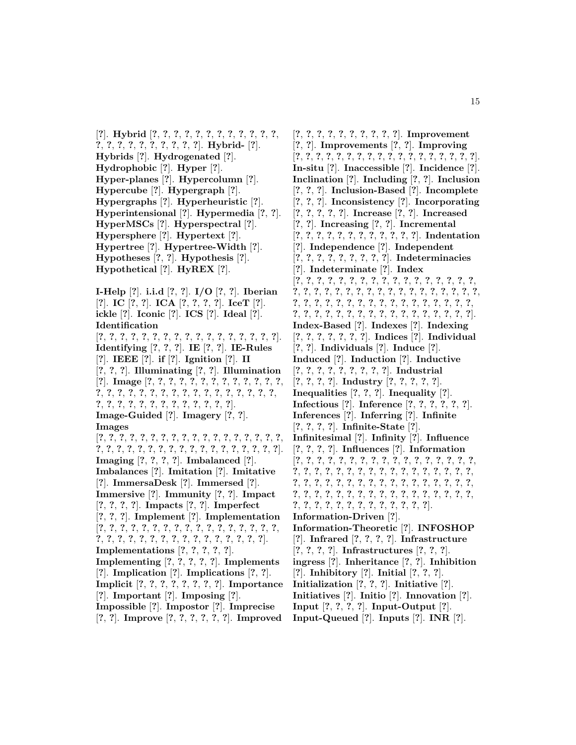[**?**]. **Hybrid** [**?**, **?**, **?**, **?**, **?**, **?**, **?**, **?**, **?**, **?**, **?**, **?**, **?**, **?**, **?**, **?**, **?**, **?**, **?**, **?**, **?**, **?**]. **Hybrid-** [**?**]. **Hybrids** [**?**]. **Hydrogenated** [**?**]. **Hydrophobic** [**?**]. **Hyper** [**?**]. **Hyper-planes** [**?**]. **Hypercolumn** [**?**]. **Hypercube** [**?**]. **Hypergraph** [**?**]. **Hypergraphs** [**?**]. **Hyperheuristic** [**?**]. **Hyperintensional** [**?**]. **Hypermedia** [**?**, **?**]. **HyperMSCs** [**?**]. **Hyperspectral** [**?**]. **Hypersphere** [**?**]. **Hypertext** [**?**]. **Hypertree** [**?**]. **Hypertree-Width** [**?**]. **Hypotheses** [**?**, **?**]. **Hypothesis** [**?**]. **Hypothetical** [**?**]. **HyREX** [**?**].

**I-Help** [**?**]. **i.i.d** [**?**, **?**]. **I/O** [**?**, **?**]. **Iberian** [**?**]. **IC** [**?**, **?**]. **ICA** [**?**, **?**, **?**, **?**]. **IceT** [**?**]. **ickle** [**?**]. **Iconic** [**?**]. **ICS** [**?**]. **Ideal** [**?**]. **Identification** [**?**, **?**, **?**, **?**, **?**, **?**, **?**, **?**, **?**, **?**, **?**, **?**, **?**, **?**, **?**, **?**, **?**]. **Identifying** [**?**, **?**, **?**]. **IE** [**?**, **?**]. **IE-Rules** [**?**]. **IEEE** [**?**]. **if** [**?**]. **Ignition** [**?**]. **II** [**?**, **?**, **?**]. **Illuminating** [**?**, **?**]. **Illumination** [**?**]. **Image** [**?**, **?**, **?**, **?**, **?**, **?**, **?**, **?**, **?**, **?**, **?**, **?**, **?**, **?**, **?**, **?**, **?**, **?**, **?**, **?**, **?**, **?**, **?**, **?**, **?**, **?**, **?**, **?**, **?**, **?**, **?**, **?**, **?**, **?**, **?**, **?**, **?**, **?**, **?**, **?**, **?**, **?**, **?**]. **Image-Guided** [**?**]. **Imagery** [**?**, **?**]. **Images** [**?**, **?**, **?**, **?**, **?**, **?**, **?**, **?**, **?**, **?**, **?**, **?**, **?**, **?**, **?**, **?**, **?**, **?**, **?**, **?**, **?**, **?**, **?**, **?**, **?**, **?**, **?**, **?**, **?**, **?**, **?**, **?**, **?**, **?**, **?**, **?**]. **Imaging** [**?**, **?**, **?**, **?**]. **Imbalanced** [**?**]. **Imbalances** [**?**]. **Imitation** [**?**]. **Imitative** [**?**]. **ImmersaDesk** [**?**]. **Immersed** [**?**]. **Immersive** [**?**]. **Immunity** [**?**, **?**]. **Impact** [**?**, **?**, **?**, **?**]. **Impacts** [**?**, **?**]. **Imperfect** [**?**, **?**, **?**]. **Implement** [**?**]. **Implementation** [**?**, **?**, **?**, **?**, **?**, **?**, **?**, **?**, **?**, **?**, **?**, **?**, **?**, **?**, **?**, **?**, **?**, **?**, **?**, **?**, **?**, **?**, **?**, **?**, **?**, **?**, **?**, **?**, **?**, **?**, **?**, **?**, **?**]. **Implementations** [**?**, **?**, **?**, **?**, **?**]. **Implementing** [**?**, **?**, **?**, **?**, **?**]. **Implements** [**?**]. **Implication** [**?**]. **Implications** [**?**, **?**]. **Implicit** [**?**, **?**, **?**, **?**, **?**, **?**, **?**, **?**]. **Importance** [**?**]. **Important** [**?**]. **Imposing** [**?**]. **Impossible** [**?**]. **Impostor** [**?**]. **Imprecise** [**?**, **?**]. **Improve** [**?**, **?**, **?**, **?**, **?**, **?**]. **Improved**

[**?**, **?**, **?**, **?**, **?**, **?**, **?**, **?**, **?**, **?**]. **Improvement** [**?**, **?**]. **Improvements** [**?**, **?**]. **Improving** [**?**, **?**, **?**, **?**, **?**, **?**, **?**, **?**, **?**, **?**, **?**, **?**, **?**, **?**, **?**, **?**, **?**, **?**]. **In-situ** [**?**]. **Inaccessible** [**?**]. **Incidence** [**?**]. **Inclination** [**?**]. **Including** [**?**, **?**]. **Inclusion** [**?**, **?**, **?**]. **Inclusion-Based** [**?**]. **Incomplete** [**?**, **?**, **?**]. **Inconsistency** [**?**]. **Incorporating** [**?**, **?**, **?**, **?**, **?**]. **Increase** [**?**, **?**]. **Increased** [**?**, **?**]. **Increasing** [**?**, **?**]. **Incremental** [**?**, **?**, **?**, **?**, **?**, **?**, **?**, **?**, **?**, **?**, **?**, **?**]. **Indentation** [**?**]. **Independence** [**?**]. **Independent** [**?**, **?**, **?**, **?**, **?**, **?**, **?**, **?**, **?**]. **Indeterminacies** [**?**]. **Indeterminate** [**?**]. **Index** [**?**, **?**, **?**, **?**, **?**, **?**, **?**, **?**, **?**, **?**, **?**, **?**, **?**, **?**, **?**, **?**, **?**, **?**, **?**, **?**, **?**, **?**, **?**, **?**, **?**, **?**, **?**, **?**, **?**, **?**, **?**, **?**, **?**, **?**, **?**, **?**, **?**, **?**, **?**, **?**, **?**, **?**, **?**, **?**, **?**, **?**, **?**, **?**, **?**, **?**, **?**, **?**, **?**, **?**, **?**, **?**, **?**, **?**, **?**, **?**, **?**, **?**, **?**, **?**, **?**, **?**, **?**, **?**, **?**]. **Index-Based** [**?**]. **Indexes** [**?**]. **Indexing** [**?**, **?**, **?**, **?**, **?**, **?**, **?**]. **Indices** [**?**]. **Individual** [**?**, **?**]. **Individuals** [**?**]. **Induce** [**?**]. **Induced** [**?**]. **Induction** [**?**]. **Inductive** [**?**, **?**, **?**, **?**, **?**, **?**, **?**, **?**, **?**]. **Industrial** [**?**, **?**, **?**, **?**]. **Industry** [**?**, **?**, **?**, **?**, **?**]. **Inequalities** [**?**, **?**, **?**]. **Inequality** [**?**]. **Infectious** [**?**]. **Inference** [**?**, **?**, **?**, **?**, **?**, **?**]. **Inferences** [**?**]. **Inferring** [**?**]. **Infinite** [**?**, **?**, **?**, **?**]. **Infinite-State** [**?**]. **Infinitesimal** [**?**]. **Infinity** [**?**]. **Influence** [**?**, **?**, **?**, **?**]. **Influences** [**?**]. **Information** [**?**, **?**, **?**, **?**, **?**, **?**, **?**, **?**, **?**, **?**, **?**, **?**, **?**, **?**, **?**, **?**, **?**, **?**, **?**, **?**, **?**, **?**, **?**, **?**, **?**, **?**, **?**, **?**, **?**, **?**, **?**, **?**, **?**, **?**, **?**, **?**, **?**, **?**, **?**, **?**, **?**, **?**, **?**, **?**, **?**, **?**, **?**, **?**, **?**, **?**, **?**, **?**, **?**, **?**, **?**, **?**, **?**, **?**, **?**, **?**, **?**, **?**, **?**, **?**, **?**, **?**, **?**, **?**, **?**, **?**, **?**, **?**, **?**, **?**, **?**, **?**, **?**, **?**, **?**, **?**, **?**]. **Information-Driven** [**?**]. **Information-Theoretic** [**?**]. **INFOSHOP** [**?**]. **Infrared** [**?**, **?**, **?**, **?**]. **Infrastructure** [**?**, **?**, **?**, **?**]. **Infrastructures** [**?**, **?**, **?**]. **ingress** [**?**]. **Inheritance** [**?**, **?**]. **Inhibition** [**?**]. **Inhibitory** [**?**]. **Initial** [**?**, **?**, **?**]. **Initialization** [**?**, **?**, **?**]. **Initiative** [**?**]. **Initiatives** [**?**]. **Initio** [**?**]. **Innovation** [**?**]. **Input** [**?**, **?**, **?**, **?**]. **Input-Output** [**?**]. **Input-Queued** [**?**]. **Inputs** [**?**]. **INR** [**?**].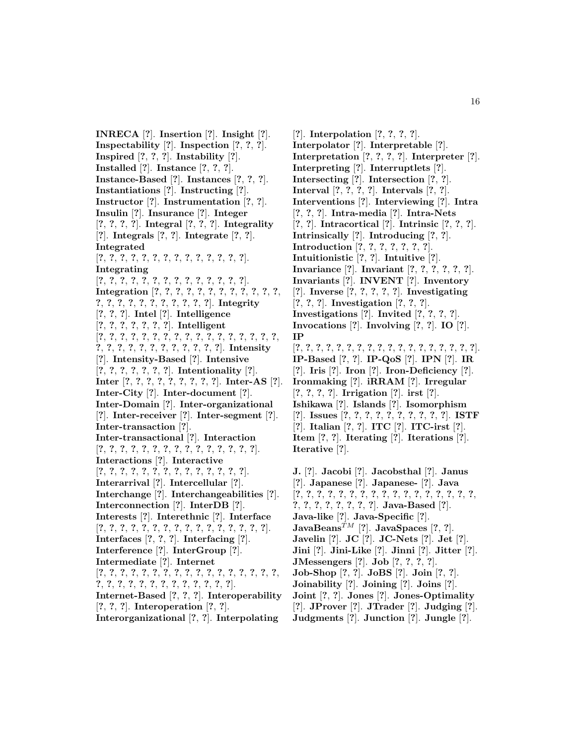**INRECA** [**?**]. **Insertion** [**?**]. **Insight** [**?**]. **Inspectability** [**?**]. **Inspection** [**?**, **?**, **?**]. **Inspired** [**?**, **?**, **?**]. **Instability** [**?**]. **Installed** [**?**]. **Instance** [**?**, **?**, **?**]. **Instance-Based** [**?**]. **Instances** [**?**, **?**, **?**]. **Instantiations** [**?**]. **Instructing** [**?**]. **Instructor** [**?**]. **Instrumentation** [**?**, **?**]. **Insulin** [**?**]. **Insurance** [**?**]. **Integer** [**?**, **?**, **?**, **?**]. **Integral** [**?**, **?**, **?**]. **Integrality** [**?**]. **Integrals** [**?**, **?**]. **Integrate** [**?**, **?**]. **Integrated** [**?**, **?**, **?**, **?**, **?**, **?**, **?**, **?**, **?**, **?**, **?**, **?**, **?**, **?**]. **Integrating** [**?**, **?**, **?**, **?**, **?**, **?**, **?**, **?**, **?**, **?**, **?**, **?**, **?**, **?**]. **Integration** [**?**, **?**, **?**, **?**, **?**, **?**, **?**, **?**, **?**, **?**, **?**, **?**, **?**, **?**, **?**, **?**, **?**, **?**, **?**, **?**, **?**, **?**, **?**]. **Integrity** [**?**, **?**, **?**]. **Intel** [**?**]. **Intelligence** [**?**, **?**, **?**, **?**, **?**, **?**, **?**]. **Intelligent** [**?**, **?**, **?**, **?**, **?**, **?**, **?**, **?**, **?**, **?**, **?**, **?**, **?**, **?**, **?**, **?**, **?**, **?**, **?**, **?**, **?**, **?**, **?**, **?**, **?**, **?**, **?**, **?**, **?**]. **Intensity** [**?**]. **Intensity-Based** [**?**]. **Intensive** [**?**, **?**, **?**, **?**, **?**, **?**, **?**]. **Intentionality** [**?**]. **Inter** [**?**, **?**, **?**, **?**, **?**, **?**, **?**, **?**, **?**]. **Inter-AS** [**?**]. **Inter-City** [**?**]. **Inter-document** [**?**]. **Inter-Domain** [**?**]. **Inter-organizational** [**?**]. **Inter-receiver** [**?**]. **Inter-segment** [**?**]. **Inter-transaction** [**?**]. **Inter-transactional** [**?**]. **Interaction** [**?**, **?**, **?**, **?**, **?**, **?**, **?**, **?**, **?**, **?**, **?**, **?**, **?**, **?**, **?**]. **Interactions** [**?**]. **Interactive** [**?**, **?**, **?**, **?**, **?**, **?**, **?**, **?**, **?**, **?**, **?**, **?**, **?**, **?**]. **Interarrival** [**?**]. **Intercellular** [**?**]. **Interchange** [**?**]. **Interchangeabilities** [**?**]. **Interconnection** [**?**]. **InterDB** [**?**]. **Interests** [**?**]. **Interethnic** [**?**]. **Interface** [**?**, **?**, **?**, **?**, **?**, **?**, **?**, **?**, **?**, **?**, **?**, **?**, **?**, **?**, **?**, **?**]. **Interfaces** [**?**, **?**, **?**]. **Interfacing** [**?**]. **Interference** [**?**]. **InterGroup** [**?**]. **Intermediate** [**?**]. **Internet** [**?**, **?**, **?**, **?**, **?**, **?**, **?**, **?**, **?**, **?**, **?**, **?**, **?**, **?**, **?**, **?**, **?**, **?**, **?**, **?**, **?**, **?**, **?**, **?**, **?**, **?**, **?**, **?**, **?**, **?**]. **Internet-Based** [**?**, **?**, **?**]. **Interoperability** [**?**, **?**, **?**]. **Interoperation** [**?**, **?**]. **Interorganizational** [**?**, **?**]. **Interpolating**

[**?**]. **Interpolation** [**?**, **?**, **?**, **?**]. **Interpolator** [**?**]. **Interpretable** [**?**]. **Interpretation** [**?**, **?**, **?**, **?**]. **Interpreter** [**?**]. **Interpreting** [**?**]. **Interruptlets** [**?**]. **Intersecting** [**?**]. **Intersection** [**?**, **?**]. **Interval** [**?**, **?**, **?**, **?**]. **Intervals** [**?**, **?**]. **Interventions** [**?**]. **Interviewing** [**?**]. **Intra** [**?**, **?**, **?**]. **Intra-media** [**?**]. **Intra-Nets** [**?**, **?**]. **Intracortical** [**?**]. **Intrinsic** [**?**, **?**, **?**]. **Intrinsically** [**?**]. **Introducing** [**?**, **?**]. **Introduction** [**?**, **?**, **?**, **?**, **?**, **?**, **?**]. **Intuitionistic** [**?**, **?**]. **Intuitive** [**?**]. **Invariance** [**?**]. **Invariant** [**?**, **?**, **?**, **?**, **?**, **?**]. **Invariants** [**?**]. **INVENT** [**?**]. **Inventory** [**?**]. **Inverse** [**?**, **?**, **?**, **?**, **?**]. **Investigating** [**?**, **?**, **?**]. **Investigation** [**?**, **?**, **?**]. **Investigations** [**?**]. **Invited** [**?**, **?**, **?**, **?**]. **Invocations** [**?**]. **Involving** [**?**, **?**]. **IO** [**?**]. **IP** [**?**, **?**, **?**, **?**, **?**, **?**, **?**, **?**, **?**, **?**, **?**, **?**, **?**, **?**, **?**, **?**, **?**, **?**]. **IP-Based** [**?**, **?**]. **IP-QoS** [**?**]. **IPN** [**?**]. **IR** [**?**]. **Iris** [**?**]. **Iron** [**?**]. **Iron-Deficiency** [**?**]. **Ironmaking** [**?**]. **iRRAM** [**?**]. **Irregular** [**?**, **?**, **?**, **?**]. **Irrigation** [**?**]. **irst** [**?**]. **Ishikawa** [**?**]. **Islands** [**?**]. **Isomorphism** [**?**]. **Issues** [**?**, **?**, **?**, **?**, **?**, **?**, **?**, **?**, **?**, **?**]. **ISTF** [**?**]. **Italian** [**?**, **?**]. **ITC** [**?**]. **ITC-irst** [**?**]. **Item** [**?**, **?**]. **Iterating** [**?**]. **Iterations** [**?**]. **Iterative** [**?**].

**J.** [**?**]. **Jacobi** [**?**]. **Jacobsthal** [**?**]. **Janus** [**?**]. **Japanese** [**?**]. **Japanese-** [**?**]. **Java** [**?**, **?**, **?**, **?**, **?**, **?**, **?**, **?**, **?**, **?**, **?**, **?**, **?**, **?**, **?**, **?**, **?**, **?**, **?**, **?**, **?**, **?**, **?**, **?**, **?**]. **Java-Based** [**?**]. **Java-like** [**?**]. **Java-Specific** [**?**].  $JavaBeans^{TM}$  [?].  $JavaSpaces$  [?, ?]. **Javelin** [**?**]. **JC** [**?**]. **JC-Nets** [**?**]. **Jet** [**?**]. **Jini** [**?**]. **Jini-Like** [**?**]. **Jinni** [**?**]. **Jitter** [**?**]. **JMessengers** [**?**]. **Job** [**?**, **?**, **?**, **?**]. **Job-Shop** [**?**, **?**]. **JoBS** [**?**]. **Join** [**?**, **?**]. **Joinability** [**?**]. **Joining** [**?**]. **Joins** [**?**]. **Joint** [**?**, **?**]. **Jones** [**?**]. **Jones-Optimality** [**?**]. **JProver** [**?**]. **JTrader** [**?**]. **Judging** [**?**]. **Judgments** [**?**]. **Junction** [**?**]. **Jungle** [**?**].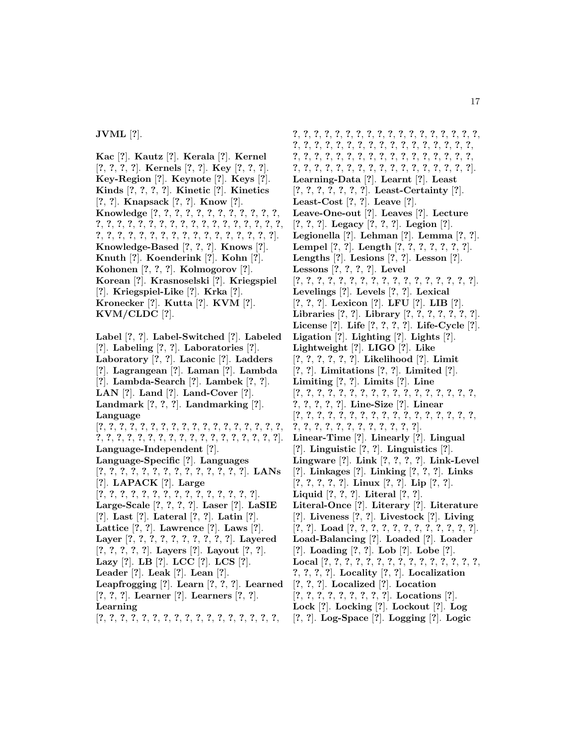**Kac** [**?**]. **Kautz** [**?**]. **Kerala** [**?**]. **Kernel** [**?**, **?**, **?**, **?**]. **Kernels** [**?**, **?**]. **Key** [**?**, **?**, **?**]. **Key-Region** [**?**]. **Keynote** [**?**]. **Keys** [**?**]. **Kinds** [**?**, **?**, **?**, **?**]. **Kinetic** [**?**]. **Kinetics** [**?**, **?**]. **Knapsack** [**?**, **?**]. **Know** [**?**]. **Knowledge** [**?**, **?**, **?**, **?**, **?**, **?**, **?**, **?**, **?**, **?**, **?**, **?**, **?**, **?**, **?**, **?**, **?**, **?**, **?**, **?**, **?**, **?**, **?**, **?**, **?**, **?**, **?**, **?**, **?**, **?**, **?**, **?**, **?**, **?**, **?**, **?**, **?**, **?**, **?**, **?**, **?**, **?**, **?**, **?**, **?**, **?**, **?**]. **Knowledge-Based** [**?**, **?**, **?**]. **Knows** [**?**]. **Knuth** [**?**]. **Koenderink** [**?**]. **Kohn** [**?**]. **Kohonen** [**?**, **?**, **?**]. **Kolmogorov** [**?**]. **Korean** [**?**]. **Krasnoselski** [**?**]. **Kriegspiel** [**?**]. **Kriegspiel-Like** [**?**]. **Krka** [**?**]. **Kronecker** [**?**]. **Kutta** [**?**]. **KVM** [**?**]. **KVM/CLDC** [**?**].

**Label** [**?**, **?**]. **Label-Switched** [**?**]. **Labeled** [**?**]. **Labeling** [**?**, **?**]. **Laboratories** [**?**]. **Laboratory** [**?**, **?**]. **Laconic** [**?**]. **Ladders** [**?**]. **Lagrangean** [**?**]. **Laman** [**?**]. **Lambda** [**?**]. **Lambda-Search** [**?**]. **Lambek** [**?**, **?**]. **LAN** [**?**]. **Land** [**?**]. **Land-Cover** [**?**]. **Landmark** [**?**, **?**, **?**]. **Landmarking** [**?**]. **Language** [**?**, **?**, **?**, **?**, **?**, **?**, **?**, **?**, **?**, **?**, **?**, **?**, **?**, **?**, **?**, **?**, **?**, **?**, **?**, **?**, **?**, **?**, **?**, **?**, **?**, **?**, **?**, **?**, **?**, **?**, **?**, **?**, **?**, **?**, **?**, **?**]. **Language-Independent** [**?**]. **Language-Specific** [**?**]. **Languages** [**?**, **?**, **?**, **?**, **?**, **?**, **?**, **?**, **?**, **?**, **?**, **?**, **?**, **?**]. **LANs** [**?**]. **LAPACK** [**?**]. **Large** [**?**, **?**, **?**, **?**, **?**, **?**, **?**, **?**, **?**, **?**, **?**, **?**, **?**, **?**, **?**]. **Large-Scale** [**?**, **?**, **?**, **?**]. **Laser** [**?**]. **LaSIE** [**?**]. **Last** [**?**]. **Lateral** [**?**, **?**]. **Latin** [**?**]. **Lattice** [**?**, **?**]. **Lawrence** [**?**]. **Laws** [**?**]. **Layer** [**?**, **?**, **?**, **?**, **?**, **?**, **?**, **?**, **?**, **?**]. **Layered** [**?**, **?**, **?**, **?**, **?**]. **Layers** [**?**]. **Layout** [**?**, **?**]. **Lazy** [**?**]. **LB** [**?**]. **LCC** [**?**]. **LCS** [**?**]. **Leader** [**?**]. **Leak** [**?**]. **Lean** [**?**]. **Leapfrogging** [**?**]. **Learn** [**?**, **?**, **?**]. **Learned** [**?**, **?**, **?**]. **Learner** [**?**]. **Learners** [**?**, **?**]. **Learning**

[**?**, **?**, **?**, **?**, **?**, **?**, **?**, **?**, **?**, **?**, **?**, **?**, **?**, **?**, **?**, **?**, **?**,

**?**, **?**, **?**, **?**, **?**, **?**, **?**, **?**, **?**, **?**, **?**, **?**, **?**, **?**, **?**, **?**, **?**, **?**, **?**, **?**, **?**, **?**, **?**, **?**, **?**, **?**, **?**, **?**, **?**, **?**, **?**, **?**, **?**, **?**, **?**, **?**, **?**, **?**, **?**, **?**, **?**, **?**, **?**, **?**, **?**, **?**, **?**, **?**, **?**, **?**, **?**, **?**, **?**, **?**, **?**, **?**, **?**, **?**, **?**, **?**, **?**, **?**, **?**, **?**, **?**, **?**, **?**, **?**, **?**]. **Learning-Data** [**?**]. **Learnt** [**?**]. **Least** [**?**, **?**, **?**, **?**, **?**, **?**, **?**]. **Least-Certainty** [**?**]. **Least-Cost** [**?**, **?**]. **Leave** [**?**]. **Leave-One-out** [**?**]. **Leaves** [**?**]. **Lecture** [**?**, **?**, **?**]. **Legacy** [**?**, **?**, **?**]. **Legion** [**?**]. **Legionella** [**?**]. **Lehman** [**?**]. **Lemma** [**?**, **?**]. **Lempel** [**?**, **?**]. **Length** [**?**, **?**, **?**, **?**, **?**, **?**, **?**]. **Lengths** [**?**]. **Lesions** [**?**, **?**]. **Lesson** [**?**]. **Lessons** [**?**, **?**, **?**, **?**]. **Level** [**?**, **?**, **?**, **?**, **?**, **?**, **?**, **?**, **?**, **?**, **?**, **?**, **?**, **?**, **?**, **?**, **?**]. **Levelings** [**?**]. **Levels** [**?**, **?**]. **Lexical** [**?**, **?**, **?**]. **Lexicon** [**?**]. **LFU** [**?**]. **LIB** [**?**]. **Libraries** [**?**, **?**]. **Library** [**?**, **?**, **?**, **?**, **?**, **?**, **?**]. **License** [**?**]. **Life** [**?**, **?**, **?**, **?**]. **Life-Cycle** [**?**]. **Ligation** [**?**]. **Lighting** [**?**]. **Lights** [**?**]. **Lightweight** [**?**]. **LIGO** [**?**]. **Like** [**?**, **?**, **?**, **?**, **?**, **?**]. **Likelihood** [**?**]. **Limit** [**?**, **?**]. **Limitations** [**?**, **?**]. **Limited** [**?**]. **Limiting** [**?**, **?**]. **Limits** [**?**]. **Line** [**?**, **?**, **?**, **?**, **?**, **?**, **?**, **?**, **?**, **?**, **?**, **?**, **?**, **?**, **?**, **?**, **?**, **?**, **?**, **?**, **?**, **?**]. **Line-Size** [**?**]. **Linear** [**?**, **?**, **?**, **?**, **?**, **?**, **?**, **?**, **?**, **?**, **?**, **?**, **?**, **?**, **?**, **?**, **?**, **?**, **?**, **?**, **?**, **?**, **?**, **?**, **?**, **?**, **?**, **?**, **?**]. **Linear-Time** [**?**]. **Linearly** [**?**]. **Lingual** [**?**]. **Linguistic** [**?**, **?**]. **Linguistics** [**?**]. **Lingware** [**?**]. **Link** [**?**, **?**, **?**, **?**]. **Link-Level** [**?**]. **Linkages** [**?**]. **Linking** [**?**, **?**, **?**]. **Links** [**?**, **?**, **?**, **?**, **?**]. **Linux** [**?**, **?**]. **Lip** [**?**, **?**]. **Liquid** [**?**, **?**, **?**]. **Literal** [**?**, **?**]. **Literal-Once** [**?**]. **Literary** [**?**]. **Literature** [**?**]. **Liveness** [**?**, **?**]. **Livestock** [**?**]. **Living** [**?**, **?**]. **Load** [**?**, **?**, **?**, **?**, **?**, **?**, **?**, **?**, **?**, **?**, **?**, **?**]. **Load-Balancing** [**?**]. **Loaded** [**?**]. **Loader** [**?**]. **Loading** [**?**, **?**]. **Lob** [**?**]. **Lobe** [**?**]. **Local** [**?**, **?**, **?**, **?**, **?**, **?**, **?**, **?**, **?**, **?**, **?**, **?**, **?**, **?**, **?**, **?**, **?**, **?**, **?**]. **Locality** [**?**, **?**]. **Localization** [**?**, **?**, **?**]. **Localized** [**?**]. **Location** [**?**, **?**, **?**, **?**, **?**, **?**, **?**, **?**, **?**]. **Locations** [**?**]. **Lock** [**?**]. **Locking** [**?**]. **Lockout** [**?**]. **Log** [**?**, **?**]. **Log-Space** [**?**]. **Logging** [**?**]. **Logic**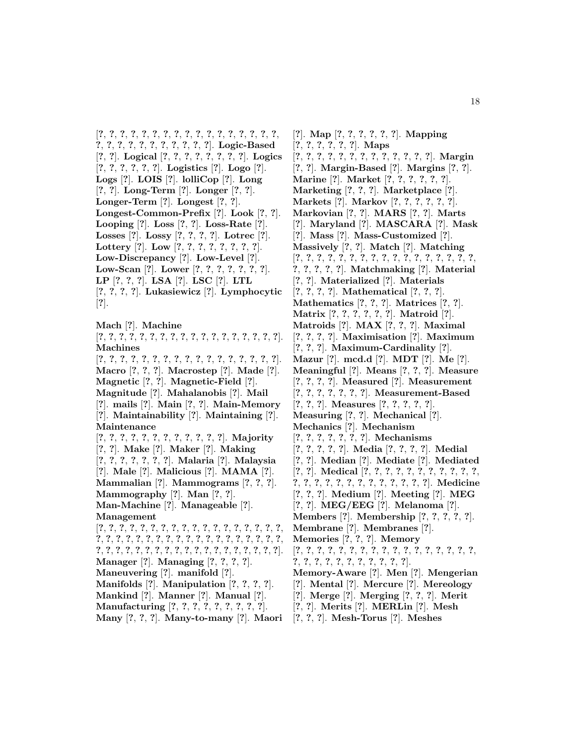[**?**, **?**, **?**, **?**, **?**, **?**, **?**, **?**, **?**, **?**, **?**, **?**, **?**, **?**, **?**, **?**, **?**, **?**, **?**, **?**, **?**, **?**, **?**, **?**, **?**, **?**, **?**, **?**]. **Logic-Based** [**?**, **?**]. **Logical** [**?**, **?**, **?**, **?**, **?**, **?**, **?**, **?**]. **Logics** [**?**, **?**, **?**, **?**, **?**, **?**]. **Logistics** [**?**]. **Logo** [**?**]. **Logs** [**?**]. **LOIS** [**?**]. **lolliCop** [**?**]. **Long** [**?**, **?**]. **Long-Term** [**?**]. **Longer** [**?**, **?**]. **Longer-Term** [**?**]. **Longest** [**?**, **?**]. **Longest-Common-Prefix** [**?**]. **Look** [**?**, **?**]. **Looping** [**?**]. **Loss** [**?**, **?**]. **Loss-Rate** [**?**]. **Losses** [**?**]. **Lossy** [**?**, **?**, **?**, **?**]. **Lotrec** [**?**]. **Lottery** [**?**]. **Low** [**?**, **?**, **?**, **?**, **?**, **?**, **?**, **?**]. **Low-Discrepancy** [**?**]. **Low-Level** [**?**]. **Low-Scan** [**?**]. **Lower** [**?**, **?**, **?**, **?**, **?**, **?**, **?**]. **LP** [**?**, **?**, **?**]. **LSA** [**?**]. **LSC** [**?**]. **LTL** [**?**, **?**, **?**, **?**]. **Lukasiewicz** [**?**]. **Lymphocytic** [**?**].

**Mach** [**?**]. **Machine** [**?**, **?**, **?**, **?**, **?**, **?**, **?**, **?**, **?**, **?**, **?**, **?**, **?**, **?**, **?**, **?**, **?**, **?**]. **Machines** [**?**, **?**, **?**, **?**, **?**, **?**, **?**, **?**, **?**, **?**, **?**, **?**, **?**, **?**, **?**, **?**, **?**]. **Macro** [**?**, **?**, **?**]. **Macrostep** [**?**]. **Made** [**?**]. **Magnetic** [**?**, **?**]. **Magnetic-Field** [**?**]. **Magnitude** [**?**]. **Mahalanobis** [**?**]. **Mail** [**?**]. **mails** [**?**]. **Main** [**?**, **?**]. **Main-Memory** [**?**]. **Maintainability** [**?**]. **Maintaining** [**?**]. **Maintenance** [**?**, **?**, **?**, **?**, **?**, **?**, **?**, **?**, **?**, **?**, **?**, **?**]. **Majority** [**?**, **?**]. **Make** [**?**]. **Maker** [**?**]. **Making** [**?**, **?**, **?**, **?**, **?**, **?**, **?**]. **Malaria** [**?**]. **Malaysia** [**?**]. **Male** [**?**]. **Malicious** [**?**]. **MAMA** [**?**]. **Mammalian** [**?**]. **Mammograms** [**?**, **?**, **?**]. **Mammography** [**?**]. **Man** [**?**, **?**]. **Man-Machine** [**?**]. **Manageable** [**?**]. **Management** [**?**, **?**, **?**, **?**, **?**, **?**, **?**, **?**, **?**, **?**, **?**, **?**, **?**, **?**, **?**, **?**, **?**, **?**, **?**, **?**, **?**, **?**, **?**, **?**, **?**, **?**, **?**, **?**, **?**, **?**, **?**, **?**, **?**, **?**, **?**, **?**, **?**, **?**, **?**, **?**, **?**, **?**, **?**, **?**, **?**, **?**, **?**, **?**, **?**, **?**, **?**, **?**, **?**, **?**, **?**, **?**]. **Manager** [**?**]. **Managing** [**?**, **?**, **?**, **?**]. **Maneuvering** [**?**]. **manifold** [**?**]. **Manifolds** [**?**]. **Manipulation** [**?**, **?**, **?**, **?**]. **Mankind** [**?**]. **Manner** [**?**]. **Manual** [**?**]. **Manufacturing** [**?**, **?**, **?**, **?**, **?**, **?**, **?**, **?**, **?**].

**Many** [**?**, **?**, **?**]. **Many-to-many** [**?**]. **Maori**

[**?**]. **Map** [**?**, **?**, **?**, **?**, **?**, **?**]. **Mapping** [**?**, **?**, **?**, **?**, **?**, **?**]. **Maps** [**?**, **?**, **?**, **?**, **?**, **?**, **?**, **?**, **?**, **?**, **?**, **?**, **?**]. **Margin** [**?**, **?**]. **Margin-Based** [**?**]. **Margins** [**?**, **?**]. **Marine** [**?**]. **Market** [**?**, **?**, **?**, **?**, **?**, **?**]. **Marketing** [**?**, **?**, **?**]. **Marketplace** [**?**]. **Markets** [**?**]. **Markov** [**?**, **?**, **?**, **?**, **?**, **?**]. **Markovian** [**?**, **?**]. **MARS** [**?**, **?**]. **Marts** [**?**]. **Maryland** [**?**]. **MASCARA** [**?**]. **Mask** [**?**]. **Mass** [**?**]. **Mass-Customized** [**?**]. **Massively** [**?**, **?**]. **Match** [**?**]. **Matching** [**?**, **?**, **?**, **?**, **?**, **?**, **?**, **?**, **?**, **?**, **?**, **?**, **?**, **?**, **?**, **?**, **?**, **?**, **?**, **?**, **?**, **?**]. **Matchmaking** [**?**]. **Material** [**?**, **?**]. **Materialized** [**?**]. **Materials** [**?**, **?**, **?**, **?**]. **Mathematical** [**?**, **?**, **?**]. **Mathematics** [**?**, **?**, **?**]. **Matrices** [**?**, **?**]. **Matrix** [**?**, **?**, **?**, **?**, **?**, **?**]. **Matroid** [**?**]. **Matroids** [**?**]. **MAX** [**?**, **?**, **?**]. **Maximal** [**?**, **?**, **?**, **?**]. **Maximisation** [**?**]. **Maximum** [**?**, **?**, **?**]. **Maximum-Cardinality** [**?**]. **Mazur** [**?**]. **mcd.d** [**?**]. **MDT** [**?**]. **Me** [**?**]. **Meaningful** [**?**]. **Means** [**?**, **?**, **?**]. **Measure** [**?**, **?**, **?**, **?**]. **Measured** [**?**]. **Measurement** [**?**, **?**, **?**, **?**, **?**, **?**, **?**]. **Measurement-Based** [**?**, **?**, **?**]. **Measures** [**?**, **?**, **?**, **?**, **?**]. **Measuring** [**?**, **?**]. **Mechanical** [**?**]. **Mechanics** [**?**]. **Mechanism** [**?**, **?**, **?**, **?**, **?**, **?**, **?**]. **Mechanisms** [**?**, **?**, **?**, **?**, **?**]. **Media** [**?**, **?**, **?**, **?**]. **Medial** [**?**, **?**]. **Median** [**?**]. **Mediate** [**?**]. **Mediated** [**?**, **?**]. **Medical** [**?**, **?**, **?**, **?**, **?**, **?**, **?**, **?**, **?**, **?**, **?**, **?**, **?**, **?**, **?**, **?**, **?**, **?**, **?**, **?**, **?**, **?**, **?**, **?**]. **Medicine** [**?**, **?**, **?**]. **Medium** [**?**]. **Meeting** [**?**]. **MEG** [**?**, **?**]. **MEG/EEG** [**?**]. **Melanoma** [**?**]. **Members** [**?**]. **Membership** [**?**, **?**, **?**, **?**, **?**]. **Membrane** [**?**]. **Membranes** [**?**]. **Memories** [**?**, **?**, **?**]. **Memory** [**?**, **?**, **?**, **?**, **?**, **?**, **?**, **?**, **?**, **?**, **?**, **?**, **?**, **?**, **?**, **?**, **?**, **?**, **?**, **?**, **?**, **?**, **?**, **?**, **?**, **?**, **?**, **?**]. **Memory-Aware** [**?**]. **Men** [**?**]. **Mengerian** [**?**]. **Mental** [**?**]. **Mercure** [**?**]. **Mereology** [**?**]. **Merge** [**?**]. **Merging** [**?**, **?**, **?**]. **Merit** [**?**, **?**]. **Merits** [**?**]. **MERLin** [**?**]. **Mesh** [**?**, **?**, **?**]. **Mesh-Torus** [**?**]. **Meshes**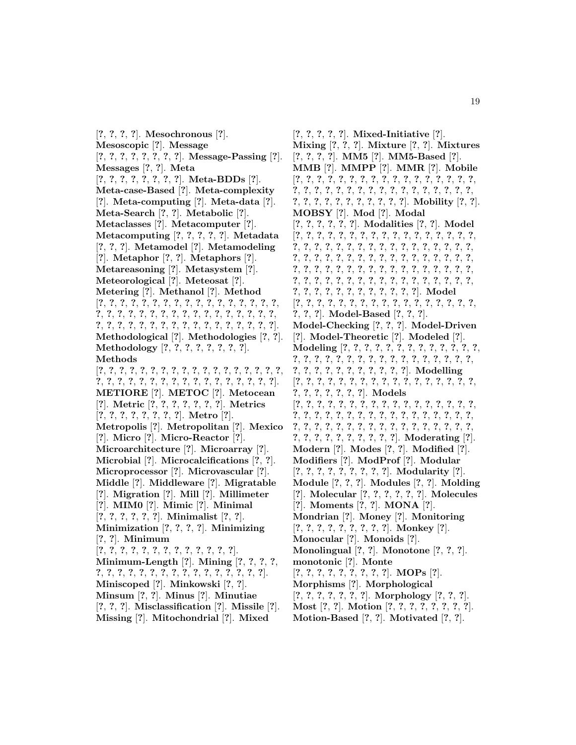[**?**, **?**, **?**, **?**]. **Mesochronous** [**?**]. **Mesoscopic** [**?**]. **Message** [**?**, **?**, **?**, **?**, **?**, **?**, **?**, **?**]. **Message-Passing** [**?**]. **Messages** [**?**, **?**]. **Meta** [**?**, **?**, **?**, **?**, **?**, **?**, **?**, **?**]. **Meta-BDDs** [**?**]. **Meta-case-Based** [**?**]. **Meta-complexity** [**?**]. **Meta-computing** [**?**]. **Meta-data** [**?**]. **Meta-Search** [**?**, **?**]. **Metabolic** [**?**]. **Metaclasses** [**?**]. **Metacomputer** [**?**]. **Metacomputing** [**?**, **?**, **?**, **?**, **?**]. **Metadata** [**?**, **?**, **?**]. **Metamodel** [**?**]. **Metamodeling** [**?**]. **Metaphor** [**?**, **?**]. **Metaphors** [**?**]. **Metareasoning** [**?**]. **Metasystem** [**?**]. **Meteorological** [**?**]. **Meteosat** [**?**]. **Metering** [**?**]. **Methanol** [**?**]. **Method** [**?**, **?**, **?**, **?**, **?**, **?**, **?**, **?**, **?**, **?**, **?**, **?**, **?**, **?**, **?**, **?**, **?**, **?**, **?**, **?**, **?**, **?**, **?**, **?**, **?**, **?**, **?**, **?**, **?**, **?**, **?**, **?**, **?**, **?**, **?**, **?**, **?**, **?**, **?**, **?**, **?**, **?**, **?**, **?**, **?**, **?**, **?**, **?**, **?**, **?**, **?**]. **Methodological** [**?**]. **Methodologies** [**?**, **?**]. **Methodology** [**?**, **?**, **?**, **?**, **?**, **?**, **?**, **?**]. **Methods** [**?**, **?**, **?**, **?**, **?**, **?**, **?**, **?**, **?**, **?**, **?**, **?**, **?**, **?**, **?**, **?**, **?**, **?**, **?**, **?**, **?**, **?**, **?**, **?**, **?**, **?**, **?**, **?**, **?**, **?**, **?**, **?**, **?**, **?**, **?**]. **METIORE** [**?**]. **METOC** [**?**]. **Metocean** [**?**]. **Metric** [**?**, **?**, **?**, **?**, **?**, **?**, **?**]. **Metrics** [**?**, **?**, **?**, **?**, **?**, **?**, **?**, **?**]. **Metro** [**?**]. **Metropolis** [**?**]. **Metropolitan** [**?**]. **Mexico** [**?**]. **Micro** [**?**]. **Micro-Reactor** [**?**]. **Microarchitecture** [**?**]. **Microarray** [**?**]. **Microbial** [**?**]. **Microcalcifications** [**?**, **?**]. **Microprocessor** [**?**]. **Microvascular** [**?**]. **Middle** [**?**]. **Middleware** [**?**]. **Migratable** [**?**]. **Migration** [**?**]. **Mill** [**?**]. **Millimeter** [**?**]. **MIM0** [**?**]. **Mimic** [**?**]. **Minimal** [**?**, **?**, **?**, **?**, **?**, **?**]. **Minimalist** [**?**, **?**]. **Minimization** [**?**, **?**, **?**, **?**]. **Minimizing** [**?**, **?**]. **Minimum** [**?**, **?**, **?**, **?**, **?**, **?**, **?**, **?**, **?**, **?**, **?**, **?**, **?**]. **Minimum-Length** [**?**]. **Mining** [**?**, **?**, **?**, **?**, **?**, **?**, **?**, **?**, **?**, **?**, **?**, **?**, **?**, **?**, **?**, **?**, **?**, **?**, **?**, **?**]. **Miniscoped** [**?**]. **Minkowski** [**?**, **?**]. **Minsum** [**?**, **?**]. **Minus** [**?**]. **Minutiae** [**?**, **?**, **?**]. **Misclassification** [**?**]. **Missile** [**?**]. **Missing** [**?**]. **Mitochondrial** [**?**]. **Mixed**

[**?**, **?**, **?**, **?**, **?**]. **Mixed-Initiative** [**?**]. **Mixing** [**?**, **?**, **?**]. **Mixture** [**?**, **?**]. **Mixtures** [**?**, **?**, **?**, **?**]. **MM5** [**?**]. **MM5-Based** [**?**]. **MMB** [**?**]. **MMPP** [**?**]. **MMR** [**?**]. **Mobile** [**?**, **?**, **?**, **?**, **?**, **?**, **?**, **?**, **?**, **?**, **?**, **?**, **?**, **?**, **?**, **?**, **?**, **?**, **?**, **?**, **?**, **?**, **?**, **?**, **?**, **?**, **?**, **?**, **?**, **?**, **?**, **?**, **?**, **?**, **?**, **?**, **?**, **?**, **?**, **?**, **?**, **?**, **?**, **?**, **?**]. **Mobility** [**?**, **?**]. **MOBSY** [**?**]. **Mod** [**?**]. **Modal** [**?**, **?**, **?**, **?**, **?**, **?**]. **Modalities** [**?**, **?**]. **Model** [**?**, **?**, **?**, **?**, **?**, **?**, **?**, **?**, **?**, **?**, **?**, **?**, **?**, **?**, **?**, **?**, **?**, **?**, **?**, **?**, **?**, **?**, **?**, **?**, **?**, **?**, **?**, **?**, **?**, **?**, **?**, **?**, **?**, **?**, **?**, **?**, **?**, **?**, **?**, **?**, **?**, **?**, **?**, **?**, **?**, **?**, **?**, **?**, **?**, **?**, **?**, **?**, **?**, **?**, **?**, **?**, **?**, **?**, **?**, **?**, **?**, **?**, **?**, **?**, **?**, **?**, **?**, **?**, **?**, **?**, **?**, **?**, **?**, **?**, **?**, **?**, **?**, **?**, **?**, **?**, **?**, **?**, **?**, **?**, **?**, **?**, **?**, **?**, **?**, **?**, **?**, **?**, **?**, **?**, **?**, **?**, **?**]. **Model** [**?**, **?**, **?**, **?**, **?**, **?**, **?**, **?**, **?**, **?**, **?**, **?**, **?**, **?**, **?**, **?**, **?**, **?**, **?**, **?**]. **Model-Based** [**?**, **?**, **?**]. **Model-Checking** [**?**, **?**, **?**]. **Model-Driven** [**?**]. **Model-Theoretic** [**?**]. **Modeled** [**?**]. **Modeling** [**?**, **?**, **?**, **?**, **?**, **?**, **?**, **?**, **?**, **?**, **?**, **?**, **?**, **?**, **?**, **?**, **?**, **?**, **?**, **?**, **?**, **?**, **?**, **?**, **?**, **?**, **?**, **?**, **?**, **?**, **?**, **?**, **?**, **?**, **?**, **?**, **?**, **?**, **?**, **?**, **?**]. **Modelling** [**?**, **?**, **?**, **?**, **?**, **?**, **?**, **?**, **?**, **?**, **?**, **?**, **?**, **?**, **?**, **?**, **?**, **?**, **?**, **?**, **?**, **?**, **?**, **?**]. **Models** [**?**, **?**, **?**, **?**, **?**, **?**, **?**, **?**, **?**, **?**, **?**, **?**, **?**, **?**, **?**, **?**, **?**, **?**, **?**, **?**, **?**, **?**, **?**, **?**, **?**, **?**, **?**, **?**, **?**, **?**, **?**, **?**, **?**, **?**, **?**, **?**, **?**, **?**, **?**, **?**, **?**, **?**, **?**, **?**, **?**, **?**, **?**, **?**, **?**, **?**, **?**, **?**, **?**, **?**, **?**, **?**, **?**, **?**, **?**, **?**, **?**]. **Moderating** [**?**]. **Modern** [**?**]. **Modes** [**?**, **?**]. **Modified** [**?**]. **Modifiers** [**?**]. **ModProf** [**?**]. **Modular** [**?**, **?**, **?**, **?**, **?**, **?**, **?**, **?**, **?**]. **Modularity** [**?**]. **Module** [**?**, **?**, **?**]. **Modules** [**?**, **?**]. **Molding** [**?**]. **Molecular** [**?**, **?**, **?**, **?**, **?**, **?**]. **Molecules** [**?**]. **Moments** [**?**, **?**]. **MONA** [**?**]. **Mondrian** [**?**]. **Money** [**?**]. **Monitoring** [**?**, **?**, **?**, **?**, **?**, **?**, **?**, **?**, **?**]. **Monkey** [**?**]. **Monocular** [**?**]. **Monoids** [**?**]. **Monolingual** [**?**, **?**]. **Monotone** [**?**, **?**, **?**]. **monotonic** [**?**]. **Monte** [**?**, **?**, **?**, **?**, **?**, **?**, **?**, **?**, **?**]. **MOPs** [**?**]. **Morphisms** [**?**]. **Morphological** [**?**, **?**, **?**, **?**, **?**, **?**, **?**]. **Morphology** [**?**, **?**, **?**]. **Most** [**?**, **?**]. **Motion** [**?**, **?**, **?**, **?**, **?**, **?**, **?**, **?**]. **Motion-Based** [**?**, **?**]. **Motivated** [**?**, **?**].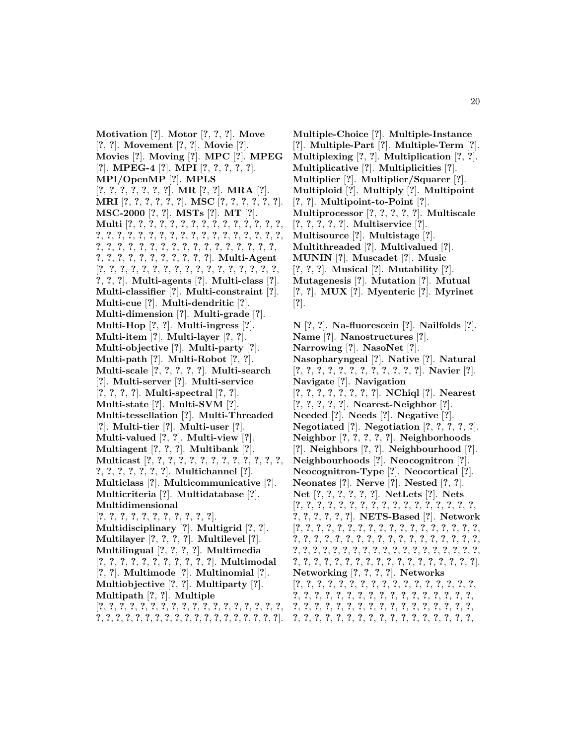**Motivation** [**?**]. **Motor** [**?**, **?**, **?**]. **Move** [**?**, **?**]. **Movement** [**?**, **?**]. **Movie** [**?**]. **Movies** [**?**]. **Moving** [**?**]. **MPC** [**?**]. **MPEG** [**?**]. **MPEG-4** [**?**]. **MPI** [**?**, **?**, **?**, **?**, **?**]. **MPI/OpenMP** [**?**]. **MPLS** [**?**, **?**, **?**, **?**, **?**, **?**, **?**]. **MR** [**?**, **?**]. **MRA** [**?**]. **MRI** [**?**, **?**, **?**, **?**, **?**, **?**]. **MSC** [**?**, **?**, **?**, **?**, **?**, **?**]. **MSC-2000** [**?**, **?**]. **MSTs** [**?**]. **MT** [**?**]. **Multi** [**?**, **?**, **?**, **?**, **?**, **?**, **?**, **?**, **?**, **?**, **?**, **?**, **?**, **?**, **?**, **?**, **?**, **?**, **?**, **?**, **?**, **?**, **?**, **?**, **?**, **?**, **?**, **?**, **?**, **?**, **?**, **?**, **?**, **?**, **?**, **?**, **?**, **?**, **?**, **?**, **?**, **?**, **?**, **?**, **?**, **?**, **?**, **?**, **?**, **?**, **?**, **?**, **?**, **?**, **?**, **?**, **?**, **?**, **?**, **?**, **?**]. **Multi-Agent** [**?**, **?**, **?**, **?**, **?**, **?**, **?**, **?**, **?**, **?**, **?**, **?**, **?**, **?**, **?**, **?**, **?**, **?**, **?**, **?**]. **Multi-agents** [**?**]. **Multi-class** [**?**]. **Multi-classifier** [**?**]. **Multi-constraint** [**?**]. **Multi-cue** [**?**]. **Multi-dendritic** [**?**]. **Multi-dimension** [**?**]. **Multi-grade** [**?**]. **Multi-Hop** [**?**, **?**]. **Multi-ingress** [**?**]. **Multi-item** [**?**]. **Multi-layer** [**?**, **?**]. **Multi-objective** [**?**]. **Multi-party** [**?**]. **Multi-path** [**?**]. **Multi-Robot** [**?**, **?**]. **Multi-scale** [**?**, **?**, **?**, **?**, **?**]. **Multi-search** [**?**]. **Multi-server** [**?**]. **Multi-service** [**?**, **?**, **?**, **?**]. **Multi-spectral** [**?**, **?**]. **Multi-state** [**?**]. **Multi-SVM** [**?**]. **Multi-tessellation** [**?**]. **Multi-Threaded** [**?**]. **Multi-tier** [**?**]. **Multi-user** [**?**]. **Multi-valued** [**?**, **?**]. **Multi-view** [**?**]. **Multiagent** [**?**, **?**, **?**]. **Multibank** [**?**]. **Multicast** [**?**, **?**, **?**, **?**, **?**, **?**, **?**, **?**, **?**, **?**, **?**, **?**, **?**, **?**, **?**, **?**, **?**, **?**, **?**, **?**]. **Multichannel** [**?**]. **Multiclass** [**?**]. **Multicommunicative** [**?**]. **Multicriteria** [**?**]. **Multidatabase** [**?**]. **Multidimensional** [**?**, **?**, **?**, **?**, **?**, **?**, **?**, **?**, **?**, **?**, **?**]. **Multidisciplinary** [**?**]. **Multigrid** [**?**, **?**]. **Multilayer** [**?**, **?**, **?**, **?**]. **Multilevel** [**?**]. **Multilingual** [**?**, **?**, **?**, **?**]. **Multimedia** [**?**, **?**, **?**, **?**, **?**, **?**, **?**, **?**, **?**, **?**, **?**]. **Multimodal** [**?**, **?**]. **Multimode** [**?**]. **Multinomial** [**?**]. **Multiobjective** [**?**, **?**]. **Multiparty** [**?**]. **Multipath** [**?**, **?**]. **Multiple** [**?**, **?**, **?**, **?**, **?**, **?**, **?**, **?**, **?**, **?**, **?**, **?**, **?**, **?**, **?**, **?**, **?**, **?**, **?**, **?**, **?**, **?**, **?**, **?**, **?**, **?**, **?**, **?**, **?**, **?**, **?**, **?**, **?**, **?**, **?**, **?**, **?**].

**Multiple-Choice** [**?**]. **Multiple-Instance** [**?**]. **Multiple-Part** [**?**]. **Multiple-Term** [**?**]. **Multiplexing** [**?**, **?**]. **Multiplication** [**?**, **?**]. **Multiplicative** [**?**]. **Multiplicities** [**?**]. **Multiplier** [**?**]. **Multiplier/Squarer** [**?**]. **Multiploid** [**?**]. **Multiply** [**?**]. **Multipoint** [**?**, **?**]. **Multipoint-to-Point** [**?**]. **Multiprocessor** [**?**, **?**, **?**, **?**, **?**]. **Multiscale** [**?**, **?**, **?**, **?**, **?**]. **Multiservice** [**?**]. **Multisource** [**?**]. **Multistage** [**?**]. **Multithreaded** [**?**]. **Multivalued** [**?**]. **MUNIN** [**?**]. **Muscadet** [**?**]. **Music** [**?**, **?**, **?**]. **Musical** [**?**]. **Mutability** [**?**]. **Mutagenesis** [**?**]. **Mutation** [**?**]. **Mutual** [**?**, **?**]. **MUX** [**?**]. **Myenteric** [**?**]. **Myrinet** [**?**].

**N** [**?**, **?**]. **Na-fluorescein** [**?**]. **Nailfolds** [**?**]. **Name** [**?**]. **Nanostructures** [**?**]. **Narrowing** [**?**]. **NasoNet** [**?**]. **Nasopharyngeal** [**?**]. **Native** [**?**]. **Natural** [**?**, **?**, **?**, **?**, **?**, **?**, **?**, **?**, **?**, **?**, **?**, **?**]. **Navier** [**?**]. **Navigate** [**?**]. **Navigation** [**?**, **?**, **?**, **?**, **?**, **?**, **?**, **?**]. **NChiql** [**?**]. **Nearest** [**?**, **?**, **?**, **?**, **?**]. **Nearest-Neighbor** [**?**]. **Needed** [**?**]. **Needs** [**?**]. **Negative** [**?**]. **Negotiated** [**?**]. **Negotiation** [**?**, **?**, **?**, **?**, **?**]. **Neighbor** [**?**, **?**, **?**, **?**, **?**]. **Neighborhoods** [**?**]. **Neighbors** [**?**, **?**]. **Neighbourhood** [**?**]. **Neighbourhoods** [**?**]. **Neocognitron** [**?**]. **Neocognitron-Type** [**?**]. **Neocortical** [**?**]. **Neonates** [**?**]. **Nerve** [**?**]. **Nested** [**?**, **?**]. **Net** [**?**, **?**, **?**, **?**, **?**, **?**]. **NetLets** [**?**]. **Nets** [**?**, **?**, **?**, **?**, **?**, **?**, **?**, **?**, **?**, **?**, **?**, **?**, **?**, **?**, **?**, **?**, **?**, **?**, **?**, **?**, **?**, **?**, **?**]. **NETS-Based** [**?**]. **Network** [**?**, **?**, **?**, **?**, **?**, **?**, **?**, **?**, **?**, **?**, **?**, **?**, **?**, **?**, **?**, **?**, **?**, **?**, **?**, **?**, **?**, **?**, **?**, **?**, **?**, **?**, **?**, **?**, **?**, **?**, **?**, **?**, **?**, **?**, **?**, **?**, **?**, **?**, **?**, **?**, **?**, **?**, **?**, **?**, **?**, **?**, **?**, **?**, **?**, **?**, **?**, **?**, **?**, **?**, **?**, **?**, **?**, **?**, **?**, **?**, **?**, **?**, **?**, **?**, **?**, **?**, **?**, **?**, **?**, **?**, **?**, **?**, **?**]. **Networking** [**?**, **?**, **?**, **?**]. **Networks** [**?**, **?**, **?**, **?**, **?**, **?**, **?**, **?**, **?**, **?**, **?**, **?**, **?**, **?**, **?**, **?**, **?**, **?**, **?**, **?**, **?**, **?**, **?**, **?**, **?**, **?**, **?**, **?**, **?**, **?**, **?**, **?**, **?**, **?**, **?**, **?**, **?**, **?**, **?**, **?**, **?**, **?**, **?**, **?**, **?**, **?**, **?**, **?**, **?**, **?**, **?**, **?**, **?**, **?**, **?**, **?**, **?**, **?**, **?**, **?**, **?**, **?**, **?**, **?**, **?**, **?**, **?**, **?**,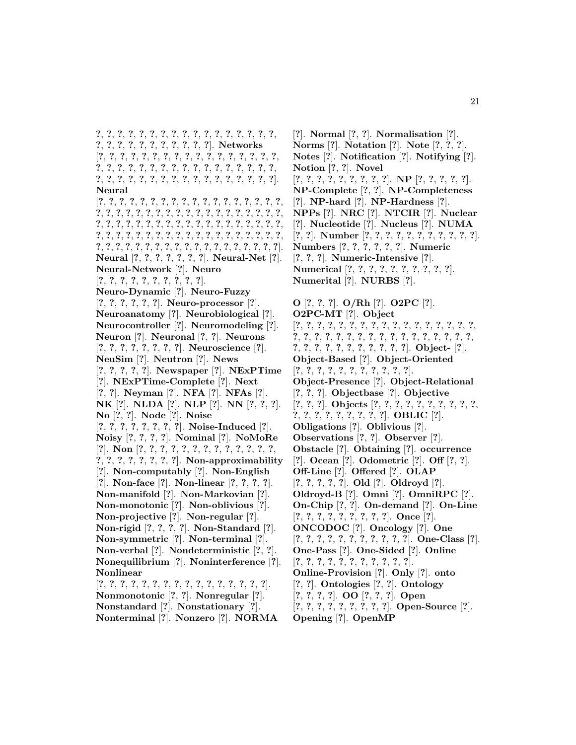**?**, **?**, **?**, **?**, **?**, **?**, **?**, **?**, **?**, **?**, **?**, **?**, **?**, **?**, **?**, **?**, **?**, **?**, **?**, **?**, **?**, **?**, **?**, **?**, **?**, **?**, **?**, **?**]. **Networks** [**?**, **?**, **?**, **?**, **?**, **?**, **?**, **?**, **?**, **?**, **?**, **?**, **?**, **?**, **?**, **?**, **?**, **?**, **?**, **?**, **?**, **?**, **?**, **?**, **?**, **?**, **?**, **?**, **?**, **?**, **?**, **?**, **?**, **?**, **?**, **?**, **?**, **?**, **?**, **?**, **?**, **?**, **?**, **?**, **?**, **?**, **?**, **?**, **?**, **?**, **?**]. **Neural** [**?**, **?**, **?**, **?**, **?**, **?**, **?**, **?**, **?**, **?**, **?**, **?**, **?**, **?**, **?**, **?**, **?**, **?**, **?**, **?**, **?**, **?**, **?**, **?**, **?**, **?**, **?**, **?**, **?**, **?**, **?**, **?**, **?**, **?**, **?**, **?**, **?**, **?**, **?**, **?**, **?**, **?**, **?**, **?**, **?**, **?**, **?**, **?**, **?**, **?**, **?**, **?**, **?**, **?**, **?**, **?**, **?**, **?**, **?**, **?**, **?**, **?**, **?**, **?**, **?**, **?**, **?**, **?**, **?**, **?**, **?**, **?**, **?**, **?**, **?**, **?**, **?**, **?**, **?**, **?**, **?**, **?**, **?**, **?**, **?**, **?**, **?**, **?**, **?**, **?**, **?**, **?**, **?**, **?**]. **Neural** [**?**, **?**, **?**, **?**, **?**, **?**, **?**]. **Neural-Net** [**?**]. **Neural-Network** [**?**]. **Neuro** [**?**, **?**, **?**, **?**, **?**, **?**, **?**, **?**, **?**, **?**]. **Neuro-Dynamic** [**?**]. **Neuro-Fuzzy** [**?**, **?**, **?**, **?**, **?**, **?**]. **Neuro-processor** [**?**]. **Neuroanatomy** [**?**]. **Neurobiological** [**?**]. **Neurocontroller** [**?**]. **Neuromodeling** [**?**]. **Neuron** [**?**]. **Neuronal** [**?**, **?**]. **Neurons** [**?**, **?**, **?**, **?**, **?**, **?**, **?**, **?**]. **Neuroscience** [**?**]. **NeuSim** [**?**]. **Neutron** [**?**]. **News** [**?**, **?**, **?**, **?**, **?**]. **Newspaper** [**?**]. **NExPTime** [**?**]. **NExPTime-Complete** [**?**]. **Next** [**?**, **?**]. **Neyman** [**?**]. **NFA** [**?**]. **NFAs** [**?**]. **NK** [**?**]. **NLDA** [**?**]. **NLP** [**?**]. **NN** [**?**, **?**, **?**]. **No** [**?**, **?**]. **Node** [**?**]. **Noise** [**?**, **?**, **?**, **?**, **?**, **?**, **?**, **?**]. **Noise-Induced** [**?**]. **Noisy** [**?**, **?**, **?**, **?**]. **Nominal** [**?**]. **NoMoRe** [**?**]. **Non** [**?**, **?**, **?**, **?**, **?**, **?**, **?**, **?**, **?**, **?**, **?**, **?**, **?**, **?**, **?**, **?**, **?**, **?**, **?**, **?**, **?**]. **Non-approximability** [**?**]. **Non-computably** [**?**]. **Non-English** [**?**]. **Non-face** [**?**]. **Non-linear** [**?**, **?**, **?**, **?**]. **Non-manifold** [**?**]. **Non-Markovian** [**?**]. **Non-monotonic** [**?**]. **Non-oblivious** [**?**]. **Non-projective** [**?**]. **Non-regular** [**?**]. **Non-rigid** [**?**, **?**, **?**, **?**]. **Non-Standard** [**?**]. **Non-symmetric** [**?**]. **Non-terminal** [**?**]. **Non-verbal** [**?**]. **Nondeterministic** [**?**, **?**]. **Nonequilibrium** [**?**]. **Noninterference** [**?**]. **Nonlinear** [**?**, **?**, **?**, **?**, **?**, **?**, **?**, **?**, **?**, **?**, **?**, **?**, **?**, **?**, **?**, **?**]. **Nonmonotonic** [**?**, **?**]. **Nonregular** [**?**]. **Nonstandard** [**?**]. **Nonstationary** [**?**]. **Nonterminal** [**?**]. **Nonzero** [**?**]. **NORMA**

[**?**]. **Normal** [**?**, **?**]. **Normalisation** [**?**]. **Norms** [**?**]. **Notation** [**?**]. **Note** [**?**, **?**, **?**]. **Notes** [**?**]. **Notification** [**?**]. **Notifying** [**?**]. **Notion** [**?**, **?**]. **Novel** [**?**, **?**, **?**, **?**, **?**, **?**, **?**, **?**, **?**]. **NP** [**?**, **?**, **?**, **?**, **?**]. **NP-Complete** [**?**, **?**]. **NP-Completeness** [**?**]. **NP-hard** [**?**]. **NP-Hardness** [**?**]. **NPPs** [**?**]. **NRC** [**?**]. **NTCIR** [**?**]. **Nuclear** [**?**]. **Nucleotide** [**?**]. **Nucleus** [**?**]. **NUMA** [**?**, **?**]. **Number** [**?**, **?**, **?**, **?**, **?**, **?**, **?**, **?**, **?**, **?**, **?**]. **Numbers** [**?**, **?**, **?**, **?**, **?**, **?**]. **Numeric** [**?**, **?**, **?**]. **Numeric-Intensive** [**?**]. **Numerical** [**?**, **?**, **?**, **?**, **?**, **?**, **?**, **?**, **?**, **?**]. **Numerital** [**?**]. **NURBS** [**?**]. **O** [**?**, **?**, **?**]. **O/Rh** [**?**]. **O2PC** [**?**]. **O2PC-MT** [**?**]. **Object** [**?**, **?**, **?**, **?**, **?**, **?**, **?**, **?**, **?**, **?**, **?**, **?**, **?**, **?**, **?**, **?**, **?**,

**?**, **?**, **?**, **?**, **?**, **?**, **?**, **?**, **?**, **?**, **?**, **?**, **?**, **?**, **?**, **?**, **?**, **?**, **?**, **?**, **?**, **?**, **?**, **?**, **?**, **?**, **?**, **?**]. **Object-** [**?**]. **Object-Based** [**?**]. **Object-Oriented** [**?**, **?**, **?**, **?**, **?**, **?**, **?**, **?**, **?**, **?**, **?**]. **Object-Presence** [**?**]. **Object-Relational** [**?**, **?**, **?**]. **Objectbase** [**?**]. **Objective** [**?**, **?**, **?**]. **Objects** [**?**, **?**, **?**, **?**, **?**, **?**, **?**, **?**, **?**, **?**, **?**, **?**, **?**, **?**, **?**, **?**, **?**, **?**, **?**]. **OBLIC** [**?**]. **Obligations** [**?**]. **Oblivious** [**?**]. **Observations** [**?**, **?**]. **Observer** [**?**]. **Obstacle** [**?**]. **Obtaining** [**?**]. **occurrence** [**?**]. **Ocean** [**?**]. **Odometric** [**?**]. **Off** [**?**, **?**]. **Off-Line** [**?**]. **Offered** [**?**]. **OLAP** [**?**, **?**, **?**, **?**, **?**]. **Old** [**?**]. **Oldroyd** [**?**]. **Oldroyd-B** [**?**]. **Omni** [**?**]. **OmniRPC** [**?**]. **On-Chip** [**?**, **?**]. **On-demand** [**?**]. **On-Line** [**?**, **?**, **?**, **?**, **?**, **?**, **?**, **?**, **?**]. **Once** [**?**]. **ONCODOC** [**?**]. **Oncology** [**?**]. **One** [**?**, **?**, **?**, **?**, **?**, **?**, **?**, **?**, **?**, **?**, **?**]. **One-Class** [**?**]. **One-Pass** [**?**]. **One-Sided** [**?**]. **Online** [**?**, **?**, **?**, **?**, **?**, **?**, **?**, **?**, **?**, **?**, **?**]. **Online-Provision** [**?**]. **Only** [**?**]. **onto** [**?**, **?**]. **Ontologies** [**?**, **?**]. **Ontology** [**?**, **?**, **?**, **?**]. **OO** [**?**, **?**, **?**]. **Open** [**?**, **?**, **?**, **?**, **?**, **?**, **?**, **?**, **?**]. **Open-Source** [**?**]. **Opening** [**?**]. **OpenMP**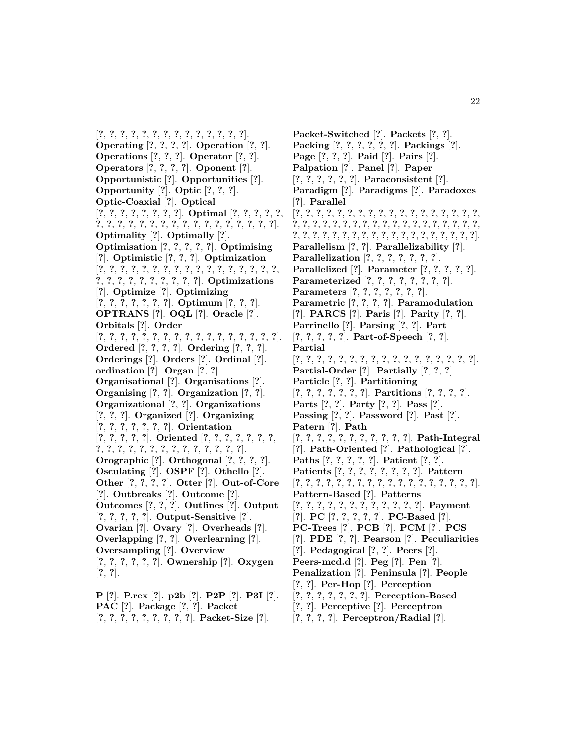[**?**, **?**, **?**, **?**, **?**, **?**, **?**, **?**, **?**, **?**, **?**, **?**, **?**, **?**]. **Operating** [**?**, **?**, **?**, **?**]. **Operation** [**?**, **?**]. **Operations** [**?**, **?**, **?**]. **Operator** [**?**, **?**]. **Operators** [**?**, **?**, **?**, **?**]. **Oponent** [**?**]. **Opportunistic** [**?**]. **Opportunities** [**?**]. **Opportunity** [**?**]. **Optic** [**?**, **?**, **?**]. **Optic-Coaxial** [**?**]. **Optical** [**?**, **?**, **?**, **?**, **?**, **?**, **?**, **?**]. **Optimal** [**?**, **?**, **?**, **?**, **?**, **?**, **?**, **?**, **?**, **?**, **?**, **?**, **?**, **?**, **?**, **?**, **?**, **?**, **?**, **?**, **?**, **?**]. **Optimality** [**?**]. **Optimally** [**?**]. **Optimisation** [**?**, **?**, **?**, **?**, **?**]. **Optimising** [**?**]. **Optimistic** [**?**, **?**, **?**]. **Optimization** [**?**, **?**, **?**, **?**, **?**, **?**, **?**, **?**, **?**, **?**, **?**, **?**, **?**, **?**, **?**, **?**, **?**, **?**, **?**, **?**, **?**, **?**, **?**, **?**, **?**, **?**, **?**]. **Optimizations** [**?**]. **Optimize** [**?**]. **Optimizing** [**?**, **?**, **?**, **?**, **?**, **?**, **?**]. **Optimum** [**?**, **?**, **?**]. **OPTRANS** [**?**]. **OQL** [**?**]. **Oracle** [**?**]. **Orbitals** [**?**]. **Order** [**?**, **?**, **?**, **?**, **?**, **?**, **?**, **?**, **?**, **?**, **?**, **?**, **?**, **?**, **?**, **?**, **?**]. **Ordered** [**?**, **?**, **?**, **?**]. **Ordering** [**?**, **?**, **?**]. **Orderings** [**?**]. **Orders** [**?**]. **Ordinal** [**?**]. **ordination** [**?**]. **Organ** [**?**, **?**]. **Organisational** [**?**]. **Organisations** [**?**]. **Organising** [**?**, **?**]. **Organization** [**?**, **?**]. **Organizational** [**?**, **?**]. **Organizations** [**?**, **?**, **?**]. **Organized** [**?**]. **Organizing** [**?**, **?**, **?**, **?**, **?**, **?**, **?**]. **Orientation** [**?**, **?**, **?**, **?**, **?**]. **Oriented** [**?**, **?**, **?**, **?**, **?**, **?**, **?**, **?**, **?**, **?**, **?**, **?**, **?**, **?**, **?**, **?**, **?**, **?**, **?**, **?**, **?**]. **Orographic** [**?**]. **Orthogonal** [**?**, **?**, **?**, **?**]. **Osculating** [**?**]. **OSPF** [**?**]. **Othello** [**?**]. **Other** [**?**, **?**, **?**, **?**]. **Otter** [**?**]. **Out-of-Core** [**?**]. **Outbreaks** [**?**]. **Outcome** [**?**]. **Outcomes** [**?**, **?**, **?**]. **Outlines** [**?**]. **Output** [**?**, **?**, **?**, **?**, **?**]. **Output-Sensitive** [**?**]. **Ovarian** [**?**]. **Ovary** [**?**]. **Overheads** [**?**]. **Overlapping** [**?**, **?**]. **Overlearning** [**?**]. **Oversampling** [**?**]. **Overview** [**?**, **?**, **?**, **?**, **?**, **?**]. **Ownership** [**?**]. **Oxygen** [**?**, **?**].

**P** [**?**]. **P.rex** [**?**]. **p2b** [**?**]. **P2P** [**?**]. **P3I** [**?**]. **PAC** [**?**]. **Package** [**?**, **?**]. **Packet** [**?**, **?**, **?**, **?**, **?**, **?**, **?**, **?**, **?**]. **Packet-Size** [**?**].

**Packet-Switched** [**?**]. **Packets** [**?**, **?**]. **Packing** [**?**, **?**, **?**, **?**, **?**, **?**]. **Packings** [**?**]. **Page** [**?**, **?**, **?**]. **Paid** [**?**]. **Pairs** [**?**]. **Palpation** [**?**]. **Panel** [**?**]. **Paper** [**?**, **?**, **?**, **?**, **?**, **?**]. **Paraconsistent** [**?**]. **Paradigm** [**?**]. **Paradigms** [**?**]. **Paradoxes** [**?**]. **Parallel** [**?**, **?**, **?**, **?**, **?**, **?**, **?**, **?**, **?**, **?**, **?**, **?**, **?**, **?**, **?**, **?**, **?**, **?**, **?**, **?**, **?**, **?**, **?**, **?**, **?**, **?**, **?**, **?**, **?**, **?**, **?**, **?**, **?**, **?**, **?**, **?**, **?**, **?**, **?**, **?**, **?**, **?**, **?**, **?**, **?**, **?**, **?**, **?**, **?**, **?**, **?**, **?**, **?**, **?**, **?**, **?**]. **Parallelism** [**?**, **?**]. **Parallelizability** [**?**]. **Parallelization** [**?**, **?**, **?**, **?**, **?**, **?**, **?**]. **Parallelized** [**?**]. **Parameter** [**?**, **?**, **?**, **?**, **?**]. **Parameterized** [**?**, **?**, **?**, **?**, **?**, **?**, **?**, **?**]. **Parameters** [**?**, **?**, **?**, **?**, **?**, **?**, **?**]. **Parametric** [**?**, **?**, **?**, **?**]. **Paramodulation** [**?**]. **PARCS** [**?**]. **Paris** [**?**]. **Parity** [**?**, **?**]. **Parrinello** [**?**]. **Parsing** [**?**, **?**]. **Part** [**?**, **?**, **?**, **?**, **?**]. **Part-of-Speech** [**?**, **?**]. **Partial** [**?**, **?**, **?**, **?**, **?**, **?**, **?**, **?**, **?**, **?**, **?**, **?**, **?**, **?**, **?**, **?**, **?**]. **Partial-Order** [**?**]. **Partially** [**?**, **?**, **?**]. **Particle** [**?**, **?**]. **Partitioning** [**?**, **?**, **?**, **?**, **?**, **?**, **?**]. **Partitions** [**?**, **?**, **?**, **?**]. **Parts** [**?**, **?**]. **Party** [**?**, **?**]. **Pass** [**?**]. **Passing** [**?**, **?**]. **Password** [**?**]. **Past** [**?**]. **Patern** [**?**]. **Path** [**?**, **?**, **?**, **?**, **?**, **?**, **?**, **?**, **?**, **?**, **?**]. **Path-Integral** [**?**]. **Path-Oriented** [**?**]. **Pathological** [**?**]. **Paths** [**?**, **?**, **?**, **?**, **?**]. **Patient** [**?**, **?**]. **Patients** [**?**, **?**, **?**, **?**, **?**, **?**, **?**, **?**]. **Pattern** [**?**, **?**, **?**, **?**, **?**, **?**, **?**, **?**, **?**, **?**, **?**, **?**, **?**, **?**, **?**, **?**, **?**, **?**]. **Pattern-Based** [**?**]. **Patterns** [**?**, **?**, **?**, **?**, **?**, **?**, **?**, **?**, **?**, **?**, **?**, **?**]. **Payment** [**?**]. **PC** [**?**, **?**, **?**, **?**, **?**]. **PC-Based** [**?**]. **PC-Trees** [**?**]. **PCB** [**?**]. **PCM** [**?**]. **PCS** [**?**]. **PDE** [**?**, **?**]. **Pearson** [**?**]. **Peculiarities** [**?**]. **Pedagogical** [**?**, **?**]. **Peers** [**?**]. **Peers-mcd.d** [**?**]. **Peg** [**?**]. **Pen** [**?**]. **Penalization** [**?**]. **Peninsula** [**?**]. **People** [**?**, **?**]. **Per-Hop** [**?**]. **Perception** [**?**, **?**, **?**, **?**, **?**, **?**, **?**]. **Perception-Based** [**?**, **?**]. **Perceptive** [**?**]. **Perceptron** [**?**, **?**, **?**, **?**]. **Perceptron/Radial** [**?**].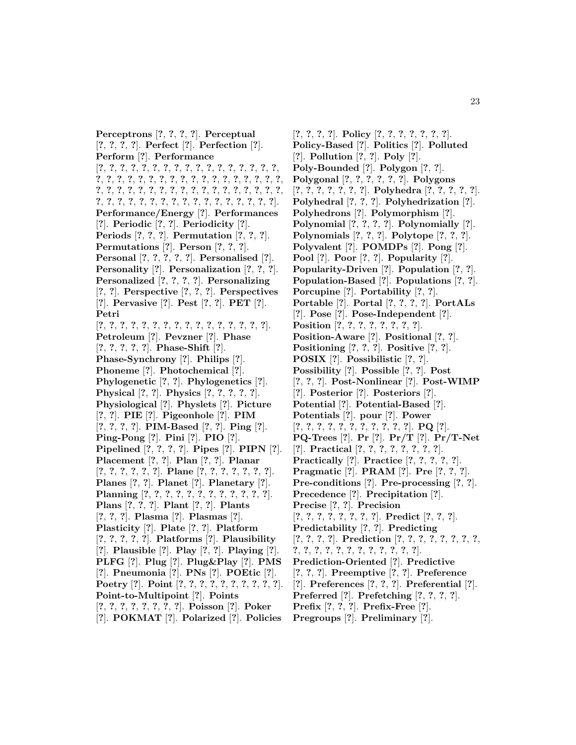**Perceptrons** [**?**, **?**, **?**, **?**]. **Perceptual** [**?**, **?**, **?**, **?**]. **Perfect** [**?**]. **Perfection** [**?**]. **Perform** [**?**]. **Performance** [**?**, **?**, **?**, **?**, **?**, **?**, **?**, **?**, **?**, **?**, **?**, **?**, **?**, **?**, **?**, **?**, **?**, **?**, **?**, **?**, **?**, **?**, **?**, **?**, **?**, **?**, **?**, **?**, **?**, **?**, **?**, **?**, **?**, **?**, **?**, **?**, **?**, **?**, **?**, **?**, **?**, **?**, **?**, **?**, **?**, **?**, **?**, **?**, **?**, **?**, **?**, **?**, **?**, **?**, **?**, **?**, **?**, **?**, **?**, **?**, **?**, **?**, **?**, **?**, **?**, **?**, **?**, **?**, **?**, **?**]. **Performance/Energy** [**?**]. **Performances** [**?**]. **Periodic** [**?**, **?**]. **Periodicity** [**?**]. **Periods** [**?**, **?**, **?**]. **Permutation** [**?**, **?**, **?**]. **Permutations** [**?**]. **Person** [**?**, **?**, **?**]. **Personal** [**?**, **?**, **?**, **?**, **?**]. **Personalised** [**?**]. **Personality** [**?**]. **Personalization** [**?**, **?**, **?**]. **Personalized** [**?**, **?**, **?**, **?**]. **Personalizing** [**?**, **?**]. **Perspective** [**?**, **?**, **?**]. **Perspectives** [**?**]. **Pervasive** [**?**]. **Pest** [**?**, **?**]. **PET** [**?**]. **Petri** [**?**, **?**, **?**, **?**, **?**, **?**, **?**, **?**, **?**, **?**, **?**, **?**, **?**, **?**, **?**, **?**]. **Petroleum** [**?**]. **Pevzner** [**?**]. **Phase** [**?**, **?**, **?**, **?**, **?**]. **Phase-Shift** [**?**]. **Phase-Synchrony** [**?**]. **Philips** [**?**]. **Phoneme** [**?**]. **Photochemical** [**?**]. **Phylogenetic** [**?**, **?**]. **Phylogenetics** [**?**]. **Physical** [**?**, **?**]. **Physics** [**?**, **?**, **?**, **?**, **?**]. **Physiological** [**?**]. **Physlets** [**?**]. **Picture** [**?**, **?**]. **PIE** [**?**]. **Pigeonhole** [**?**]. **PIM** [**?**, **?**, **?**, **?**]. **PIM-Based** [**?**, **?**]. **Ping** [**?**]. **Ping-Pong** [**?**]. **Pini** [**?**]. **PIO** [**?**]. **Pipelined** [**?**, **?**, **?**, **?**]. **Pipes** [**?**]. **PIPN** [**?**]. **Placement** [**?**, **?**]. **Plan** [**?**, **?**]. **Planar** [**?**, **?**, **?**, **?**, **?**, **?**]. **Plane** [**?**, **?**, **?**, **?**, **?**, **?**, **?**]. **Planes** [**?**, **?**]. **Planet** [**?**]. **Planetary** [**?**]. **Planning** [**?**, **?**, **?**, **?**, **?**, **?**, **?**, **?**, **?**, **?**, **?**, **?**]. **Plans** [**?**, **?**, **?**]. **Plant** [**?**, **?**]. **Plants** [**?**, **?**, **?**]. **Plasma** [**?**]. **Plasmas** [**?**]. **Plasticity** [**?**]. **Plate** [**?**, **?**]. **Platform** [**?**, **?**, **?**, **?**, **?**]. **Platforms** [**?**]. **Plausibility** [**?**]. **Plausible** [**?**]. **Play** [**?**, **?**]. **Playing** [**?**]. **PLFG** [**?**]. **Plug** [**?**]. **Plug&Play** [**?**]. **PMS** [**?**]. **Pneumonia** [**?**]. **PNs** [**?**]. **POEtic** [**?**]. **Poetry** [**?**]. **Point** [**?**, **?**, **?**, **?**, **?**, **?**, **?**, **?**, **?**, **?**]. **Point-to-Multipoint** [**?**]. **Points** [**?**, **?**, **?**, **?**, **?**, **?**, **?**, **?**]. **Poisson** [**?**]. **Poker** [**?**]. **POKMAT** [**?**]. **Polarized** [**?**]. **Policies**

[**?**, **?**, **?**, **?**]. **Policy** [**?**, **?**, **?**, **?**, **?**, **?**, **?**]. **Policy-Based** [**?**]. **Politics** [**?**]. **Polluted** [**?**]. **Pollution** [**?**, **?**]. **Poly** [**?**]. **Poly-Bounded** [**?**]. **Polygon** [**?**, **?**]. **Polygonal** [**?**, **?**, **?**, **?**, **?**, **?**]. **Polygons** [**?**, **?**, **?**, **?**, **?**, **?**, **?**]. **Polyhedra** [**?**, **?**, **?**, **?**, **?**]. **Polyhedral** [**?**, **?**, **?**]. **Polyhedrization** [**?**]. **Polyhedrons** [**?**]. **Polymorphism** [**?**]. **Polynomial** [**?**, **?**, **?**, **?**]. **Polynomially** [**?**]. **Polynomials** [**?**, **?**, **?**]. **Polytope** [**?**, **?**, **?**]. **Polyvalent** [**?**]. **POMDPs** [**?**]. **Pong** [**?**]. **Pool** [**?**]. **Poor** [**?**, **?**]. **Popularity** [**?**]. **Popularity-Driven** [**?**]. **Population** [**?**, **?**]. **Population-Based** [**?**]. **Populations** [**?**, **?**]. **Porcupine** [**?**]. **Portability** [**?**, **?**]. **Portable** [**?**]. **Portal** [**?**, **?**, **?**, **?**]. **PortALs** [**?**]. **Pose** [**?**]. **Pose-Independent** [**?**]. **Position** [**?**, **?**, **?**, **?**, **?**, **?**, **?**, **?**]. **Position-Aware** [**?**]. **Positional** [**?**, **?**]. **Positioning** [**?**, **?**, **?**]. **Positive** [**?**, **?**]. **POSIX** [**?**]. **Possibilistic** [**?**, **?**]. **Possibility** [**?**]. **Possible** [**?**, **?**]. **Post** [**?**, **?**, **?**]. **Post-Nonlinear** [**?**]. **Post-WIMP** [**?**]. **Posterior** [**?**]. **Posteriors** [**?**]. **Potential** [**?**]. **Potential-Based** [**?**]. **Potentials** [**?**]. **pour** [**?**]. **Power** [**?**, **?**, **?**, **?**, **?**, **?**, **?**, **?**, **?**, **?**, **?**]. **PQ** [**?**]. **PQ-Trees** [**?**]. **Pr** [**?**]. **Pr/T** [**?**]. **Pr/T-Net** [**?**]. **Practical** [**?**, **?**, **?**, **?**, **?**, **?**, **?**, **?**]. **Practically** [**?**]. **Practice** [**?**, **?**, **?**, **?**, **?**]. **Pragmatic** [**?**]. **PRAM** [**?**]. **Pre** [**?**, **?**, **?**]. **Pre-conditions** [**?**]. **Pre-processing** [**?**, **?**]. **Precedence** [**?**]. **Precipitation** [**?**]. **Precise** [**?**, **?**]. **Precision** [**?**, **?**, **?**, **?**, **?**, **?**, **?**, **?**]. **Predict** [**?**, **?**, **?**]. **Predictability** [**?**, **?**]. **Predicting** [**?**, **?**, **?**, **?**]. **Prediction** [**?**, **?**, **?**, **?**, **?**, **?**, **?**, **?**, **?**, **?**, **?**, **?**, **?**, **?**, **?**, **?**, **?**, **?**, **?**, **?**]. **Prediction-Oriented** [**?**]. **Predictive** [**?**, **?**, **?**]. **Preemptive** [**?**, **?**]. **Preference** [**?**]. **Preferences** [**?**, **?**, **?**]. **Preferential** [**?**]. **Preferred** [**?**]. **Prefetching** [**?**, **?**, **?**, **?**]. **Prefix** [**?**, **?**, **?**]. **Prefix-Free** [**?**].

**Pregroups** [**?**]. **Preliminary** [**?**].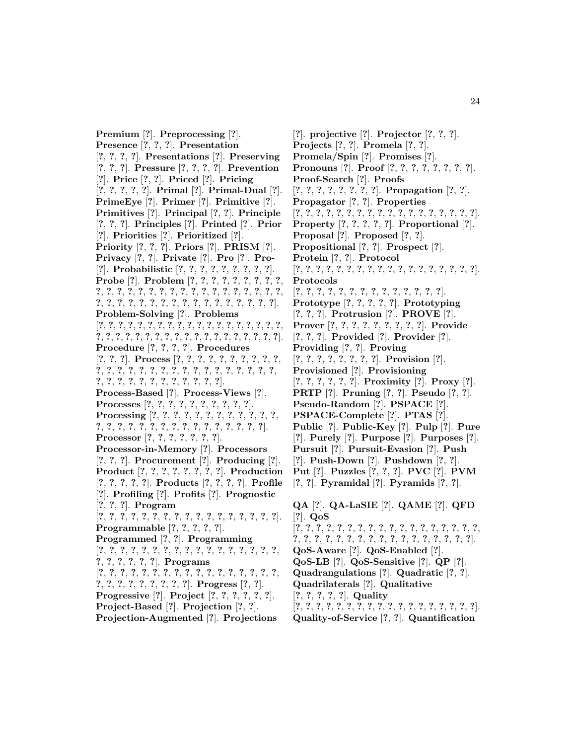**Premium** [**?**]. **Preprocessing** [**?**]. **Presence** [**?**, **?**, **?**]. **Presentation** [**?**, **?**, **?**, **?**]. **Presentations** [**?**]. **Preserving** [**?**, **?**, **?**]. **Pressure** [**?**, **?**, **?**, **?**]. **Prevention** [**?**]. **Price** [**?**, **?**]. **Priced** [**?**]. **Pricing** [**?**, **?**, **?**, **?**, **?**]. **Primal** [**?**]. **Primal-Dual** [**?**]. **PrimeEye** [**?**]. **Primer** [**?**]. **Primitive** [**?**]. **Primitives** [**?**]. **Principal** [**?**, **?**]. **Principle** [**?**, **?**, **?**]. **Principles** [**?**]. **Printed** [**?**]. **Prior** [**?**]. **Priorities** [**?**]. **Prioritized** [**?**]. **Priority** [**?**, **?**, **?**]. **Priors** [**?**]. **PRISM** [**?**]. **Privacy** [**?**, **?**]. **Private** [**?**]. **Pro** [**?**]. **Pro-** [**?**]. **Probabilistic** [**?**, **?**, **?**, **?**, **?**, **?**, **?**, **?**, **?**]. **Probe** [**?**]. **Problem** [**?**, **?**, **?**, **?**, **?**, **?**, **?**, **?**, **?**, **?**, **?**, **?**, **?**, **?**, **?**, **?**, **?**, **?**, **?**, **?**, **?**, **?**, **?**, **?**, **?**, **?**, **?**, **?**, **?**, **?**, **?**, **?**, **?**, **?**, **?**, **?**, **?**, **?**, **?**, **?**, **?**, **?**, **?**, **?**]. **Problem-Solving** [**?**]. **Problems** [**?**, **?**, **?**, **?**, **?**, **?**, **?**, **?**, **?**, **?**, **?**, **?**, **?**, **?**, **?**, **?**, **?**, **?**, **?**, **?**, **?**, **?**, **?**, **?**, **?**, **?**, **?**, **?**, **?**, **?**, **?**, **?**, **?**, **?**, **?**, **?**, **?**, **?**]. **Procedure** [**?**, **?**, **?**, **?**]. **Procedures** [**?**, **?**, **?**]. **Process** [**?**, **?**, **?**, **?**, **?**, **?**, **?**, **?**, **?**, **?**, **?**, **?**, **?**, **?**, **?**, **?**, **?**, **?**, **?**, **?**, **?**, **?**, **?**, **?**, **?**, **?**, **?**, **?**, **?**, **?**, **?**, **?**, **?**, **?**, **?**, **?**, **?**, **?**, **?**]. **Process-Based** [**?**]. **Process-Views** [**?**]. **Processes** [**?**, **?**, **?**, **?**, **?**, **?**, **?**, **?**, **?**, **?**]. **Processing** [**?**, **?**, **?**, **?**, **?**, **?**, **?**, **?**, **?**, **?**, **?**, **?**, **?**, **?**, **?**, **?**, **?**, **?**, **?**, **?**, **?**, **?**, **?**, **?**, **?**, **?**, **?**, **?**]. **Processor** [**?**, **?**, **?**, **?**, **?**, **?**, **?**]. **Processor-in-Memory** [**?**]. **Processors** [**?**, **?**, **?**]. **Procurement** [**?**]. **Producing** [**?**]. **Product** [**?**, **?**, **?**, **?**, **?**, **?**, **?**, **?**]. **Production** [**?**, **?**, **?**, **?**, **?**]. **Products** [**?**, **?**, **?**, **?**]. **Profile** [**?**]. **Profiling** [**?**]. **Profits** [**?**]. **Prognostic** [**?**, **?**, **?**]. **Program** [**?**, **?**, **?**, **?**, **?**, **?**, **?**, **?**, **?**, **?**, **?**, **?**, **?**, **?**, **?**, **?**, **?**]. **Programmable** [**?**, **?**, **?**, **?**, **?**]. **Programmed** [**?**, **?**]. **Programming** [**?**, **?**, **?**, **?**, **?**, **?**, **?**, **?**, **?**, **?**, **?**, **?**, **?**, **?**, **?**, **?**, **?**, **?**, **?**, **?**, **?**, **?**, **?**]. **Programs** [**?**, **?**, **?**, **?**, **?**, **?**, **?**, **?**, **?**, **?**, **?**, **?**, **?**, **?**, **?**, **?**, **?**, **?**, **?**, **?**, **?**, **?**, **?**, **?**, **?**, **?**]. **Progress** [**?**, **?**]. **Progressive** [**?**]. **Project** [**?**, **?**, **?**, **?**, **?**, **?**]. **Project-Based** [**?**]. **Projection** [**?**, **?**]. **Projection-Augmented** [**?**]. **Projections**

[**?**]. **projective** [**?**]. **Projector** [**?**, **?**, **?**]. **Projects** [**?**, **?**]. **Promela** [**?**, **?**]. **Promela/Spin** [**?**]. **Promises** [**?**]. **Pronouns** [**?**]. **Proof** [**?**, **?**, **?**, **?**, **?**, **?**, **?**, **?**]. **Proof-Search** [**?**]. **Proofs** [**?**, **?**, **?**, **?**, **?**, **?**, **?**, **?**]. **Propagation** [**?**, **?**]. **Propagator** [**?**, **?**]. **Properties** [**?**, **?**, **?**, **?**, **?**, **?**, **?**, **?**, **?**, **?**, **?**, **?**, **?**, **?**, **?**, **?**, **?**, **?**]. **Property** [**?**, **?**, **?**, **?**, **?**]. **Proportional** [**?**]. **Proposal** [**?**]. **Proposed** [**?**, **?**]. **Propositional** [**?**, **?**]. **Prospect** [**?**]. **Protein** [**?**, **?**]. **Protocol** [**?**, **?**, **?**, **?**, **?**, **?**, **?**, **?**, **?**, **?**, **?**, **?**, **?**, **?**, **?**, **?**, **?**, **?**]. **Protocols** [**?**, **?**, **?**, **?**, **?**, **?**, **?**, **?**, **?**, **?**, **?**, **?**, **?**, **?**]. **Prototype** [**?**, **?**, **?**, **?**, **?**]. **Prototyping** [**?**, **?**, **?**]. **Protrusion** [**?**]. **PROVE** [**?**]. **Prover** [**?**, **?**, **?**, **?**, **?**, **?**, **?**, **?**, **?**]. **Provide** [**?**, **?**, **?**]. **Provided** [**?**]. **Provider** [**?**]. **Providing** [**?**, **?**]. **Proving** [**?**, **?**, **?**, **?**, **?**, **?**, **?**, **?**]. **Provision** [**?**]. **Provisioned** [**?**]. **Provisioning** [**?**, **?**, **?**, **?**, **?**, **?**]. **Proximity** [**?**]. **Proxy** [**?**]. **PRTP** [**?**]. **Pruning** [**?**, **?**]. **Pseudo** [**?**, **?**]. **Pseudo-Random** [**?**]. **PSPACE** [**?**]. **PSPACE-Complete** [**?**]. **PTAS** [**?**]. **Public** [**?**]. **Public-Key** [**?**]. **Pulp** [**?**]. **Pure** [**?**]. **Purely** [**?**]. **Purpose** [**?**]. **Purposes** [**?**]. **Pursuit** [**?**]. **Pursuit-Evasion** [**?**]. **Push** [**?**]. **Push-Down** [**?**]. **Pushdown** [**?**, **?**]. **Put** [**?**]. **Puzzles** [**?**, **?**, **?**]. **PVC** [**?**]. **PVM** [**?**, **?**]. **Pyramidal** [**?**]. **Pyramids** [**?**, **?**]. **QA** [**?**]. **QA-LaSIE** [**?**]. **QAME** [**?**]. **QFD** [**?**]. **QoS** [**?**, **?**, **?**, **?**, **?**, **?**, **?**, **?**, **?**, **?**, **?**, **?**, **?**, **?**, **?**, **?**, **?**, **?**, **?**, **?**, **?**, **?**, **?**, **?**, **?**, **?**, **?**, **?**, **?**, **?**, **?**, **?**, **?**, **?**, **?**]. **QoS-Aware** [**?**]. **QoS-Enabled** [**?**]. **QoS-LB** [**?**]. **QoS-Sensitive** [**?**]. **QP** [**?**]. **Quadrangulations** [**?**]. **Quadratic** [**?**, **?**]. **Quadrilaterals** [**?**]. **Qualitative** [**?**, **?**, **?**, **?**, **?**]. **Quality** [**?**, **?**, **?**, **?**, **?**, **?**, **?**, **?**, **?**, **?**, **?**, **?**, **?**, **?**, **?**, **?**, **?**, **?**].

**Quality-of-Service** [**?**, **?**]. **Quantification**

24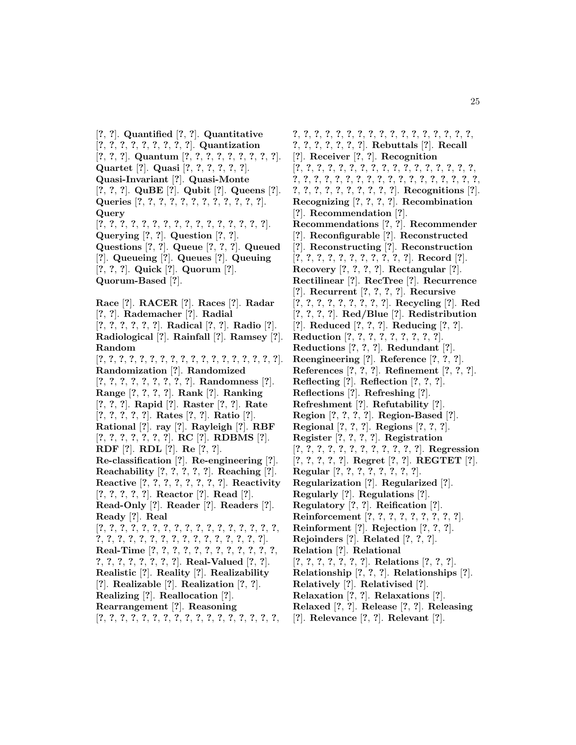[**?**, **?**]. **Quantified** [**?**, **?**]. **Quantitative** [**?**, **?**, **?**, **?**, **?**, **?**, **?**, **?**, **?**]. **Quantization** [**?**, **?**, **?**]. **Quantum** [**?**, **?**, **?**, **?**, **?**, **?**, **?**, **?**, **?**]. **Quartet** [**?**]. **Quasi** [**?**, **?**, **?**, **?**, **?**, **?**]. **Quasi-Invariant** [**?**]. **Quasi-Monte** [**?**, **?**, **?**]. **QuBE** [**?**]. **Qubit** [**?**]. **Queens** [**?**]. **Queries** [**?**, **?**, **?**, **?**, **?**, **?**, **?**, **?**, **?**, **?**, **?**, **?**]. **Query** [**?**, **?**, **?**, **?**, **?**, **?**, **?**, **?**, **?**, **?**, **?**, **?**, **?**, **?**, **?**, **?**]. **Querying** [**?**, **?**]. **Question** [**?**, **?**]. **Questions** [**?**, **?**]. **Queue** [**?**, **?**, **?**]. **Queued** [**?**]. **Queueing** [**?**]. **Queues** [**?**]. **Queuing** [**?**, **?**, **?**]. **Quick** [**?**]. **Quorum** [**?**]. **Quorum-Based** [**?**].

**Race** [**?**]. **RACER** [**?**]. **Races** [**?**]. **Radar** [**?**, **?**]. **Rademacher** [**?**]. **Radial** [**?**, **?**, **?**, **?**, **?**, **?**]. **Radical** [**?**, **?**]. **Radio** [**?**]. **Radiological** [**?**]. **Rainfall** [**?**]. **Ramsey** [**?**]. **Random** [**?**, **?**, **?**, **?**, **?**, **?**, **?**, **?**, **?**, **?**, **?**, **?**, **?**, **?**, **?**, **?**, **?**, **?**]. **Randomization** [**?**]. **Randomized** [**?**, **?**, **?**, **?**, **?**, **?**, **?**, **?**, **?**]. **Randomness** [**?**]. **Range** [**?**, **?**, **?**, **?**]. **Rank** [**?**]. **Ranking** [**?**, **?**, **?**]. **Rapid** [**?**]. **Raster** [**?**, **?**]. **Rate** [**?**, **?**, **?**, **?**, **?**]. **Rates** [**?**, **?**]. **Ratio** [**?**]. **Rational** [**?**]. **ray** [**?**]. **Rayleigh** [**?**]. **RBF** [**?**, **?**, **?**, **?**, **?**, **?**, **?**]. **RC** [**?**]. **RDBMS** [**?**]. **RDF** [**?**]. **RDL** [**?**]. **Re** [**?**, **?**]. **Re-classification** [**?**]. **Re-engineering** [**?**]. **Reachability** [**?**, **?**, **?**, **?**, **?**]. **Reaching** [**?**]. **Reactive** [**?**, **?**, **?**, **?**, **?**, **?**, **?**, **?**]. **Reactivity** [**?**, **?**, **?**, **?**, **?**]. **Reactor** [**?**]. **Read** [**?**]. **Read-Only** [**?**]. **Reader** [**?**]. **Readers** [**?**]. **Ready** [**?**]. **Real** [**?**, **?**, **?**, **?**, **?**, **?**, **?**, **?**, **?**, **?**, **?**, **?**, **?**, **?**, **?**, **?**, **?**, **?**, **?**, **?**, **?**, **?**, **?**, **?**, **?**, **?**, **?**, **?**, **?**, **?**, **?**, **?**, **?**]. **Real-Time** [**?**, **?**, **?**, **?**, **?**, **?**, **?**, **?**, **?**, **?**, **?**, **?**, **?**, **?**, **?**, **?**, **?**, **?**, **?**, **?**]. **Real-Valued** [**?**, **?**]. **Realistic** [**?**]. **Reality** [**?**]. **Realizability** [**?**]. **Realizable** [**?**]. **Realization** [**?**, **?**]. **Realizing** [**?**]. **Reallocation** [**?**]. **Rearrangement** [**?**]. **Reasoning** [**?**, **?**, **?**, **?**, **?**, **?**, **?**, **?**, **?**, **?**, **?**, **?**, **?**, **?**, **?**, **?**, **?**,

**?**, **?**, **?**, **?**, **?**, **?**, **?**, **?**, **?**, **?**, **?**, **?**, **?**, **?**, **?**, **?**, **?**, **?**, **?**, **?**, **?**, **?**, **?**, **?**]. **Rebuttals** [**?**]. **Recall** [**?**]. **Receiver** [**?**, **?**]. **Recognition** [**?**, **?**, **?**, **?**, **?**, **?**, **?**, **?**, **?**, **?**, **?**, **?**, **?**, **?**, **?**, **?**, **?**, **?**, **?**, **?**, **?**, **?**, **?**, **?**, **?**, **?**, **?**, **?**, **?**, **?**, **?**, **?**, **?**, **?**, **?**, **?**, **?**, **?**, **?**, **?**, **?**, **?**, **?**, **?**, **?**]. **Recognitions** [**?**]. **Recognizing** [**?**, **?**, **?**, **?**]. **Recombination** [**?**]. **Recommendation** [**?**]. **Recommendations** [**?**, **?**]. **Recommender** [**?**]. **Reconfigurable** [**?**]. **Reconstructed** [**?**]. **Reconstructing** [**?**]. **Reconstruction** [**?**, **?**, **?**, **?**, **?**, **?**, **?**, **?**, **?**, **?**, **?**]. **Record** [**?**]. **Recovery** [**?**, **?**, **?**, **?**]. **Rectangular** [**?**]. **Rectilinear** [**?**]. **RecTree** [**?**]. **Recurrence** [**?**]. **Recurrent** [**?**, **?**, **?**, **?**]. **Recursive** [**?**, **?**, **?**, **?**, **?**, **?**, **?**, **?**, **?**]. **Recycling** [**?**]. **Red** [**?**, **?**, **?**, **?**]. **Red/Blue** [**?**]. **Redistribution** [**?**]. **Reduced** [**?**, **?**, **?**]. **Reducing** [**?**, **?**]. **Reduction** [**?**, **?**, **?**, **?**, **?**, **?**, **?**, **?**, **?**]. **Reductions** [**?**, **?**, **?**]. **Redundant** [**?**]. **Reengineering** [**?**]. **Reference** [**?**, **?**, **?**]. **References** [**?**, **?**, **?**]. **Refinement** [**?**, **?**, **?**]. **Reflecting** [**?**]. **Reflection** [**?**, **?**, **?**]. **Reflections** [**?**]. **Refreshing** [**?**]. **Refreshment** [**?**]. **Refutability** [**?**]. **Region** [**?**, **?**, **?**, **?**]. **Region-Based** [**?**]. **Regional** [**?**, **?**, **?**]. **Regions** [**?**, **?**, **?**]. **Register** [**?**, **?**, **?**, **?**]. **Registration** [**?**, **?**, **?**, **?**, **?**, **?**, **?**, **?**, **?**, **?**, **?**, **?**]. **Regression** [**?**, **?**, **?**, **?**, **?**]. **Regret** [**?**, **?**]. **REGTET** [**?**]. **Regular** [**?**, **?**, **?**, **?**, **?**, **?**, **?**, **?**]. **Regularization** [**?**]. **Regularized** [**?**]. **Regularly** [**?**]. **Regulations** [**?**]. **Regulatory** [**?**, **?**]. **Reification** [**?**]. **Reinforcement** [**?**, **?**, **?**, **?**, **?**, **?**, **?**, **?**, **?**]. **Reinforment** [**?**]. **Rejection** [**?**, **?**, **?**]. **Rejoinders** [**?**]. **Related** [**?**, **?**, **?**]. **Relation** [**?**]. **Relational** [**?**, **?**, **?**, **?**, **?**, **?**, **?**]. **Relations** [**?**, **?**, **?**]. **Relationship** [**?**, **?**, **?**]. **Relationships** [**?**]. **Relatively** [**?**]. **Relativised** [**?**]. **Relaxation** [**?**, **?**]. **Relaxations** [**?**]. **Relaxed** [**?**, **?**]. **Release** [**?**, **?**]. **Releasing** [**?**]. **Relevance** [**?**, **?**]. **Relevant** [**?**].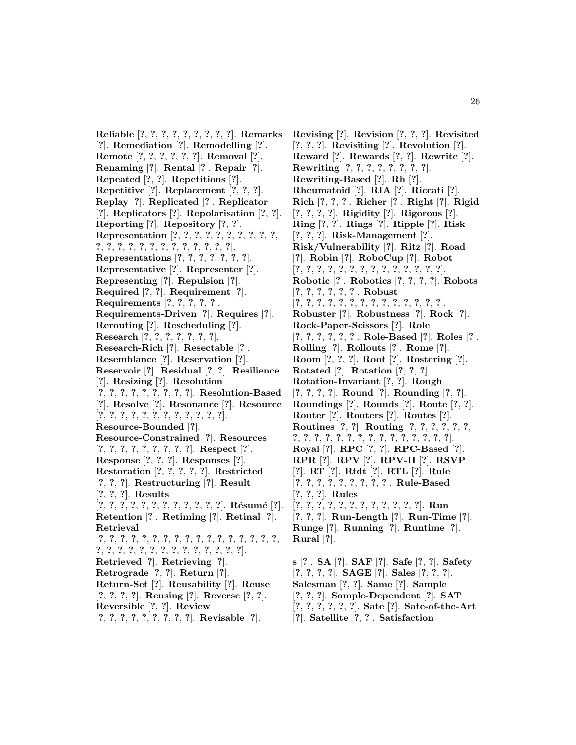**Reliable** [**?**, **?**, **?**, **?**, **?**, **?**, **?**, **?**, **?**]. **Remarks** [**?**]. **Remediation** [**?**]. **Remodelling** [**?**]. **Remote** [**?**, **?**, **?**, **?**, **?**, **?**]. **Removal** [**?**]. **Renaming** [**?**]. **Rental** [**?**]. **Repair** [**?**]. **Repeated** [**?**, **?**]. **Repetitions** [**?**]. **Repetitive** [**?**]. **Replacement** [**?**, **?**, **?**]. **Replay** [**?**]. **Replicated** [**?**]. **Replicator** [**?**]. **Replicators** [**?**]. **Repolarisation** [**?**, **?**]. **Reporting** [**?**]. **Repository** [**?**, **?**]. **Representation** [**?**, **?**, **?**, **?**, **?**, **?**, **?**, **?**, **?**, **?**, **?**, **?**, **?**, **?**, **?**, **?**, **?**, **?**, **?**, **?**, **?**, **?**, **?**]. **Representations** [**?**, **?**, **?**, **?**, **?**, **?**, **?**]. **Representative** [**?**]. **Representer** [**?**]. **Representing** [**?**]. **Repulsion** [**?**]. **Required** [**?**, **?**]. **Requirement** [**?**]. **Requirements** [**?**, **?**, **?**, **?**, **?**]. **Requirements-Driven** [**?**]. **Requires** [**?**]. **Rerouting** [**?**]. **Rescheduling** [**?**]. **Research** [**?**, **?**, **?**, **?**, **?**, **?**, **?**]. **Research-Rich** [**?**]. **Resectable** [**?**]. **Resemblance** [**?**]. **Reservation** [**?**]. **Reservoir** [**?**]. **Residual** [**?**, **?**]. **Resilience** [**?**]. **Resizing** [**?**]. **Resolution** [**?**, **?**, **?**, **?**, **?**, **?**, **?**, **?**, **?**]. **Resolution-Based** [**?**]. **Resolve** [**?**]. **Resonance** [**?**]. **Resource** [**?**, **?**, **?**, **?**, **?**, **?**, **?**, **?**, **?**, **?**, **?**, **?**]. **Resource-Bounded** [**?**]. **Resource-Constrained** [**?**]. **Resources** [**?**, **?**, **?**, **?**, **?**, **?**, **?**, **?**, **?**]. **Respect** [**?**]. **Response** [**?**, **?**, **?**]. **Responses** [**?**]. **Restoration** [**?**, **?**, **?**, **?**, **?**]. **Restricted** [**?**, **?**, **?**]. **Restructuring** [**?**]. **Result** [**?**, **?**, **?**]. **Results** [**?**, **?**, **?**, **?**, **?**, **?**, **?**, **?**, **?**, **?**, **?**, **?**]. **R´esum´e** [**?**]. **Retention** [**?**]. **Retiming** [**?**]. **Retinal** [**?**]. **Retrieval** [**?**, **?**, **?**, **?**, **?**, **?**, **?**, **?**, **?**, **?**, **?**, **?**, **?**, **?**, **?**, **?**, **?**, **?**, **?**, **?**, **?**, **?**, **?**, **?**, **?**, **?**, **?**, **?**, **?**, **?**, **?**]. **Retrieved** [**?**]. **Retrieving** [**?**]. **Retrograde** [**?**, **?**]. **Return** [**?**]. **Return-Set** [**?**]. **Reusability** [**?**]. **Reuse** [**?**, **?**, **?**, **?**]. **Reusing** [**?**]. **Reverse** [**?**, **?**]. **Reversible** [**?**, **?**]. **Review** [**?**, **?**, **?**, **?**, **?**, **?**, **?**, **?**, **?**]. **Revisable** [**?**].

**Revising** [**?**]. **Revision** [**?**, **?**, **?**]. **Revisited** [**?**, **?**, **?**]. **Revisiting** [**?**]. **Revolution** [**?**]. **Reward** [**?**]. **Rewards** [**?**, **?**]. **Rewrite** [**?**]. **Rewriting** [**?**, **?**, **?**, **?**, **?**, **?**, **?**, **?**]. **Rewriting-Based** [**?**]. **Rh** [**?**]. **Rheumatoid** [**?**]. **RIA** [**?**]. **Riccati** [**?**]. **Rich** [**?**, **?**, **?**]. **Richer** [**?**]. **Right** [**?**]. **Rigid** [**?**, **?**, **?**, **?**]. **Rigidity** [**?**]. **Rigorous** [**?**]. **Ring** [**?**, **?**]. **Rings** [**?**]. **Ripple** [**?**]. **Risk** [**?**, **?**, **?**]. **Risk-Management** [**?**]. **Risk/Vulnerability** [**?**]. **Ritz** [**?**]. **Road** [**?**]. **Robin** [**?**]. **RoboCup** [**?**]. **Robot** [**?**, **?**, **?**, **?**, **?**, **?**, **?**, **?**, **?**, **?**, **?**, **?**, **?**, **?**]. **Robotic** [**?**]. **Robotics** [**?**, **?**, **?**, **?**]. **Robots** [**?**, **?**, **?**, **?**, **?**, **?**]. **Robust** [**?**, **?**, **?**, **?**, **?**, **?**, **?**, **?**, **?**, **?**, **?**, **?**, **?**, **?**]. **Robuster** [**?**]. **Robustness** [**?**]. **Rock** [**?**]. **Rock-Paper-Scissors** [**?**]. **Role** [**?**, **?**, **?**, **?**, **?**, **?**]. **Role-Based** [**?**]. **Roles** [**?**]. **Rolling** [**?**]. **Rollouts** [**?**]. **Rome** [**?**]. **Room** [**?**, **?**, **?**]. **Root** [**?**]. **Rostering** [**?**]. **Rotated** [**?**]. **Rotation** [**?**, **?**, **?**]. **Rotation-Invariant** [**?**, **?**]. **Rough** [**?**, **?**, **?**, **?**]. **Round** [**?**]. **Rounding** [**?**, **?**]. **Roundings** [**?**]. **Rounds** [**?**]. **Route** [**?**, **?**]. **Router** [**?**]. **Routers** [**?**]. **Routes** [**?**]. **Routines** [**?**, **?**]. **Routing** [**?**, **?**, **?**, **?**, **?**, **?**, **?**, **?**, **?**, **?**, **?**, **?**, **?**, **?**, **?**, **?**, **?**, **?**, **?**, **?**, **?**]. **Royal** [**?**]. **RPC** [**?**, **?**]. **RPC-Based** [**?**]. **RPR** [**?**]. **RPV** [**?**]. **RPV-II** [**?**]. **RSVP** [**?**]. **RT** [**?**]. **Rtdt** [**?**]. **RTL** [**?**]. **Rule** [**?**, **?**, **?**, **?**, **?**, **?**, **?**, **?**, **?**]. **Rule-Based** [**?**, **?**, **?**]. **Rules** [**?**, **?**, **?**, **?**, **?**, **?**, **?**, **?**, **?**, **?**, **?**, **?**]. **Run** [**?**, **?**, **?**]. **Run-Length** [**?**]. **Run-Time** [**?**]. **Runge** [**?**]. **Running** [**?**]. **Runtime** [**?**]. **Rural** [**?**].

**s** [**?**]. **SA** [**?**]. **SAF** [**?**]. **Safe** [**?**, **?**]. **Safety** [**?**, **?**, **?**, **?**]. **SAGE** [**?**]. **Sales** [**?**, **?**, **?**]. **Salesman** [**?**, **?**]. **Same** [**?**]. **Sample** [**?**, **?**, **?**]. **Sample-Dependent** [**?**]. **SAT** [**?**, **?**, **?**, **?**, **?**, **?**]. **Sate** [**?**]. **Sate-of-the-Art** [**?**]. **Satellite** [**?**, **?**]. **Satisfaction**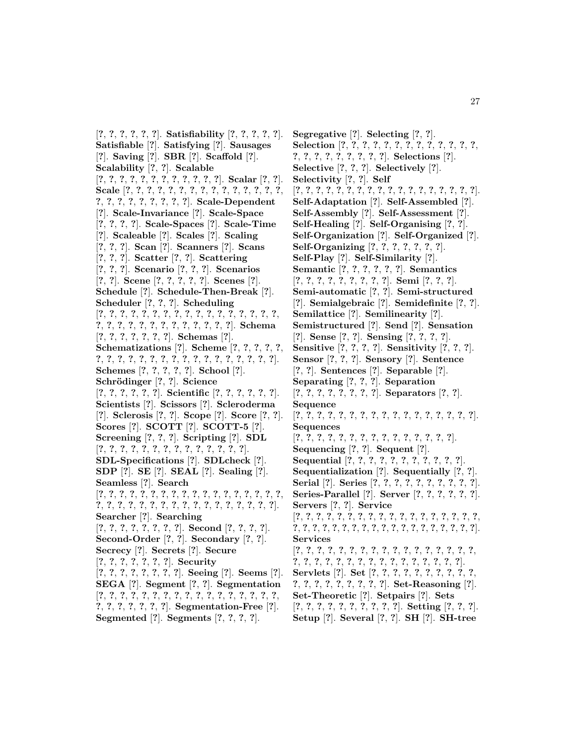[**?**, **?**, **?**, **?**, **?**, **?**]. **Satisfiability** [**?**, **?**, **?**, **?**, **?**]. **Satisfiable** [**?**]. **Satisfying** [**?**]. **Sausages** [**?**]. **Saving** [**?**]. **SBR** [**?**]. **Scaffold** [**?**]. **Scalability** [**?**, **?**]. **Scalable** [**?**, **?**, **?**, **?**, **?**, **?**, **?**, **?**, **?**, **?**, **?**, **?**]. **Scalar** [**?**, **?**]. **Scale** [**?**, **?**, **?**, **?**, **?**, **?**, **?**, **?**, **?**, **?**, **?**, **?**, **?**, **?**, **?**, **?**, **?**, **?**, **?**, **?**, **?**, **?**, **?**, **?**]. **Scale-Dependent** [**?**]. **Scale-Invariance** [**?**]. **Scale-Space** [**?**, **?**, **?**, **?**]. **Scale-Spaces** [**?**]. **Scale-Time** [**?**]. **Scaleable** [**?**]. **Scales** [**?**]. **Scaling** [**?**, **?**, **?**]. **Scan** [**?**]. **Scanners** [**?**]. **Scans** [**?**, **?**, **?**]. **Scatter** [**?**, **?**]. **Scattering** [**?**, **?**, **?**]. **Scenario** [**?**, **?**, **?**]. **Scenarios** [**?**, **?**]. **Scene** [**?**, **?**, **?**, **?**, **?**]. **Scenes** [**?**]. **Schedule** [**?**]. **Schedule-Then-Break** [**?**]. **Scheduler** [**?**, **?**, **?**]. **Scheduling** [**?**, **?**, **?**, **?**, **?**, **?**, **?**, **?**, **?**, **?**, **?**, **?**, **?**, **?**, **?**, **?**, **?**, **?**, **?**, **?**, **?**, **?**, **?**, **?**, **?**, **?**, **?**, **?**, **?**, **?**]. **Schema** [**?**, **?**, **?**, **?**, **?**, **?**, **?**]. **Schemas** [**?**]. **Schematizations** [**?**]. **Scheme** [**?**, **?**, **?**, **?**, **?**, **?**, **?**, **?**, **?**, **?**, **?**, **?**, **?**, **?**, **?**, **?**, **?**, **?**, **?**, **?**, **?**, **?**]. **Schemes** [**?**, **?**, **?**, **?**, **?**]. **School** [**?**]. **Schr¨odinger** [**?**, **?**]. **Science** [**?**, **?**, **?**, **?**, **?**, **?**]. **Scientific** [**?**, **?**, **?**, **?**, **?**, **?**]. **Scientists** [**?**]. **Scissors** [**?**]. **Scleroderma** [**?**]. **Sclerosis** [**?**, **?**]. **Scope** [**?**]. **Score** [**?**, **?**]. **Scores** [**?**]. **SCOTT** [**?**]. **SCOTT-5** [**?**]. **Screening** [**?**, **?**, **?**]. **Scripting** [**?**]. **SDL** [**?**, **?**, **?**, **?**, **?**, **?**, **?**, **?**, **?**, **?**, **?**, **?**, **?**, **?**]. **SDL-Specifications** [**?**]. **SDLcheck** [**?**]. **SDP** [**?**]. **SE** [**?**]. **SEAL** [**?**]. **Sealing** [**?**]. **Seamless** [**?**]. **Search** [**?**, **?**, **?**, **?**, **?**, **?**, **?**, **?**, **?**, **?**, **?**, **?**, **?**, **?**, **?**, **?**, **?**, **?**, **?**, **?**, **?**, **?**, **?**, **?**, **?**, **?**, **?**, **?**, **?**, **?**, **?**, **?**, **?**, **?**, **?**]. **Searcher** [**?**]. **Searching** [**?**, **?**, **?**, **?**, **?**, **?**, **?**, **?**]. **Second** [**?**, **?**, **?**, **?**]. **Second-Order** [**?**, **?**]. **Secondary** [**?**, **?**]. **Secrecy** [**?**]. **Secrets** [**?**]. **Secure** [**?**, **?**, **?**, **?**, **?**, **?**, **?**]. **Security** [**?**, **?**, **?**, **?**, **?**, **?**, **?**, **?**]. **Seeing** [**?**]. **Seems** [**?**]. **SEGA** [**?**]. **Segment** [**?**, **?**]. **Segmentation** [**?**, **?**, **?**, **?**, **?**, **?**, **?**, **?**, **?**, **?**, **?**, **?**, **?**, **?**, **?**, **?**, **?**, **?**, **?**, **?**, **?**, **?**, **?**, **?**]. **Segmentation-Free** [**?**]. **Segmented** [**?**]. **Segments** [**?**, **?**, **?**, **?**].

**Segregative** [**?**]. **Selecting** [**?**, **?**]. **Selection** [**?**, **?**, **?**, **?**, **?**, **?**, **?**, **?**, **?**, **?**, **?**, **?**, **?**, **?**, **?**, **?**, **?**, **?**, **?**, **?**, **?**, **?**]. **Selections** [**?**]. **Selective** [**?**, **?**, **?**]. **Selectively** [**?**]. **Selectivity** [**?**, **?**]. **Self** [**?**, **?**, **?**, **?**, **?**, **?**, **?**, **?**, **?**, **?**, **?**, **?**, **?**, **?**, **?**, **?**, **?**, **?**]. **Self-Adaptation** [**?**]. **Self-Assembled** [**?**]. **Self-Assembly** [**?**]. **Self-Assessment** [**?**]. **Self-Healing** [**?**]. **Self-Organising** [**?**, **?**]. **Self-Organization** [**?**]. **Self-Organized** [**?**]. **Self-Organizing** [**?**, **?**, **?**, **?**, **?**, **?**, **?**]. **Self-Play** [**?**]. **Self-Similarity** [**?**]. **Semantic** [**?**, **?**, **?**, **?**, **?**, **?**]. **Semantics** [**?**, **?**, **?**, **?**, **?**, **?**, **?**, **?**, **?**]. **Semi** [**?**, **?**, **?**]. **Semi-automatic** [**?**, **?**]. **Semi-structured** [**?**]. **Semialgebraic** [**?**]. **Semidefinite** [**?**, **?**]. **Semilattice** [**?**]. **Semilinearity** [**?**]. **Semistructured** [**?**]. **Send** [**?**]. **Sensation** [**?**]. **Sense** [**?**, **?**]. **Sensing** [**?**, **?**, **?**, **?**]. **Sensitive** [**?**, **?**, **?**, **?**]. **Sensitivity** [**?**, **?**, **?**]. **Sensor** [**?**, **?**, **?**]. **Sensory** [**?**]. **Sentence** [**?**, **?**]. **Sentences** [**?**]. **Separable** [**?**]. **Separating** [**?**, **?**, **?**]. **Separation** [**?**, **?**, **?**, **?**, **?**, **?**, **?**, **?**]. **Separators** [**?**, **?**]. **Sequence** [**?**, **?**, **?**, **?**, **?**, **?**, **?**, **?**, **?**, **?**, **?**, **?**, **?**, **?**, **?**, **?**, **?**]. **Sequences** [**?**, **?**, **?**, **?**, **?**, **?**, **?**, **?**, **?**, **?**, **?**, **?**, **?**, **?**, **?**]. **Sequencing** [**?**, **?**]. **Sequent** [**?**]. **Sequential** [**?**, **?**, **?**, **?**, **?**, **?**, **?**, **?**, **?**, **?**, **?**]. **Sequentialization** [**?**]. **Sequentially** [**?**, **?**]. **Serial** [**?**]. **Series** [**?**, **?**, **?**, **?**, **?**, **?**, **?**, **?**, **?**, **?**]. **Series-Parallel** [**?**]. **Server** [**?**, **?**, **?**, **?**, **?**, **?**]. **Servers** [**?**, **?**]. **Service** [**?**, **?**, **?**, **?**, **?**, **?**, **?**, **?**, **?**, **?**, **?**, **?**, **?**, **?**, **?**, **?**, **?**, **?**, **?**, **?**, **?**, **?**, **?**, **?**, **?**, **?**, **?**, **?**, **?**, **?**, **?**, **?**, **?**, **?**, **?**, **?**, **?**]. **Services** [**?**, **?**, **?**, **?**, **?**, **?**, **?**, **?**, **?**, **?**, **?**, **?**, **?**, **?**, **?**, **?**, **?**, **?**, **?**, **?**, **?**, **?**, **?**, **?**, **?**, **?**, **?**, **?**, **?**, **?**, **?**, **?**, **?**]. **Servlets** [**?**]. **Set** [**?**, **?**, **?**, **?**, **?**, **?**, **?**, **?**, **?**, **?**, **?**, **?**, **?**, **?**, **?**, **?**, **?**, **?**, **?**]. **Set-Reasoning** [**?**]. **Set-Theoretic** [**?**]. **Setpairs** [**?**]. **Sets** [**?**, **?**, **?**, **?**, **?**, **?**, **?**, **?**, **?**, **?**]. **Setting** [**?**, **?**, **?**]. **Setup** [**?**]. **Several** [**?**, **?**]. **SH** [**?**]. **SH-tree**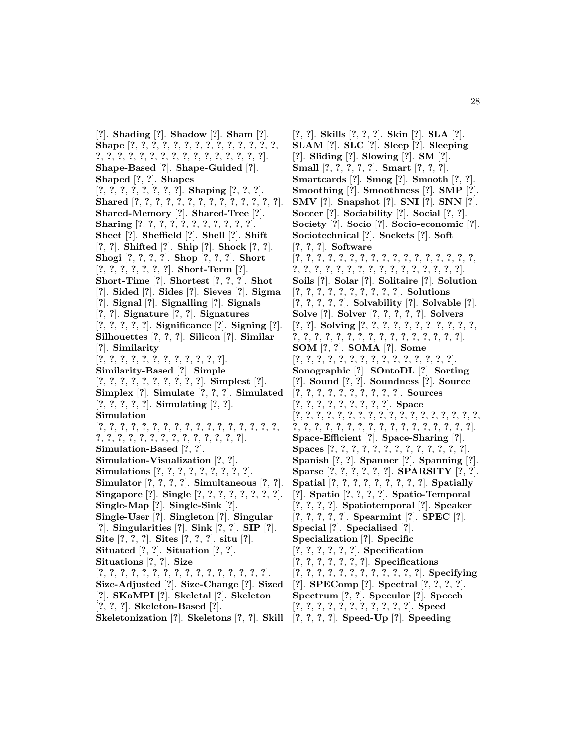[**?**]. **Shading** [**?**]. **Shadow** [**?**]. **Sham** [**?**]. **Shape** [**?**, **?**, **?**, **?**, **?**, **?**, **?**, **?**, **?**, **?**, **?**, **?**, **?**, **?**, **?**, **?**, **?**, **?**, **?**, **?**, **?**, **?**, **?**, **?**, **?**, **?**, **?**, **?**, **?**, **?**]. **Shape-Based** [**?**]. **Shape-Guided** [**?**]. **Shaped** [**?**, **?**]. **Shapes** [**?**, **?**, **?**, **?**, **?**, **?**, **?**, **?**]. **Shaping** [**?**, **?**, **?**]. **Shared** [**?**, **?**, **?**, **?**, **?**, **?**, **?**, **?**, **?**, **?**, **?**, **?**, **?**, **?**]. **Shared-Memory** [**?**]. **Shared-Tree** [**?**]. **Sharing** [**?**, **?**, **?**, **?**, **?**, **?**, **?**, **?**, **?**, **?**, **?**]. **Sheet** [**?**]. **Sheffield** [**?**]. **Shell** [**?**]. **Shift** [**?**, **?**]. **Shifted** [**?**]. **Ship** [**?**]. **Shock** [**?**, **?**]. **Shogi** [**?**, **?**, **?**, **?**]. **Shop** [**?**, **?**, **?**]. **Short** [**?**, **?**, **?**, **?**, **?**, **?**, **?**]. **Short-Term** [**?**]. **Short-Time** [**?**]. **Shortest** [**?**, **?**, **?**]. **Shot** [**?**]. **Sided** [**?**]. **Sides** [**?**]. **Sieves** [**?**]. **Sigma** [**?**]. **Signal** [**?**]. **Signalling** [**?**]. **Signals** [**?**, **?**]. **Signature** [**?**, **?**]. **Signatures** [**?**, **?**, **?**, **?**, **?**]. **Significance** [**?**]. **Signing** [**?**]. **Silhouettes** [**?**, **?**, **?**]. **Silicon** [**?**]. **Similar** [**?**]. **Similarity** [**?**, **?**, **?**, **?**, **?**, **?**, **?**, **?**, **?**, **?**, **?**, **?**]. **Similarity-Based** [**?**]. **Simple** [**?**, **?**, **?**, **?**, **?**, **?**, **?**, **?**, **?**, **?**]. **Simplest** [**?**]. **Simplex** [**?**]. **Simulate** [**?**, **?**, **?**]. **Simulated** [**?**, **?**, **?**, **?**, **?**]. **Simulating** [**?**, **?**]. **Simulation** [**?**, **?**, **?**, **?**, **?**, **?**, **?**, **?**, **?**, **?**, **?**, **?**, **?**, **?**, **?**, **?**, **?**, **?**, **?**, **?**, **?**, **?**, **?**, **?**, **?**, **?**, **?**, **?**, **?**, **?**, **?**]. **Simulation-Based** [**?**, **?**]. **Simulation-Visualization** [**?**, **?**]. **Simulations** [**?**, **?**, **?**, **?**, **?**, **?**, **?**, **?**, **?**]. **Simulator** [**?**, **?**, **?**, **?**]. **Simultaneous** [**?**, **?**]. **Singapore** [**?**]. **Single** [**?**, **?**, **?**, **?**, **?**, **?**, **?**, **?**]. **Single-Map** [**?**]. **Single-Sink** [**?**]. **Single-User** [**?**]. **Singleton** [**?**]. **Singular** [**?**]. **Singularities** [**?**]. **Sink** [**?**, **?**]. **SIP** [**?**]. **Site** [**?**, **?**, **?**]. **Sites** [**?**, **?**, **?**]. **situ** [**?**]. **Situated** [**?**, **?**]. **Situation** [**?**, **?**]. **Situations** [**?**, **?**]. **Size** [**?**, **?**, **?**, **?**, **?**, **?**, **?**, **?**, **?**, **?**, **?**, **?**, **?**, **?**, **?**, **?**]. **Size-Adjusted** [**?**]. **Size-Change** [**?**]. **Sized** [**?**]. **SKaMPI** [**?**]. **Skeletal** [**?**]. **Skeleton** [**?**, **?**, **?**]. **Skeleton-Based** [**?**]. **Skeletonization** [**?**]. **Skeletons** [**?**, **?**]. **Skill**

[**?**, **?**]. **Skills** [**?**, **?**, **?**]. **Skin** [**?**]. **SLA** [**?**]. **SLAM** [**?**]. **SLC** [**?**]. **Sleep** [**?**]. **Sleeping** [**?**]. **Sliding** [**?**]. **Slowing** [**?**]. **SM** [**?**]. **Small** [**?**, **?**, **?**, **?**, **?**]. **Smart** [**?**, **?**, **?**]. **Smartcards** [**?**]. **Smog** [**?**]. **Smooth** [**?**, **?**]. **Smoothing** [**?**]. **Smoothness** [**?**]. **SMP** [**?**]. **SMV** [**?**]. **Snapshot** [**?**]. **SNI** [**?**]. **SNN** [**?**]. **Soccer** [**?**]. **Sociability** [**?**]. **Social** [**?**, **?**]. **Society** [**?**]. **Socio** [**?**]. **Socio-economic** [**?**]. **Sociotechnical** [**?**]. **Sockets** [**?**]. **Soft** [**?**, **?**, **?**]. **Software** [**?**, **?**, **?**, **?**, **?**, **?**, **?**, **?**, **?**, **?**, **?**, **?**, **?**, **?**, **?**, **?**, **?**, **?**, **?**, **?**, **?**, **?**, **?**, **?**, **?**, **?**, **?**, **?**, **?**, **?**, **?**, **?**, **?**]. **Soils** [**?**]. **Solar** [**?**]. **Solitaire** [**?**]. **Solution** [**?**, **?**, **?**, **?**, **?**, **?**, **?**, **?**, **?**, **?**]. **Solutions** [**?**, **?**, **?**, **?**, **?**]. **Solvability** [**?**]. **Solvable** [**?**]. **Solve** [**?**]. **Solver** [**?**, **?**, **?**, **?**, **?**]. **Solvers** [**?**, **?**]. **Solving** [**?**, **?**, **?**, **?**, **?**, **?**, **?**, **?**, **?**, **?**, **?**, **?**, **?**, **?**, **?**, **?**, **?**, **?**, **?**, **?**, **?**, **?**, **?**, **?**, **?**, **?**, **?**]. **SOM** [**?**, **?**]. **SOMA** [**?**]. **Some** [**?**, **?**, **?**, **?**, **?**, **?**, **?**, **?**, **?**, **?**, **?**, **?**, **?**, **?**, **?**]. **Sonographic** [**?**]. **SOntoDL** [**?**]. **Sorting** [**?**]. **Sound** [**?**, **?**]. **Soundness** [**?**]. **Source** [**?**, **?**, **?**, **?**, **?**, **?**, **?**, **?**, **?**, **?**]. **Sources** [**?**, **?**, **?**, **?**, **?**, **?**, **?**, **?**, **?**]. **Space** [**?**, **?**, **?**, **?**, **?**, **?**, **?**, **?**, **?**, **?**, **?**, **?**, **?**, **?**, **?**, **?**, **?**, **?**, **?**, **?**, **?**, **?**, **?**, **?**, **?**, **?**, **?**, **?**, **?**, **?**, **?**, **?**, **?**, **?**, **?**]. **Space-Efficient** [**?**]. **Space-Sharing** [**?**]. **Spaces** [**?**, **?**, **?**, **?**, **?**, **?**, **?**, **?**, **?**, **?**, **?**, **?**, **?**]. **Spanish** [**?**, **?**]. **Spanner** [**?**]. **Spanning** [**?**]. **Sparse** [**?**, **?**, **?**, **?**, **?**, **?**]. **SPARSITY** [**?**, **?**]. **Spatial** [**?**, **?**, **?**, **?**, **?**, **?**, **?**, **?**, **?**]. **Spatially** [**?**]. **Spatio** [**?**, **?**, **?**, **?**]. **Spatio-Temporal** [**?**, **?**, **?**, **?**]. **Spatiotemporal** [**?**]. **Speaker** [**?**, **?**, **?**, **?**, **?**]. **Spearmint** [**?**]. **SPEC** [**?**]. **Special** [**?**]. **Specialised** [**?**]. **Specialization** [**?**]. **Specific** [**?**, **?**, **?**, **?**, **?**, **?**]. **Specification** [**?**, **?**, **?**, **?**, **?**, **?**, **?**]. **Specifications** [**?**, **?**, **?**, **?**, **?**, **?**, **?**, **?**, **?**, **?**, **?**, **?**]. **Specifying** [**?**]. **SPEComp** [**?**]. **Spectral** [**?**, **?**, **?**, **?**]. **Spectrum** [**?**, **?**]. **Specular** [**?**]. **Speech** [**?**, **?**, **?**, **?**, **?**, **?**, **?**, **?**, **?**, **?**, **?**]. **Speed** [**?**, **?**, **?**, **?**]. **Speed-Up** [**?**]. **Speeding**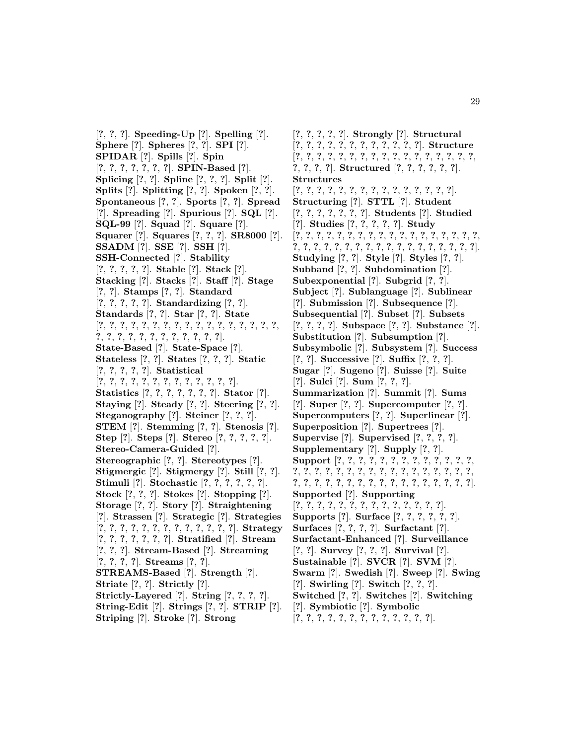[**?**, **?**, **?**]. **Speeding-Up** [**?**]. **Spelling** [**?**]. **Sphere** [**?**]. **Spheres** [**?**, **?**]. **SPI** [**?**]. **SPIDAR** [**?**]. **Spills** [**?**]. **Spin** [**?**, **?**, **?**, **?**, **?**, **?**, **?**]. **SPIN-Based** [**?**]. **Splicing** [**?**, **?**]. **Spline** [**?**, **?**, **?**]. **Split** [**?**]. **Splits** [**?**]. **Splitting** [**?**, **?**]. **Spoken** [**?**, **?**]. **Spontaneous** [**?**, **?**]. **Sports** [**?**, **?**]. **Spread** [**?**]. **Spreading** [**?**]. **Spurious** [**?**]. **SQL** [**?**]. **SQL-99** [**?**]. **Squad** [**?**]. **Square** [**?**]. **Squarer** [**?**]. **Squares** [**?**, **?**, **?**]. **SR8000** [**?**]. **SSADM** [**?**]. **SSE** [**?**]. **SSH** [**?**]. **SSH-Connected** [**?**]. **Stability** [**?**, **?**, **?**, **?**, **?**]. **Stable** [**?**]. **Stack** [**?**]. **Stacking** [**?**]. **Stacks** [**?**]. **Staff** [**?**]. **Stage** [**?**, **?**]. **Stamps** [**?**, **?**]. **Standard** [**?**, **?**, **?**, **?**, **?**]. **Standardizing** [**?**, **?**]. **Standards** [**?**, **?**]. **Star** [**?**, **?**]. **State** [**?**, **?**, **?**, **?**, **?**, **?**, **?**, **?**, **?**, **?**, **?**, **?**, **?**, **?**, **?**, **?**, **?**, **?**, **?**, **?**, **?**, **?**, **?**, **?**, **?**, **?**, **?**, **?**, **?**]. **State-Based** [**?**]. **State-Space** [**?**]. **Stateless** [**?**, **?**]. **States** [**?**, **?**, **?**]. **Static** [**?**, **?**, **?**, **?**, **?**]. **Statistical** [**?**, **?**, **?**, **?**, **?**, **?**, **?**, **?**, **?**, **?**, **?**, **?**, **?**]. **Statistics** [**?**, **?**, **?**, **?**, **?**, **?**, **?**]. **Stator** [**?**]. **Staying** [**?**]. **Steady** [**?**, **?**]. **Steering** [**?**, **?**]. **Steganography** [**?**]. **Steiner** [**?**, **?**, **?**]. **STEM** [**?**]. **Stemming** [**?**, **?**]. **Stenosis** [**?**]. **Step** [**?**]. **Steps** [**?**]. **Stereo** [**?**, **?**, **?**, **?**, **?**]. **Stereo-Camera-Guided** [**?**]. **Stereographic** [**?**, **?**]. **Stereotypes** [**?**]. **Stigmergic** [**?**]. **Stigmergy** [**?**]. **Still** [**?**, **?**]. **Stimuli** [**?**]. **Stochastic** [**?**, **?**, **?**, **?**, **?**, **?**]. **Stock** [**?**, **?**, **?**]. **Stokes** [**?**]. **Stopping** [**?**]. **Storage** [**?**, **?**]. **Story** [**?**]. **Straightening** [**?**]. **Strassen** [**?**]. **Strategic** [**?**]. **Strategies** [**?**, **?**, **?**, **?**, **?**, **?**, **?**, **?**, **?**, **?**, **?**, **?**, **?**]. **Strategy** [**?**, **?**, **?**, **?**, **?**, **?**, **?**]. **Stratified** [**?**]. **Stream** [**?**, **?**, **?**]. **Stream-Based** [**?**]. **Streaming** [**?**, **?**, **?**, **?**]. **Streams** [**?**, **?**]. **STREAMS-Based** [**?**]. **Strength** [**?**]. **Striate** [**?**, **?**]. **Strictly** [**?**]. **Strictly-Layered** [**?**]. **String** [**?**, **?**, **?**, **?**]. **String-Edit** [**?**]. **Strings** [**?**, **?**]. **STRIP** [**?**]. **Striping** [**?**]. **Stroke** [**?**]. **Strong**

[**?**, **?**, **?**, **?**, **?**]. **Strongly** [**?**]. **Structural** [**?**, **?**, **?**, **?**, **?**, **?**, **?**, **?**, **?**, **?**, **?**, **?**]. **Structure** [**?**, **?**, **?**, **?**, **?**, **?**, **?**, **?**, **?**, **?**, **?**, **?**, **?**, **?**, **?**, **?**, **?**, **?**, **?**, **?**, **?**]. **Structured** [**?**, **?**, **?**, **?**, **?**, **?**]. **Structures** [**?**, **?**, **?**, **?**, **?**, **?**, **?**, **?**, **?**, **?**, **?**, **?**, **?**, **?**, **?**]. **Structuring** [**?**]. **STTL** [**?**]. **Student** [**?**, **?**, **?**, **?**, **?**, **?**, **?**]. **Students** [**?**]. **Studied** [**?**]. **Studies** [**?**, **?**, **?**, **?**, **?**]. **Study** [**?**, **?**, **?**, **?**, **?**, **?**, **?**, **?**, **?**, **?**, **?**, **?**, **?**, **?**, **?**, **?**, **?**, **?**, **?**, **?**, **?**, **?**, **?**, **?**, **?**, **?**, **?**, **?**, **?**, **?**, **?**, **?**, **?**, **?**, **?**, **?**]. **Studying** [**?**, **?**]. **Style** [**?**]. **Styles** [**?**, **?**]. **Subband** [**?**, **?**]. **Subdomination** [**?**]. **Subexponential** [**?**]. **Subgrid** [**?**, **?**]. **Subject** [**?**]. **Sublanguage** [**?**]. **Sublinear** [**?**]. **Submission** [**?**]. **Subsequence** [**?**]. **Subsequential** [**?**]. **Subset** [**?**]. **Subsets** [**?**, **?**, **?**, **?**]. **Subspace** [**?**, **?**]. **Substance** [**?**]. **Substitution** [**?**]. **Subsumption** [**?**]. **Subsymbolic** [**?**]. **Subsystem** [**?**]. **Success** [**?**, **?**]. **Successive** [**?**]. **Suffix** [**?**, **?**, **?**]. **Sugar** [**?**]. **Sugeno** [**?**]. **Suisse** [**?**]. **Suite** [**?**]. **Sulci** [**?**]. **Sum** [**?**, **?**, **?**]. **Summarization** [**?**]. **Summit** [**?**]. **Sums** [**?**]. **Super** [**?**, **?**]. **Supercomputer** [**?**, **?**]. **Supercomputers** [**?**, **?**]. **Superlinear** [**?**]. **Superposition** [**?**]. **Supertrees** [**?**]. **Supervise** [**?**]. **Supervised** [**?**, **?**, **?**, **?**]. **Supplementary** [**?**]. **Supply** [**?**, **?**]. **Support** [**?**, **?**, **?**, **?**, **?**, **?**, **?**, **?**, **?**, **?**, **?**, **?**, **?**, **?**, **?**, **?**, **?**, **?**, **?**, **?**, **?**, **?**, **?**, **?**, **?**, **?**, **?**, **?**, **?**, **?**, **?**, **?**, **?**, **?**, **?**, **?**, **?**, **?**, **?**, **?**, **?**, **?**, **?**, **?**, **?**, **?**, **?**]. **Supported** [**?**]. **Supporting** [**?**, **?**, **?**, **?**, **?**, **?**, **?**, **?**, **?**, **?**, **?**, **?**, **?**, **?**]. **Supports** [**?**]. **Surface** [**?**, **?**, **?**, **?**, **?**, **?**]. **Surfaces** [**?**, **?**, **?**, **?**]. **Surfactant** [**?**]. **Surfactant-Enhanced** [**?**]. **Surveillance** [**?**, **?**]. **Survey** [**?**, **?**, **?**]. **Survival** [**?**]. **Sustainable** [**?**]. **SVCR** [**?**]. **SVM** [**?**]. **Swarm** [**?**]. **Swedish** [**?**]. **Sweep** [**?**]. **Swing** [**?**]. **Swirling** [**?**]. **Switch** [**?**, **?**, **?**]. **Switched** [**?**, **?**]. **Switches** [**?**]. **Switching** [**?**]. **Symbiotic** [**?**]. **Symbolic** [**?**, **?**, **?**, **?**, **?**, **?**, **?**, **?**, **?**, **?**, **?**, **?**, **?**].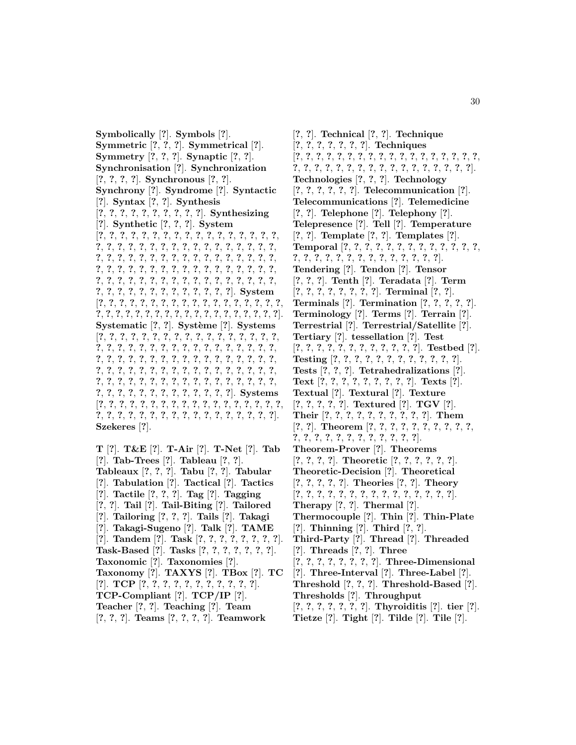**Symbolically** [**?**]. **Symbols** [**?**]. **Symmetric** [**?**, **?**, **?**]. **Symmetrical** [**?**]. **Symmetry** [**?**, **?**, **?**]. **Synaptic** [**?**, **?**]. **Synchronisation** [**?**]. **Synchronization** [**?**, **?**, **?**, **?**]. **Synchronous** [**?**, **?**]. **Synchrony** [**?**]. **Syndrome** [**?**]. **Syntactic** [**?**]. **Syntax** [**?**, **?**]. **Synthesis** [**?**, **?**, **?**, **?**, **?**, **?**, **?**, **?**, **?**, **?**]. **Synthesizing** [**?**]. **Synthetic** [**?**, **?**, **?**]. **System** [**?**, **?**, **?**, **?**, **?**, **?**, **?**, **?**, **?**, **?**, **?**, **?**, **?**, **?**, **?**, **?**, **?**, **?**, **?**, **?**, **?**, **?**, **?**, **?**, **?**, **?**, **?**, **?**, **?**, **?**, **?**, **?**, **?**, **?**, **?**, **?**, **?**, **?**, **?**, **?**, **?**, **?**, **?**, **?**, **?**, **?**, **?**, **?**, **?**, **?**, **?**, **?**, **?**, **?**, **?**, **?**, **?**, **?**, **?**, **?**, **?**, **?**, **?**, **?**, **?**, **?**, **?**, **?**, **?**, **?**, **?**, **?**, **?**, **?**, **?**, **?**, **?**, **?**, **?**, **?**, **?**, **?**, **?**, **?**, **?**, **?**, **?**, **?**, **?**, **?**, **?**, **?**, **?**, **?**, **?**, **?**, **?**, **?**]. **System** [**?**, **?**, **?**, **?**, **?**, **?**, **?**, **?**, **?**, **?**, **?**, **?**, **?**, **?**, **?**, **?**, **?**, **?**, **?**, **?**, **?**, **?**, **?**, **?**, **?**, **?**, **?**, **?**, **?**, **?**, **?**, **?**, **?**, **?**, **?**, **?**, **?**]. **Systematic** [?, ?]. **Système** [?]. **Systems** [**?**, **?**, **?**, **?**, **?**, **?**, **?**, **?**, **?**, **?**, **?**, **?**, **?**, **?**, **?**, **?**, **?**, **?**, **?**, **?**, **?**, **?**, **?**, **?**, **?**, **?**, **?**, **?**, **?**, **?**, **?**, **?**, **?**, **?**, **?**, **?**, **?**, **?**, **?**, **?**, **?**, **?**, **?**, **?**, **?**, **?**, **?**, **?**, **?**, **?**, **?**, **?**, **?**, **?**, **?**, **?**, **?**, **?**, **?**, **?**, **?**, **?**, **?**, **?**, **?**, **?**, **?**, **?**, **?**, **?**, **?**, **?**, **?**, **?**, **?**, **?**, **?**, **?**, **?**, **?**, **?**, **?**, **?**, **?**, **?**, **?**, **?**, **?**, **?**, **?**, **?**, **?**, **?**, **?**, **?**, **?**, **?**, **?**]. **Systems** [**?**, **?**, **?**, **?**, **?**, **?**, **?**, **?**, **?**, **?**, **?**, **?**, **?**, **?**, **?**, **?**, **?**, **?**, **?**, **?**, **?**, **?**, **?**, **?**, **?**, **?**, **?**, **?**, **?**, **?**, **?**, **?**, **?**, **?**, **?**]. **Szekeres** [**?**].

**T** [**?**]. **T&E** [**?**]. **T-Air** [**?**]. **T-Net** [**?**]. **Tab** [**?**]. **Tab-Trees** [**?**]. **Tableau** [**?**, **?**]. **Tableaux** [**?**, **?**, **?**]. **Tabu** [**?**, **?**]. **Tabular** [**?**]. **Tabulation** [**?**]. **Tactical** [**?**]. **Tactics** [**?**]. **Tactile** [**?**, **?**, **?**]. **Tag** [**?**]. **Tagging** [**?**, **?**]. **Tail** [**?**]. **Tail-Biting** [**?**]. **Tailored** [**?**]. **Tailoring** [**?**, **?**, **?**]. **Tails** [**?**]. **Takagi** [**?**]. **Takagi-Sugeno** [**?**]. **Talk** [**?**]. **TAME** [**?**]. **Tandem** [**?**]. **Task** [**?**, **?**, **?**, **?**, **?**, **?**, **?**, **?**]. **Task-Based** [**?**]. **Tasks** [**?**, **?**, **?**, **?**, **?**, **?**, **?**]. **Taxonomic** [**?**]. **Taxonomies** [**?**]. **Taxonomy** [**?**]. **TAXYS** [**?**]. **TBox** [**?**]. **TC** [**?**]. **TCP** [**?**, **?**, **?**, **?**, **?**, **?**, **?**, **?**, **?**, **?**, **?**]. **TCP-Compliant** [**?**]. **TCP/IP** [**?**]. **Teacher** [**?**, **?**]. **Teaching** [**?**]. **Team** [**?**, **?**, **?**]. **Teams** [**?**, **?**, **?**, **?**]. **Teamwork**

[**?**, **?**]. **Technical** [**?**, **?**]. **Technique** [**?**, **?**, **?**, **?**, **?**, **?**, **?**]. **Techniques** [**?**, **?**, **?**, **?**, **?**, **?**, **?**, **?**, **?**, **?**, **?**, **?**, **?**, **?**, **?**, **?**, **?**, **?**, **?**, **?**, **?**, **?**, **?**, **?**, **?**, **?**, **?**, **?**, **?**, **?**, **?**, **?**, **?**, **?**, **?**]. **Technologies** [**?**, **?**, **?**]. **Technology** [**?**, **?**, **?**, **?**, **?**, **?**]. **Telecommunication** [**?**]. **Telecommunications** [**?**]. **Telemedicine** [**?**, **?**]. **Telephone** [**?**]. **Telephony** [**?**]. **Telepresence** [**?**]. **Tell** [**?**]. **Temperature** [**?**, **?**]. **Template** [**?**, **?**]. **Templates** [**?**]. **Temporal** [**?**, **?**, **?**, **?**, **?**, **?**, **?**, **?**, **?**, **?**, **?**, **?**, **?**, **?**, **?**, **?**, **?**, **?**, **?**, **?**, **?**, **?**, **?**, **?**, **?**, **?**, **?**]. **Tendering** [**?**]. **Tendon** [**?**]. **Tensor** [**?**, **?**, **?**]. **Tenth** [**?**]. **Teradata** [**?**]. **Term** [**?**, **?**, **?**, **?**, **?**, **?**, **?**, **?**]. **Terminal** [**?**, **?**]. **Terminals** [**?**]. **Termination** [**?**, **?**, **?**, **?**, **?**]. **Terminology** [**?**]. **Terms** [**?**]. **Terrain** [**?**]. **Terrestrial** [**?**]. **Terrestrial/Satellite** [**?**]. **Tertiary** [**?**]. **tessellation** [**?**]. **Test** [**?**, **?**, **?**, **?**, **?**, **?**, **?**, **?**, **?**, **?**, **?**, **?**]. **Testbed** [**?**]. **Testing** [**?**, **?**, **?**, **?**, **?**, **?**, **?**, **?**, **?**, **?**, **?**, **?**]. **Tests** [**?**, **?**, **?**]. **Tetrahedralizations** [**?**]. **Text** [**?**, **?**, **?**, **?**, **?**, **?**, **?**, **?**, **?**]. **Texts** [**?**]. **Textual** [**?**]. **Textural** [**?**]. **Texture** [**?**, **?**, **?**, **?**, **?**]. **Textured** [**?**]. **TGV** [**?**]. **Their** [**?**, **?**, **?**, **?**, **?**, **?**, **?**, **?**, **?**, **?**]. **Them** [**?**, **?**]. **Theorem** [**?**, **?**, **?**, **?**, **?**, **?**, **?**, **?**, **?**, **?**, **?**, **?**, **?**, **?**, **?**, **?**, **?**, **?**, **?**, **?**, **?**, **?**]. **Theorem-Prover** [**?**]. **Theorems** [**?**, **?**, **?**, **?**]. **Theoretic** [**?**, **?**, **?**, **?**, **?**, **?**]. **Theoretic-Decision** [**?**]. **Theoretical** [**?**, **?**, **?**, **?**, **?**]. **Theories** [**?**, **?**]. **Theory** [**?**, **?**, **?**, **?**, **?**, **?**, **?**, **?**, **?**, **?**, **?**, **?**, **?**, **?**, **?**]. **Therapy** [**?**, **?**]. **Thermal** [**?**]. **Thermocouple** [**?**]. **Thin** [**?**]. **Thin-Plate** [**?**]. **Thinning** [**?**]. **Third** [**?**, **?**]. **Third-Party** [**?**]. **Thread** [**?**]. **Threaded** [**?**]. **Threads** [**?**, **?**]. **Three** [**?**, **?**, **?**, **?**, **?**, **?**, **?**, **?**]. **Three-Dimensional** [**?**]. **Three-Interval** [**?**]. **Three-Label** [**?**]. **Threshold** [**?**, **?**, **?**]. **Threshold-Based** [**?**]. **Thresholds** [**?**]. **Throughput** [**?**, **?**, **?**, **?**, **?**, **?**, **?**]. **Thyroiditis** [**?**]. **tier** [**?**]. **Tietze** [**?**]. **Tight** [**?**]. **Tilde** [**?**]. **Tile** [**?**].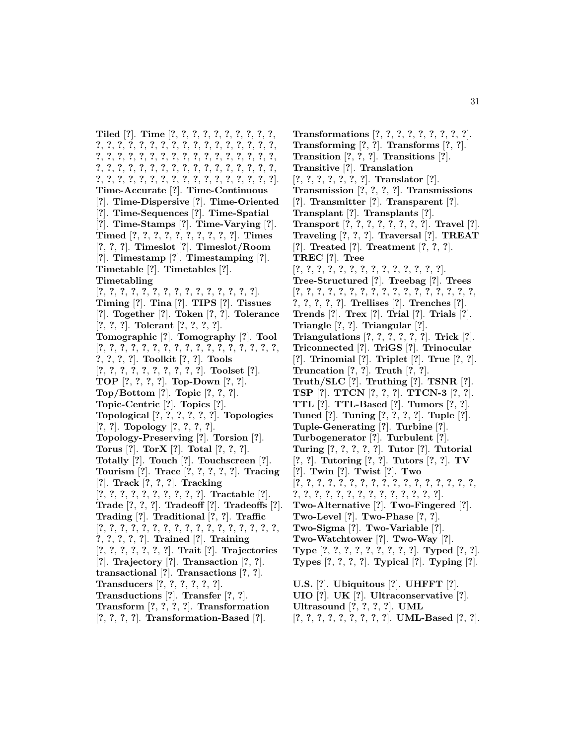**Tiled** [**?**]. **Time** [**?**, **?**, **?**, **?**, **?**, **?**, **?**, **?**, **?**, **?**, **?**, **?**, **?**, **?**, **?**, **?**, **?**, **?**, **?**, **?**, **?**, **?**, **?**, **?**, **?**, **?**, **?**, **?**, **?**, **?**, **?**, **?**, **?**, **?**, **?**, **?**, **?**, **?**, **?**, **?**, **?**, **?**, **?**, **?**, **?**, **?**, **?**, **?**, **?**, **?**, **?**, **?**, **?**, **?**, **?**, **?**, **?**, **?**, **?**, **?**, **?**, **?**, **?**, **?**, **?**, **?**, **?**, **?**, **?**, **?**, **?**, **?**, **?**, **?**, **?**, **?**, **?**, **?**]. **Time-Accurate** [**?**]. **Time-Continuous** [**?**]. **Time-Dispersive** [**?**]. **Time-Oriented** [**?**]. **Time-Sequences** [**?**]. **Time-Spatial** [**?**]. **Time-Stamps** [**?**]. **Time-Varying** [**?**]. **Timed** [**?**, **?**, **?**, **?**, **?**, **?**, **?**, **?**, **?**, **?**]. **Times** [**?**, **?**, **?**]. **Timeslot** [**?**]. **Timeslot/Room** [**?**]. **Timestamp** [**?**]. **Timestamping** [**?**]. **Timetable** [**?**]. **Timetables** [**?**]. **Timetabling** [**?**, **?**, **?**, **?**, **?**, **?**, **?**, **?**, **?**, **?**, **?**, **?**, **?**, **?**, **?**]. **Timing** [**?**]. **Tina** [**?**]. **TIPS** [**?**]. **Tissues** [**?**]. **Together** [**?**]. **Token** [**?**, **?**]. **Tolerance** [**?**, **?**, **?**]. **Tolerant** [**?**, **?**, **?**, **?**]. **Tomographic** [**?**]. **Tomography** [**?**]. **Tool** [**?**, **?**, **?**, **?**, **?**, **?**, **?**, **?**, **?**, **?**, **?**, **?**, **?**, **?**, **?**, **?**, **?**, **?**, **?**, **?**, **?**]. **Toolkit** [**?**, **?**]. **Tools** [**?**, **?**, **?**, **?**, **?**, **?**, **?**, **?**, **?**, **?**]. **Toolset** [**?**]. **TOP** [**?**, **?**, **?**, **?**]. **Top-Down** [**?**, **?**]. **Top/Bottom** [**?**]. **Topic** [**?**, **?**, **?**]. **Topic-Centric** [**?**]. **Topics** [**?**]. **Topological** [**?**, **?**, **?**, **?**, **?**, **?**]. **Topologies** [**?**, **?**]. **Topology** [**?**, **?**, **?**, **?**]. **Topology-Preserving** [**?**]. **Torsion** [**?**]. **Torus** [**?**]. **TorX** [**?**]. **Total** [**?**, **?**, **?**]. **Totally** [**?**]. **Touch** [**?**]. **Touchscreen** [**?**]. **Tourism** [**?**]. **Trace** [**?**, **?**, **?**, **?**, **?**]. **Tracing** [**?**]. **Track** [**?**, **?**, **?**]. **Tracking** [**?**, **?**, **?**, **?**, **?**, **?**, **?**, **?**, **?**, **?**]. **Tractable** [**?**]. **Trade** [**?**, **?**, **?**]. **Tradeoff** [**?**]. **Tradeoffs** [**?**]. **Trading** [**?**]. **Traditional** [**?**, **?**]. **Traffic** [**?**, **?**, **?**, **?**, **?**, **?**, **?**, **?**, **?**, **?**, **?**, **?**, **?**, **?**, **?**, **?**, **?**, **?**, **?**, **?**, **?**, **?**]. **Trained** [**?**]. **Training** [**?**, **?**, **?**, **?**, **?**, **?**, **?**]. **Trait** [**?**]. **Trajectories** [**?**]. **Trajectory** [**?**]. **Transaction** [**?**, **?**]. **transactional** [**?**]. **Transactions** [**?**, **?**]. **Transducers** [**?**, **?**, **?**, **?**, **?**, **?**]. **Transductions** [**?**]. **Transfer** [**?**, **?**]. **Transform** [**?**, **?**, **?**, **?**]. **Transformation** [**?**, **?**, **?**, **?**]. **Transformation-Based** [**?**].

**Transforming** [**?**, **?**]. **Transforms** [**?**, **?**]. **Transition** [**?**, **?**, **?**]. **Transitions** [**?**]. **Transitive** [**?**]. **Translation** [**?**, **?**, **?**, **?**, **?**, **?**, **?**]. **Translator** [**?**]. **Transmission** [**?**, **?**, **?**, **?**]. **Transmissions** [**?**]. **Transmitter** [**?**]. **Transparent** [**?**]. **Transplant** [**?**]. **Transplants** [**?**]. **Transport** [**?**, **?**, **?**, **?**, **?**, **?**, **?**, **?**]. **Travel** [**?**]. **Traveling** [**?**, **?**, **?**]. **Traversal** [**?**]. **TREAT** [**?**]. **Treated** [**?**]. **Treatment** [**?**, **?**, **?**]. **TREC** [**?**]. **Tree** [**?**, **?**, **?**, **?**, **?**, **?**, **?**, **?**, **?**, **?**, **?**, **?**, **?**, **?**]. **Tree-Structured** [**?**]. **Treebag** [**?**]. **Trees** [**?**, **?**, **?**, **?**, **?**, **?**, **?**, **?**, **?**, **?**, **?**, **?**, **?**, **?**, **?**, **?**, **?**, **?**, **?**, **?**, **?**, **?**]. **Trellises** [**?**]. **Trenches** [**?**]. **Trends** [**?**]. **Trex** [**?**]. **Trial** [**?**]. **Trials** [**?**]. **Triangle** [**?**, **?**]. **Triangular** [**?**]. **Triangulations** [**?**, **?**, **?**, **?**, **?**, **?**]. **Trick** [**?**]. **Triconnected** [**?**]. **TriGS** [**?**]. **Trinocular** [**?**]. **Trinomial** [**?**]. **Triplet** [**?**]. **True** [**?**, **?**]. **Truncation** [**?**, **?**]. **Truth** [**?**, **?**]. **Truth/SLC** [**?**]. **Truthing** [**?**]. **TSNR** [**?**]. **TSP** [**?**]. **TTCN** [**?**, **?**, **?**]. **TTCN-3** [**?**, **?**]. **TTL** [**?**]. **TTL-Based** [**?**]. **Tumors** [**?**, **?**]. **Tuned** [**?**]. **Tuning** [**?**, **?**, **?**, **?**]. **Tuple** [**?**]. **Tuple-Generating** [**?**]. **Turbine** [**?**]. **Turbogenerator** [**?**]. **Turbulent** [**?**]. **Turing** [**?**, **?**, **?**, **?**, **?**]. **Tutor** [**?**]. **Tutorial** [**?**, **?**]. **Tutoring** [**?**, **?**]. **Tutors** [**?**, **?**]. **TV** [**?**]. **Twin** [**?**]. **Twist** [**?**]. **Two** [**?**, **?**, **?**, **?**, **?**, **?**, **?**, **?**, **?**, **?**, **?**, **?**, **?**, **?**, **?**, **?**, **?**, **?**, **?**, **?**, **?**, **?**, **?**, **?**, **?**, **?**, **?**, **?**, **?**, **?**, **?**]. **Two-Alternative** [**?**]. **Two-Fingered** [**?**]. **Two-Level** [**?**]. **Two-Phase** [**?**, **?**]. **Two-Sigma** [**?**]. **Two-Variable** [**?**]. **Two-Watchtower** [**?**]. **Two-Way** [**?**]. **Type** [**?**, **?**, **?**, **?**, **?**, **?**, **?**, **?**, **?**]. **Typed** [**?**, **?**]. **Types** [**?**, **?**, **?**, **?**]. **Typical** [**?**]. **Typing** [**?**]. **U.S.** [**?**]. **Ubiquitous** [**?**]. **UHFFT** [**?**]. **UIO** [**?**]. **UK** [**?**]. **Ultraconservative** [**?**]. **Ultrasound** [**?**, **?**, **?**, **?**]. **UML**

**Transformations** [**?**, **?**, **?**, **?**, **?**, **?**, **?**, **?**, **?**].

[**?**, **?**, **?**, **?**, **?**, **?**, **?**, **?**, **?**]. **UML-Based** [**?**, **?**].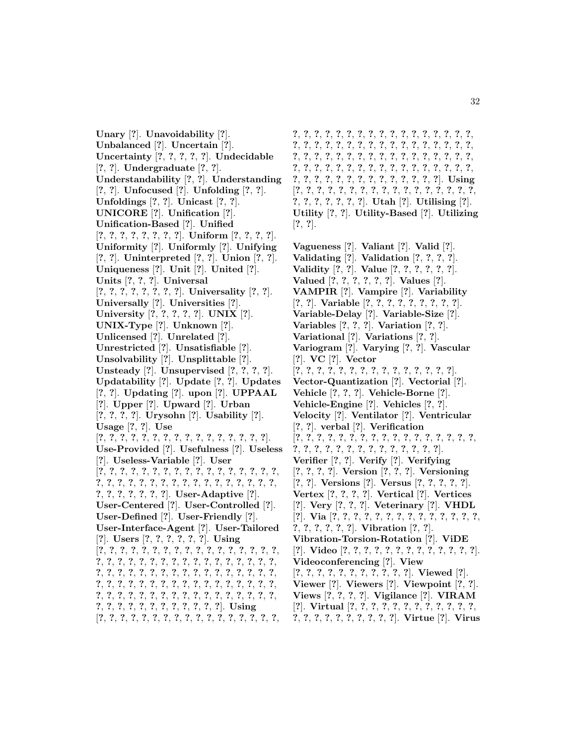**Unary** [**?**]. **Unavoidability** [**?**]. **Unbalanced** [**?**]. **Uncertain** [**?**]. **Uncertainty** [**?**, **?**, **?**, **?**, **?**]. **Undecidable** [**?**, **?**]. **Undergraduate** [**?**, **?**]. **Understandability** [**?**, **?**]. **Understanding** [**?**, **?**]. **Unfocused** [**?**]. **Unfolding** [**?**, **?**]. **Unfoldings** [**?**, **?**]. **Unicast** [**?**, **?**]. **UNICORE** [**?**]. **Unification** [**?**]. **Unification-Based** [**?**]. **Unified** [**?**, **?**, **?**, **?**, **?**, **?**, **?**, **?**]. **Uniform** [**?**, **?**, **?**, **?**]. **Uniformity** [**?**]. **Uniformly** [**?**]. **Unifying** [**?**, **?**]. **Uninterpreted** [**?**, **?**]. **Union** [**?**, **?**]. **Uniqueness** [**?**]. **Unit** [**?**]. **United** [**?**]. **Units** [**?**, **?**, **?**]. **Universal** [**?**, **?**, **?**, **?**, **?**, **?**, **?**, **?**]. **Universality** [**?**, **?**]. **Universally** [**?**]. **Universities** [**?**]. **University** [**?**, **?**, **?**, **?**, **?**]. **UNIX** [**?**]. **UNIX-Type** [**?**]. **Unknown** [**?**]. **Unlicensed** [**?**]. **Unrelated** [**?**]. **Unrestricted** [**?**]. **Unsatisfiable** [**?**]. **Unsolvability** [**?**]. **Unsplittable** [**?**]. **Unsteady** [**?**]. **Unsupervised** [**?**, **?**, **?**, **?**]. **Updatability** [**?**]. **Update** [**?**, **?**]. **Updates** [**?**, **?**]. **Updating** [**?**]. **upon** [**?**]. **UPPAAL** [**?**]. **Upper** [**?**]. **Upward** [**?**]. **Urban** [**?**, **?**, **?**, **?**]. **Urysohn** [**?**]. **Usability** [**?**]. **Usage** [**?**, **?**]. **Use** [**?**, **?**, **?**, **?**, **?**, **?**, **?**, **?**, **?**, **?**, **?**, **?**, **?**, **?**, **?**, **?**]. **Use-Provided** [**?**]. **Usefulness** [**?**]. **Useless** [**?**]. **Useless-Variable** [**?**]. **User** [**?**, **?**, **?**, **?**, **?**, **?**, **?**, **?**, **?**, **?**, **?**, **?**, **?**, **?**, **?**, **?**, **?**, **?**, **?**, **?**, **?**, **?**, **?**, **?**, **?**, **?**, **?**, **?**, **?**, **?**, **?**, **?**, **?**, **?**, **?**, **?**, **?**, **?**, **?**, **?**, **?**]. **User-Adaptive** [**?**]. **User-Centered** [**?**]. **User-Controlled** [**?**]. **User-Defined** [**?**]. **User-Friendly** [**?**]. **User-Interface-Agent** [**?**]. **User-Tailored** [**?**]. **Users** [**?**, **?**, **?**, **?**, **?**, **?**]. **Using** [**?**, **?**, **?**, **?**, **?**, **?**, **?**, **?**, **?**, **?**, **?**, **?**, **?**, **?**, **?**, **?**, **?**, **?**, **?**, **?**, **?**, **?**, **?**, **?**, **?**, **?**, **?**, **?**, **?**, **?**, **?**, **?**, **?**, **?**, **?**, **?**, **?**, **?**, **?**, **?**, **?**, **?**, **?**, **?**, **?**, **?**, **?**, **?**, **?**, **?**, **?**, **?**, **?**, **?**, **?**, **?**, **?**, **?**, **?**, **?**, **?**, **?**, **?**, **?**, **?**, **?**, **?**, **?**, **?**, **?**, **?**, **?**, **?**, **?**, **?**, **?**, **?**, **?**, **?**, **?**, **?**, **?**, **?**, **?**, **?**, **?**, **?**, **?**, **?**, **?**, **?**, **?**, **?**, **?**, **?**, **?**, **?**]. **Using** [**?**, **?**, **?**, **?**, **?**, **?**, **?**, **?**, **?**, **?**, **?**, **?**, **?**, **?**, **?**, **?**, **?**,

**?**, **?**, **?**, **?**, **?**, **?**, **?**, **?**, **?**, **?**, **?**, **?**, **?**, **?**, **?**, **?**, **?**, **?**, **?**, **?**, **?**, **?**, **?**, **?**, **?**, **?**, **?**, **?**, **?**, **?**, **?**, **?**, **?**, **?**, **?**, **?**, **?**, **?**, **?**, **?**, **?**, **?**, **?**, **?**, **?**, **?**, **?**, **?**, **?**, **?**, **?**, **?**, **?**, **?**, **?**, **?**, **?**, **?**, **?**, **?**, **?**, **?**, **?**, **?**, **?**, **?**, **?**, **?**, **?**, **?**, **?**, **?**, **?**, **?**, **?**, **?**, **?**, **?**, **?**, **?**, **?**, **?**]. **Using** [**?**, **?**, **?**, **?**, **?**, **?**, **?**, **?**, **?**, **?**, **?**, **?**, **?**, **?**, **?**, **?**, **?**, **?**, **?**, **?**, **?**, **?**, **?**, **?**]. **Utah** [**?**]. **Utilising** [**?**]. **Utility** [**?**, **?**]. **Utility-Based** [**?**]. **Utilizing** [**?**, **?**].

**Vagueness** [**?**]. **Valiant** [**?**]. **Valid** [**?**]. **Validating** [**?**]. **Validation** [**?**, **?**, **?**, **?**]. **Validity** [**?**, **?**]. **Value** [**?**, **?**, **?**, **?**, **?**, **?**]. **Valued** [**?**, **?**, **?**, **?**, **?**, **?**]. **Values** [**?**]. **VAMPIR** [**?**]. **Vampire** [**?**]. **Variability** [**?**, **?**]. **Variable** [**?**, **?**, **?**, **?**, **?**, **?**, **?**, **?**, **?**]. **Variable-Delay** [**?**]. **Variable-Size** [**?**]. **Variables** [**?**, **?**, **?**]. **Variation** [**?**, **?**]. **Variational** [**?**]. **Variations** [**?**, **?**]. **Variogram** [**?**]. **Varying** [**?**, **?**]. **Vascular** [**?**]. **VC** [**?**]. **Vector** [**?**, **?**, **?**, **?**, **?**, **?**, **?**, **?**, **?**, **?**, **?**, **?**, **?**, **?**, **?**]. **Vector-Quantization** [**?**]. **Vectorial** [**?**]. **Vehicle** [**?**, **?**, **?**]. **Vehicle-Borne** [**?**]. **Vehicle-Engine** [**?**]. **Vehicles** [**?**, **?**]. **Velocity** [**?**]. **Ventilator** [**?**]. **Ventricular** [**?**, **?**]. **verbal** [**?**]. **Verification** [**?**, **?**, **?**, **?**, **?**, **?**, **?**, **?**, **?**, **?**, **?**, **?**, **?**, **?**, **?**, **?**, **?**, **?**, **?**, **?**, **?**, **?**, **?**, **?**, **?**, **?**, **?**, **?**, **?**, **?**, **?**]. **Verifier** [**?**, **?**]. **Verify** [**?**]. **Verifying** [**?**, **?**, **?**, **?**]. **Version** [**?**, **?**, **?**]. **Versioning** [**?**, **?**]. **Versions** [**?**]. **Versus** [**?**, **?**, **?**, **?**, **?**]. **Vertex** [**?**, **?**, **?**, **?**]. **Vertical** [**?**]. **Vertices** [**?**]. **Very** [**?**, **?**, **?**]. **Veterinary** [**?**]. **VHDL** [**?**]. **Via** [**?**, **?**, **?**, **?**, **?**, **?**, **?**, **?**, **?**, **?**, **?**, **?**, **?**, **?**, **?**, **?**, **?**, **?**, **?**, **?**]. **Vibration** [**?**, **?**]. **Vibration-Torsion-Rotation** [**?**]. **ViDE** [**?**]. **Video** [**?**, **?**, **?**, **?**, **?**, **?**, **?**, **?**, **?**, **?**, **?**, **?**, **?**]. **Videoconferencing** [**?**]. **View** [**?**, **?**, **?**, **?**, **?**, **?**, **?**, **?**, **?**, **?**, **?**]. **Viewed** [**?**]. **Viewer** [**?**]. **Viewers** [**?**]. **Viewpoint** [**?**, **?**]. **Views** [**?**, **?**, **?**, **?**]. **Vigilance** [**?**]. **VIRAM** [**?**]. **Virtual** [**?**, **?**, **?**, **?**, **?**, **?**, **?**, **?**, **?**, **?**, **?**, **?**, **?**, **?**, **?**, **?**, **?**, **?**, **?**, **?**, **?**, **?**]. **Virtue** [**?**]. **Virus**